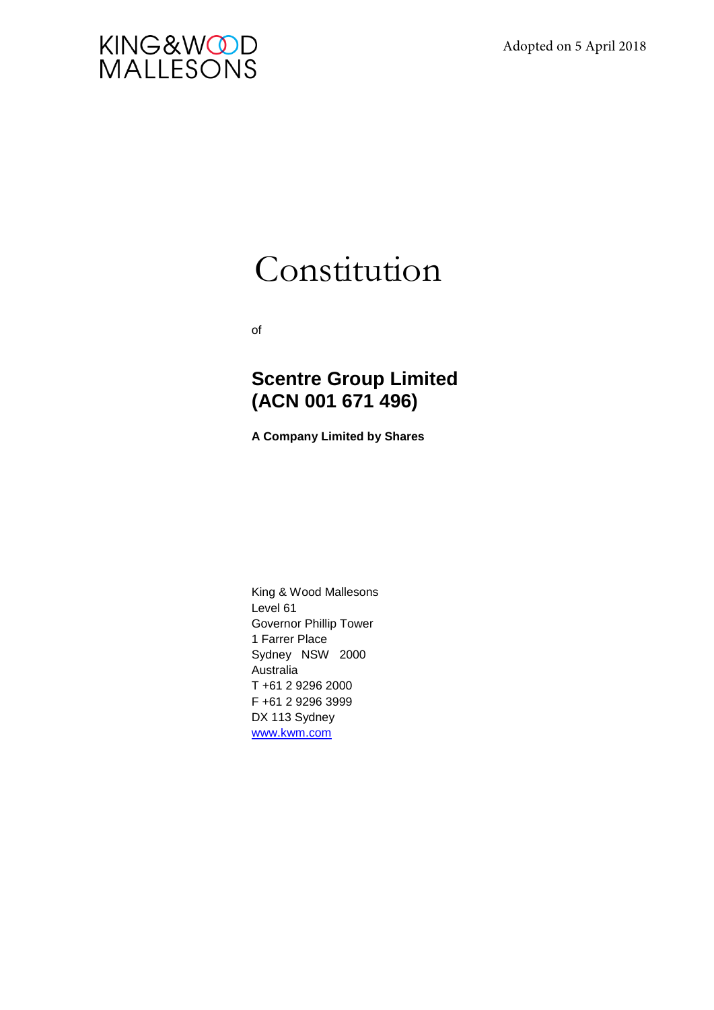

# Constitution

of

## **Scentre Group Limited (ACN 001 671 496)**

**A Company Limited by Shares** 

King & Wood Mallesons Level 61 Governor Phillip Tower 1 Farrer Place Sydney NSW 2000 Australia T +61 2 9296 2000 F +61 2 9296 3999 DX 113 Sydney [www.kwm.com](http://www.mallesons.com/)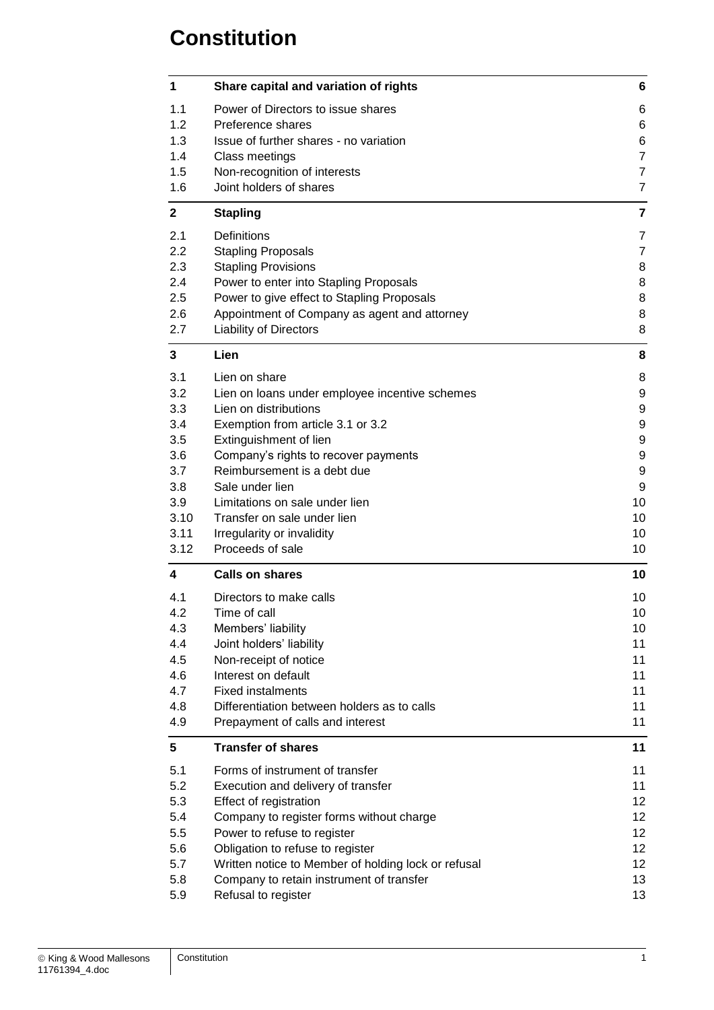## **Constitution**

| 1            | Share capital and variation of rights                               | 6              |
|--------------|---------------------------------------------------------------------|----------------|
| 1.1          | Power of Directors to issue shares                                  | 6              |
| 1.2          | Preference shares                                                   | 6              |
| 1.3          | Issue of further shares - no variation                              | 6              |
| 1.4          | Class meetings                                                      | $\overline{7}$ |
| 1.5          | Non-recognition of interests                                        | $\overline{7}$ |
| 1.6          | Joint holders of shares                                             | $\overline{7}$ |
| $\mathbf{2}$ | <b>Stapling</b>                                                     | 7              |
| 2.1          | Definitions                                                         | 7              |
| 2.2          | <b>Stapling Proposals</b>                                           | $\overline{7}$ |
| 2.3          | <b>Stapling Provisions</b>                                          | 8              |
| 2.4          | Power to enter into Stapling Proposals                              | 8              |
| 2.5          | Power to give effect to Stapling Proposals                          | 8              |
| 2.6          | Appointment of Company as agent and attorney                        | 8              |
| 2.7          | <b>Liability of Directors</b>                                       | 8              |
| 3            | Lien                                                                | 8              |
| 3.1          | Lien on share                                                       | 8              |
| 3.2          | Lien on loans under employee incentive schemes                      | 9              |
| 3.3          | Lien on distributions                                               | 9              |
| 3.4          | Exemption from article 3.1 or 3.2                                   | 9              |
| 3.5          | Extinguishment of lien                                              | 9              |
| 3.6          | Company's rights to recover payments<br>Reimbursement is a debt due | 9<br>9         |
| 3.7<br>3.8   | Sale under lien                                                     | 9              |
| 3.9          | Limitations on sale under lien                                      | 10             |
| 3.10         | Transfer on sale under lien                                         | 10             |
| 3.11         | Irregularity or invalidity                                          | 10             |
| 3.12         | Proceeds of sale                                                    | 10             |
| 4            | <b>Calls on shares</b>                                              | 10             |
| 4.1          | Directors to make calls                                             | 10             |
| 4.2          | Time of call                                                        | 10             |
| 4.3          | Members' liability                                                  | 10             |
| 4.4          | Joint holders' liability                                            | 11             |
| 4.5          | Non-receipt of notice                                               | 11             |
| 4.6          | Interest on default                                                 | 11             |
| 4.7          | <b>Fixed instalments</b>                                            | 11             |
| 4.8          | Differentiation between holders as to calls                         | 11             |
| 4.9          | Prepayment of calls and interest                                    | 11             |
| 5            | <b>Transfer of shares</b>                                           | 11             |
| 5.1          | Forms of instrument of transfer                                     | 11             |
| 5.2          | Execution and delivery of transfer                                  | 11             |
| 5.3          | Effect of registration                                              | 12             |
| 5.4          | Company to register forms without charge                            | 12             |
| 5.5<br>5.6   | Power to refuse to register<br>Obligation to refuse to register     | 12<br>12       |
| 5.7          | Written notice to Member of holding lock or refusal                 | 12             |
| 5.8          | Company to retain instrument of transfer                            | 13             |
| 5.9          | Refusal to register                                                 | 13             |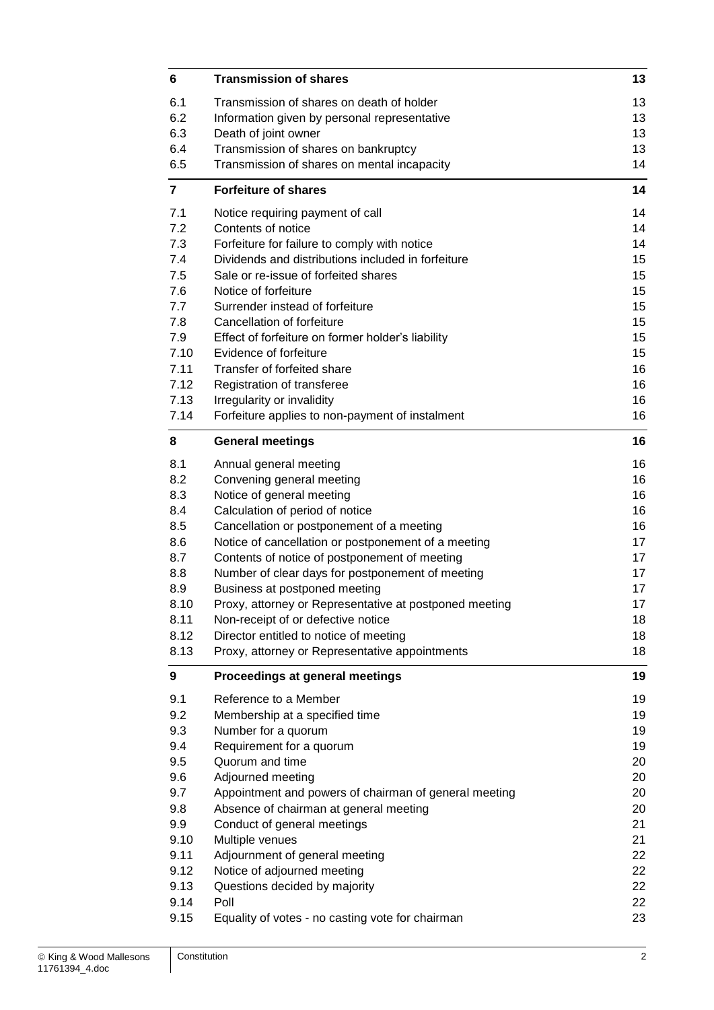| 6              | <b>Transmission of shares</b>                                                     | 13       |
|----------------|-----------------------------------------------------------------------------------|----------|
| 6.1            | Transmission of shares on death of holder                                         | 13       |
| 6.2            | Information given by personal representative                                      | 13       |
| 6.3            | Death of joint owner                                                              | 13       |
| 6.4            | Transmission of shares on bankruptcy                                              | 13       |
| 6.5            | Transmission of shares on mental incapacity                                       | 14       |
| $\overline{7}$ | <b>Forfeiture of shares</b>                                                       | 14       |
| 7.1            | Notice requiring payment of call                                                  | 14       |
| 7.2            | Contents of notice                                                                | 14       |
| 7.3            | Forfeiture for failure to comply with notice                                      | 14       |
| 7.4            | Dividends and distributions included in forfeiture                                | 15       |
| 7.5            | Sale or re-issue of forfeited shares                                              | 15       |
| 7.6            | Notice of forfeiture                                                              | 15       |
| 7.7            | Surrender instead of forfeiture                                                   | 15       |
| 7.8            | Cancellation of forfeiture                                                        | 15       |
| 7.9            | Effect of forfeiture on former holder's liability                                 | 15       |
| 7.10           | Evidence of forfeiture                                                            | 15       |
| 7.11           | Transfer of forfeited share                                                       | 16       |
| 7.12<br>7.13   | Registration of transferee                                                        | 16       |
| 7.14           | Irregularity or invalidity                                                        | 16<br>16 |
|                | Forfeiture applies to non-payment of instalment                                   |          |
| 8              | <b>General meetings</b>                                                           | 16       |
| 8.1            | Annual general meeting                                                            | 16       |
| 8.2            | Convening general meeting                                                         | 16       |
| 8.3            | Notice of general meeting                                                         | 16       |
| 8.4            | Calculation of period of notice                                                   | 16       |
| 8.5            | Cancellation or postponement of a meeting                                         | 16       |
| 8.6            | Notice of cancellation or postponement of a meeting                               | 17       |
| 8.7<br>8.8     | Contents of notice of postponement of meeting                                     | 17<br>17 |
| 8.9            | Number of clear days for postponement of meeting<br>Business at postponed meeting | 17       |
| 8.10           | Proxy, attorney or Representative at postponed meeting                            | 17       |
| 8.11           | Non-receipt of or defective notice                                                | 18       |
| 8.12           | Director entitled to notice of meeting                                            | 18       |
| 8.13           | Proxy, attorney or Representative appointments                                    | 18       |
| 9              | Proceedings at general meetings                                                   | 19       |
| 9.1            | Reference to a Member                                                             | 19       |
| 9.2            | Membership at a specified time                                                    | 19       |
| 9.3            | Number for a quorum                                                               | 19       |
| 9.4            | Requirement for a quorum                                                          | 19       |
| 9.5            | Quorum and time                                                                   | 20       |
| 9.6            | Adjourned meeting                                                                 | 20       |
| 9.7            | Appointment and powers of chairman of general meeting                             | 20       |
| 9.8            | Absence of chairman at general meeting                                            | 20       |
| 9.9            | Conduct of general meetings                                                       | 21       |
| 9.10           | Multiple venues                                                                   | 21       |
| 9.11           | Adjournment of general meeting                                                    | 22       |
| 9.12           | Notice of adjourned meeting                                                       | 22       |
| 9.13           | Questions decided by majority                                                     | 22       |
| 9.14           | Poll                                                                              | 22       |
| 9.15           | Equality of votes - no casting vote for chairman                                  | 23       |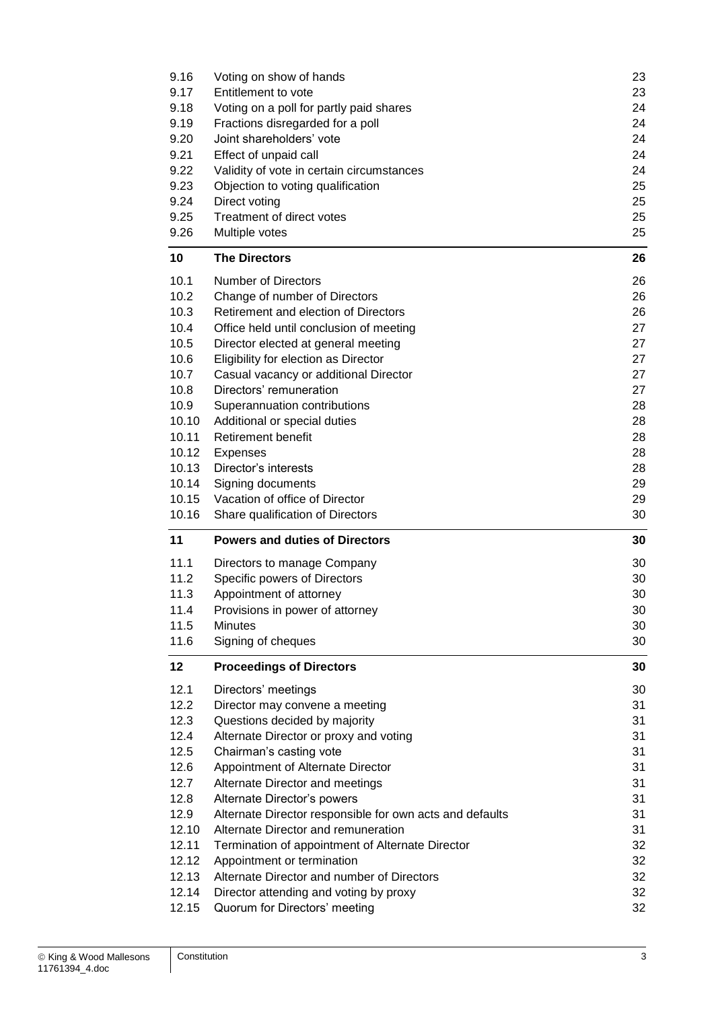| 9.16           | Voting on show of hands                                                 | 23       |
|----------------|-------------------------------------------------------------------------|----------|
| 9.17           | Entitlement to vote                                                     | 23       |
| 9.18           | Voting on a poll for partly paid shares                                 | 24       |
| 9.19           | Fractions disregarded for a poll                                        | 24       |
| 9.20           | Joint shareholders' vote                                                | 24       |
| 9.21           | Effect of unpaid call                                                   | 24       |
| 9.22           | Validity of vote in certain circumstances                               | 24       |
| 9.23           | Objection to voting qualification                                       | 25       |
| 9.24           | Direct voting                                                           | 25       |
| 9.25           | Treatment of direct votes                                               | 25       |
| 9.26           | Multiple votes                                                          | 25       |
| 10             | <b>The Directors</b>                                                    | 26       |
| 10.1           | <b>Number of Directors</b>                                              | 26       |
| 10.2           | Change of number of Directors                                           | 26       |
| 10.3           | Retirement and election of Directors                                    | 26       |
| 10.4           | Office held until conclusion of meeting                                 | 27       |
| 10.5           |                                                                         | 27       |
| 10.6           | Director elected at general meeting                                     | 27       |
|                | Eligibility for election as Director                                    |          |
| 10.7           | Casual vacancy or additional Director                                   | 27       |
| 10.8           | Directors' remuneration                                                 | 27       |
| 10.9           | Superannuation contributions                                            | 28       |
| 10.10          | Additional or special duties                                            | 28       |
| 10.11          | <b>Retirement benefit</b>                                               | 28       |
| 10.12          | <b>Expenses</b>                                                         | 28       |
| 10.13          | Director's interests                                                    | 28       |
| 10.14          | Signing documents                                                       | 29       |
|                |                                                                         |          |
| 10.15          | Vacation of office of Director                                          | 29       |
| 10.16          | Share qualification of Directors                                        | 30       |
| 11             | <b>Powers and duties of Directors</b>                                   | 30       |
| 11.1           | Directors to manage Company                                             | 30       |
| 11.2           |                                                                         | 30       |
| 11.3           | Specific powers of Directors<br>Appointment of attorney                 | 30       |
| 11.4           |                                                                         |          |
| 11.5           | Provisions in power of attorney<br><b>Minutes</b>                       | 30       |
| 11.6           |                                                                         | 30<br>30 |
| 12             | Signing of cheques<br><b>Proceedings of Directors</b>                   | 30       |
|                |                                                                         |          |
| 12.1           | Directors' meetings                                                     | 30       |
| 12.2           | Director may convene a meeting                                          | 31       |
| 12.3           | Questions decided by majority                                           | 31       |
| 12.4           | Alternate Director or proxy and voting                                  | 31       |
| 12.5           | Chairman's casting vote                                                 | 31       |
| 12.6           | Appointment of Alternate Director                                       | 31       |
| 12.7           | Alternate Director and meetings                                         | 31       |
| 12.8           | Alternate Director's powers                                             | 31       |
| 12.9           | Alternate Director responsible for own acts and defaults                | 31       |
| 12.10          | Alternate Director and remuneration                                     | 31       |
| 12.11          | Termination of appointment of Alternate Director                        | 32       |
| 12.12          | Appointment or termination                                              | 32       |
| 12.13          | Alternate Director and number of Directors                              | 32       |
| 12.14<br>12.15 | Director attending and voting by proxy<br>Quorum for Directors' meeting | 32<br>32 |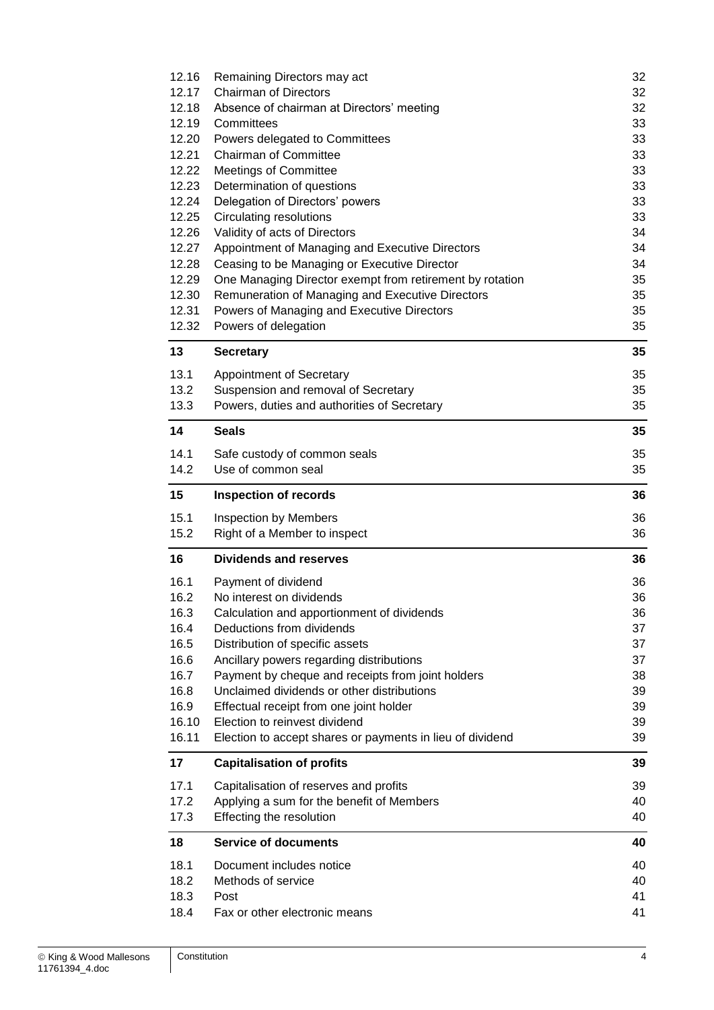| 12.16 | Remaining Directors may act                               | 32 |
|-------|-----------------------------------------------------------|----|
| 12.17 | <b>Chairman of Directors</b>                              | 32 |
| 12.18 | Absence of chairman at Directors' meeting                 | 32 |
| 12.19 | Committees                                                | 33 |
| 12.20 | Powers delegated to Committees                            | 33 |
| 12.21 | <b>Chairman of Committee</b>                              | 33 |
| 12.22 | <b>Meetings of Committee</b>                              | 33 |
| 12.23 | Determination of questions                                | 33 |
| 12.24 | Delegation of Directors' powers                           | 33 |
| 12.25 | <b>Circulating resolutions</b>                            | 33 |
| 12.26 | Validity of acts of Directors                             | 34 |
| 12.27 | Appointment of Managing and Executive Directors           | 34 |
| 12.28 | Ceasing to be Managing or Executive Director              | 34 |
| 12.29 | One Managing Director exempt from retirement by rotation  | 35 |
| 12.30 | Remuneration of Managing and Executive Directors          | 35 |
| 12.31 | Powers of Managing and Executive Directors                | 35 |
| 12.32 | Powers of delegation                                      | 35 |
|       |                                                           |    |
| 13    | <b>Secretary</b>                                          | 35 |
| 13.1  | Appointment of Secretary                                  | 35 |
| 13.2  | Suspension and removal of Secretary                       | 35 |
| 13.3  | Powers, duties and authorities of Secretary               | 35 |
| 14    | <b>Seals</b>                                              | 35 |
| 14.1  | Safe custody of common seals                              | 35 |
| 14.2  | Use of common seal                                        | 35 |
|       |                                                           |    |
| 15    | <b>Inspection of records</b>                              | 36 |
| 15.1  | Inspection by Members                                     | 36 |
| 15.2  | Right of a Member to inspect                              | 36 |
| 16    | <b>Dividends and reserves</b>                             | 36 |
| 16.1  | Payment of dividend                                       | 36 |
| 16.2  | No interest on dividends                                  | 36 |
| 16.3  | Calculation and apportionment of dividends                | 36 |
| 16.4  | Deductions from dividends                                 | 37 |
| 16.5  | Distribution of specific assets                           | 37 |
| 16.6  | Ancillary powers regarding distributions                  | 37 |
| 16.7  | Payment by cheque and receipts from joint holders         | 38 |
| 16.8  | Unclaimed dividends or other distributions                | 39 |
| 16.9  | Effectual receipt from one joint holder                   | 39 |
| 16.10 | Election to reinvest dividend                             | 39 |
| 16.11 | Election to accept shares or payments in lieu of dividend | 39 |
| 17    | <b>Capitalisation of profits</b>                          | 39 |
| 17.1  | Capitalisation of reserves and profits                    | 39 |
| 17.2  | Applying a sum for the benefit of Members                 | 40 |
| 17.3  | Effecting the resolution                                  | 40 |
| 18    | <b>Service of documents</b>                               | 40 |
| 18.1  | Document includes notice                                  | 40 |
| 18.2  | Methods of service                                        | 40 |
| 18.3  | Post                                                      | 41 |
| 18.4  | Fax or other electronic means                             | 41 |
|       |                                                           |    |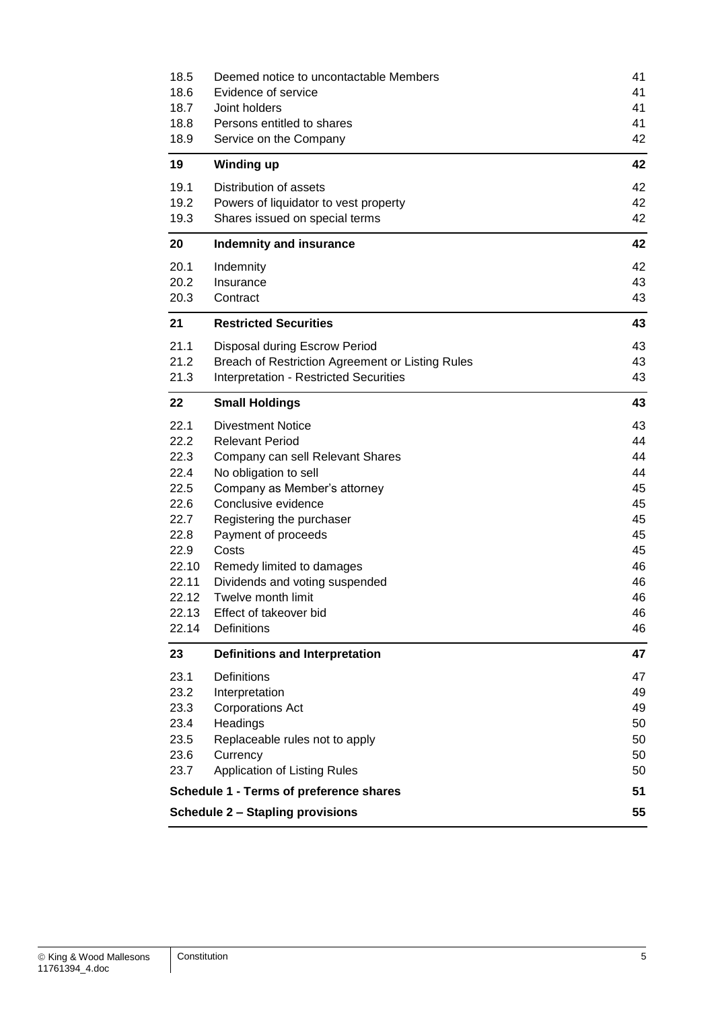| 18.5                                    | Deemed notice to uncontactable Members           | 41 |  |
|-----------------------------------------|--------------------------------------------------|----|--|
| 18.6                                    | Evidence of service                              | 41 |  |
| 18.7                                    | Joint holders                                    | 41 |  |
| 18.8                                    | Persons entitled to shares                       | 41 |  |
| 18.9                                    | Service on the Company                           | 42 |  |
| 19                                      | <b>Winding up</b>                                | 42 |  |
| 19.1                                    | Distribution of assets                           | 42 |  |
| 19.2                                    | Powers of liquidator to vest property            | 42 |  |
| 19.3                                    | Shares issued on special terms                   | 42 |  |
| 20                                      | <b>Indemnity and insurance</b>                   | 42 |  |
| 20.1                                    | Indemnity                                        | 42 |  |
| 20.2                                    | Insurance                                        | 43 |  |
| 20.3                                    | Contract                                         | 43 |  |
| 21                                      | <b>Restricted Securities</b>                     | 43 |  |
| 21.1                                    | Disposal during Escrow Period                    | 43 |  |
| 21.2                                    | Breach of Restriction Agreement or Listing Rules | 43 |  |
| 21.3                                    | <b>Interpretation - Restricted Securities</b>    | 43 |  |
| 22                                      | <b>Small Holdings</b>                            | 43 |  |
| 22.1                                    | <b>Divestment Notice</b>                         | 43 |  |
| 22.2                                    | <b>Relevant Period</b>                           | 44 |  |
| 22.3                                    | Company can sell Relevant Shares                 | 44 |  |
| 22.4                                    | No obligation to sell                            | 44 |  |
| 22.5                                    | Company as Member's attorney                     | 45 |  |
| 22.6                                    | Conclusive evidence                              | 45 |  |
| 22.7                                    | Registering the purchaser                        | 45 |  |
| 22.8                                    | Payment of proceeds                              | 45 |  |
| 22.9                                    | Costs                                            | 45 |  |
| 22.10                                   | Remedy limited to damages                        | 46 |  |
| 22.11                                   | Dividends and voting suspended                   | 46 |  |
| 22.12                                   | Twelve month limit                               | 46 |  |
| 22.13                                   | Effect of takeover bid                           | 46 |  |
| 22.14                                   | Definitions                                      | 46 |  |
| 23                                      | <b>Definitions and Interpretation</b>            | 47 |  |
| 23.1                                    | Definitions                                      | 47 |  |
| 23.2                                    | Interpretation                                   | 49 |  |
| 23.3                                    | <b>Corporations Act</b>                          | 49 |  |
| 23.4                                    | Headings                                         | 50 |  |
| 23.5                                    | Replaceable rules not to apply                   | 50 |  |
| 23.6                                    | Currency                                         | 50 |  |
| 23.7                                    | <b>Application of Listing Rules</b>              | 50 |  |
| Schedule 1 - Terms of preference shares |                                                  |    |  |
| <b>Schedule 2 - Stapling provisions</b> |                                                  |    |  |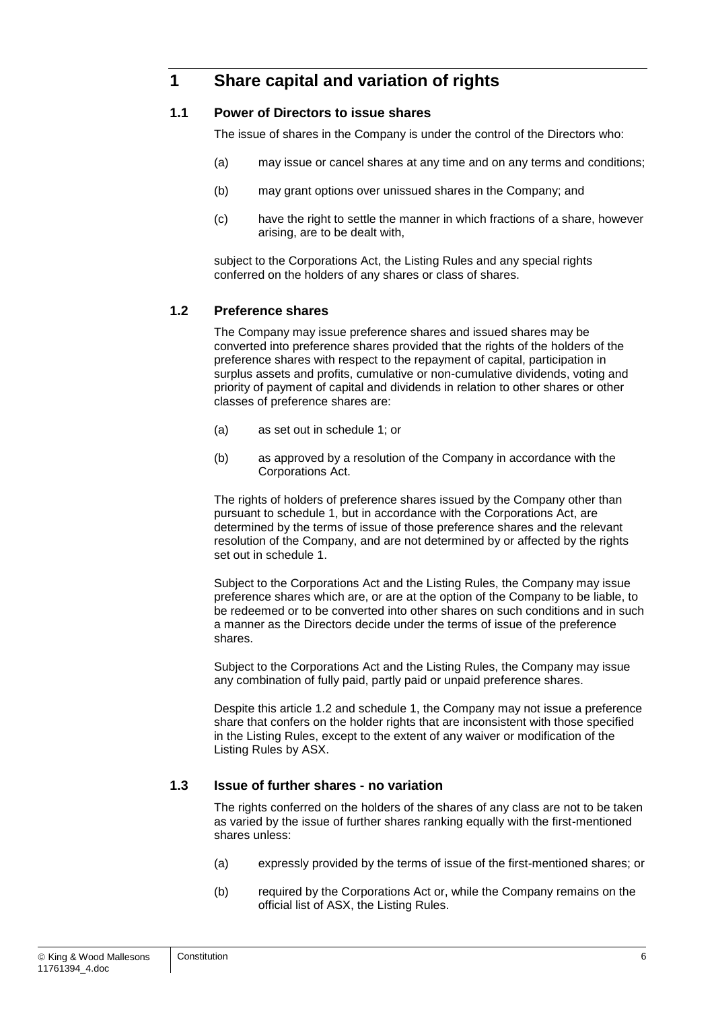## **1 Share capital and variation of rights**

#### **1.1 Power of Directors to issue shares**

The issue of shares in the Company is under the control of the Directors who:

- (a) may issue or cancel shares at any time and on any terms and conditions;
- (b) may grant options over unissued shares in the Company; and
- (c) have the right to settle the manner in which fractions of a share, however arising, are to be dealt with,

subject to the Corporations Act, the Listing Rules and any special rights conferred on the holders of any shares or class of shares.

#### <span id="page-6-0"></span>**1.2 Preference shares**

The Company may issue preference shares and issued shares may be converted into preference shares provided that the rights of the holders of the preference shares with respect to the repayment of capital, participation in surplus assets and profits, cumulative or non-cumulative dividends, voting and priority of payment of capital and dividends in relation to other shares or other classes of preference shares are:

- (a) as set out in schedule 1; or
- (b) as approved by a resolution of the Company in accordance with the Corporations Act.

The rights of holders of preference shares issued by the Company other than pursuant to schedule 1, but in accordance with the Corporations Act, are determined by the terms of issue of those preference shares and the relevant resolution of the Company, and are not determined by or affected by the rights set out in schedule 1.

Subject to the Corporations Act and the Listing Rules, the Company may issue preference shares which are, or are at the option of the Company to be liable, to be redeemed or to be converted into other shares on such conditions and in such a manner as the Directors decide under the terms of issue of the preference shares.

Subject to the Corporations Act and the Listing Rules, the Company may issue any combination of fully paid, partly paid or unpaid preference shares.

Despite this article [1.2](#page-6-0) and schedule 1, the Company may not issue a preference share that confers on the holder rights that are inconsistent with those specified in the Listing Rules, except to the extent of any waiver or modification of the Listing Rules by ASX.

#### **1.3 Issue of further shares - no variation**

The rights conferred on the holders of the shares of any class are not to be taken as varied by the issue of further shares ranking equally with the first-mentioned shares unless:

- (a) expressly provided by the terms of issue of the first-mentioned shares; or
- (b) required by the Corporations Act or, while the Company remains on the official list of ASX, the Listing Rules.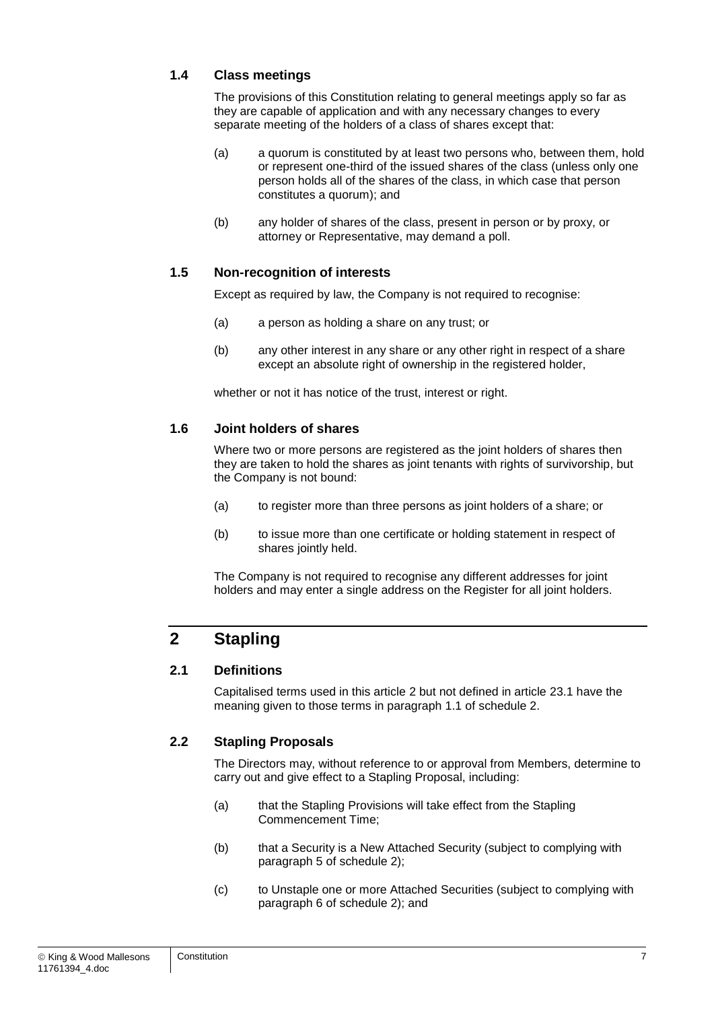#### **1.4 Class meetings**

The provisions of this Constitution relating to general meetings apply so far as they are capable of application and with any necessary changes to every separate meeting of the holders of a class of shares except that:

- (a) a quorum is constituted by at least two persons who, between them, hold or represent one-third of the issued shares of the class (unless only one person holds all of the shares of the class, in which case that person constitutes a quorum); and
- (b) any holder of shares of the class, present in person or by proxy, or attorney or Representative, may demand a poll.

#### **1.5 Non-recognition of interests**

Except as required by law, the Company is not required to recognise:

- (a) a person as holding a share on any trust; or
- (b) any other interest in any share or any other right in respect of a share except an absolute right of ownership in the registered holder.

whether or not it has notice of the trust, interest or right.

#### **1.6 Joint holders of shares**

Where two or more persons are registered as the joint holders of shares then they are taken to hold the shares as joint tenants with rights of survivorship, but the Company is not bound:

- (a) to register more than three persons as joint holders of a share; or
- (b) to issue more than one certificate or holding statement in respect of shares jointly held.

The Company is not required to recognise any different addresses for joint holders and may enter a single address on the Register for all joint holders.

## <span id="page-7-0"></span>**2 Stapling**

#### **2.1 Definitions**

Capitalised terms used in this article [2](#page-7-0) but not defined in article [23.1](#page-47-0) have the meaning given to those terms in paragraph [1.1](#page-55-0) of schedule 2.

#### <span id="page-7-1"></span>**2.2 Stapling Proposals**

The Directors may, without reference to or approval from Members, determine to carry out and give effect to a Stapling Proposal, including:

- (a) that the Stapling Provisions will take effect from the Stapling Commencement Time;
- (b) that a Security is a New Attached Security (subject to complying with paragraph [5](#page-60-0) of schedule 2);
- (c) to Unstaple one or more Attached Securities (subject to complying with paragraph [6](#page-61-0) of schedule 2); and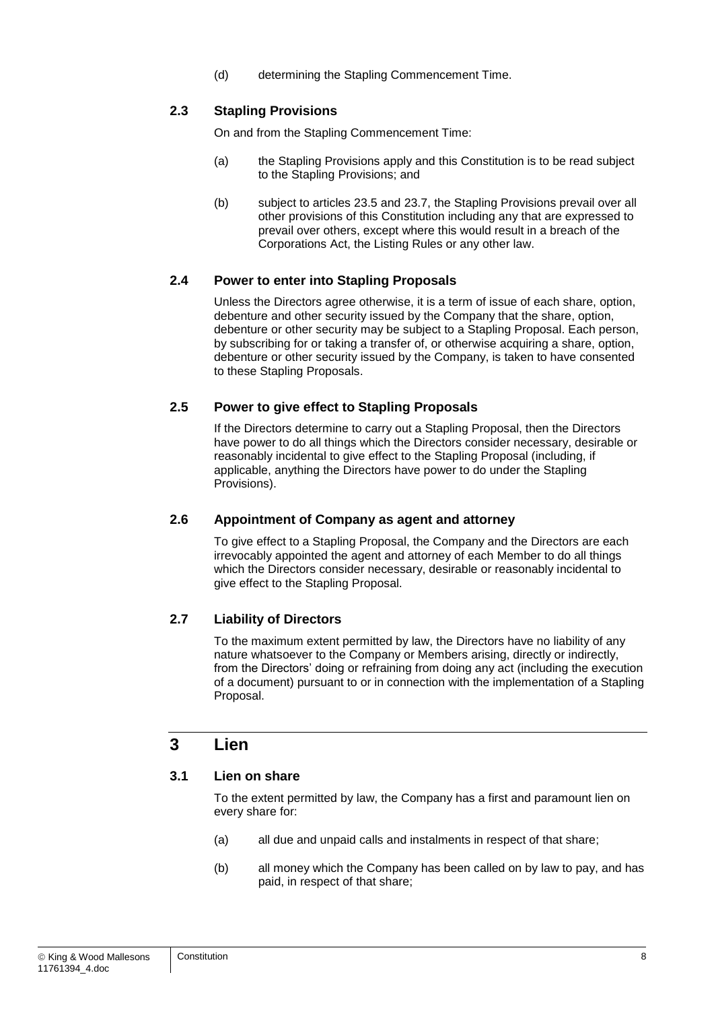(d) determining the Stapling Commencement Time.

#### **2.3 Stapling Provisions**

On and from the Stapling Commencement Time:

- (a) the Stapling Provisions apply and this Constitution is to be read subject to the Stapling Provisions; and
- (b) subject to articles [23.5](#page-50-0) and [23.7,](#page-50-1) the Stapling Provisions prevail over all other provisions of this Constitution including any that are expressed to prevail over others, except where this would result in a breach of the Corporations Act, the Listing Rules or any other law.

#### **2.4 Power to enter into Stapling Proposals**

Unless the Directors agree otherwise, it is a term of issue of each share, option, debenture and other security issued by the Company that the share, option, debenture or other security may be subject to a Stapling Proposal. Each person, by subscribing for or taking a transfer of, or otherwise acquiring a share, option, debenture or other security issued by the Company, is taken to have consented to these Stapling Proposals.

#### **2.5 Power to give effect to Stapling Proposals**

If the Directors determine to carry out a Stapling Proposal, then the Directors have power to do all things which the Directors consider necessary, desirable or reasonably incidental to give effect to the Stapling Proposal (including, if applicable, anything the Directors have power to do under the Stapling Provisions).

#### **2.6 Appointment of Company as agent and attorney**

To give effect to a Stapling Proposal, the Company and the Directors are each irrevocably appointed the agent and attorney of each Member to do all things which the Directors consider necessary, desirable or reasonably incidental to give effect to the Stapling Proposal.

#### **2.7 Liability of Directors**

To the maximum extent permitted by law, the Directors have no liability of any nature whatsoever to the Company or Members arising, directly or indirectly, from the Directors' doing or refraining from doing any act (including the execution of a document) pursuant to or in connection with the implementation of a Stapling Proposal.

### **3 Lien**

#### <span id="page-8-0"></span>**3.1 Lien on share**

To the extent permitted by law, the Company has a first and paramount lien on every share for:

- (a) all due and unpaid calls and instalments in respect of that share;
- (b) all money which the Company has been called on by law to pay, and has paid, in respect of that share;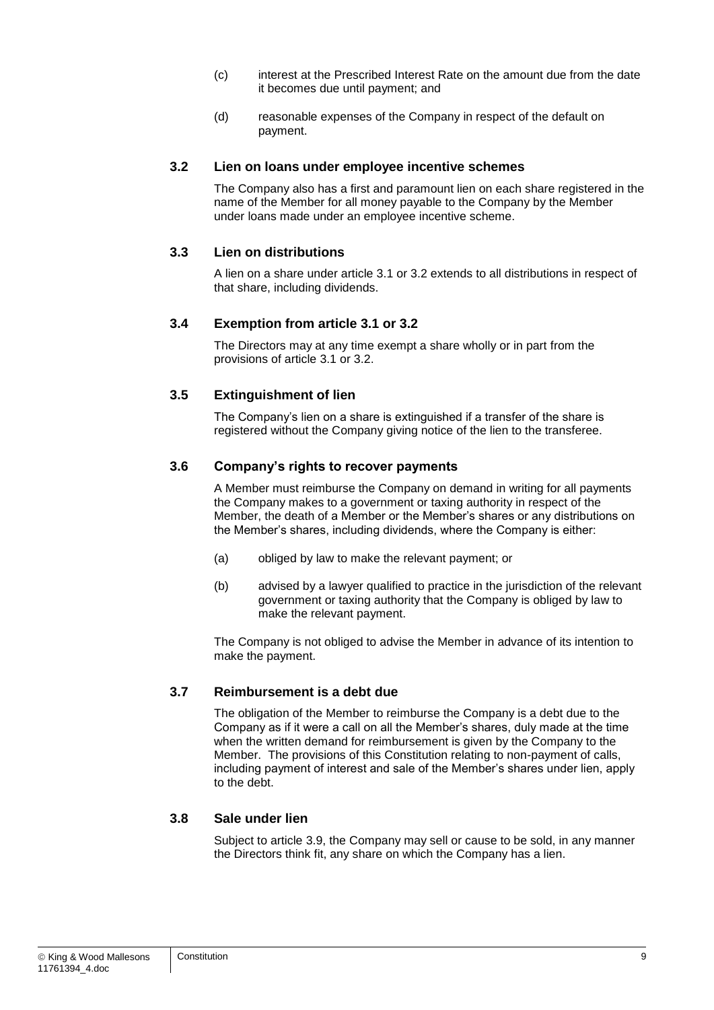- (c) interest at the Prescribed Interest Rate on the amount due from the date it becomes due until payment; and
- (d) reasonable expenses of the Company in respect of the default on payment.

#### <span id="page-9-0"></span>**3.2 Lien on loans under employee incentive schemes**

The Company also has a first and paramount lien on each share registered in the name of the Member for all money payable to the Company by the Member under loans made under an employee incentive scheme.

#### **3.3 Lien on distributions**

A lien on a share under article [3.1](#page-8-0) or [3.2](#page-9-0) extends to all distributions in respect of that share, including dividends.

#### **3.4 Exemption from article [3.1](#page-8-0) or [3.2](#page-9-0)**

The Directors may at any time exempt a share wholly or in part from the provisions of article [3.1](#page-8-0) or [3.2.](#page-9-0)

#### **3.5 Extinguishment of lien**

The Company's lien on a share is extinguished if a transfer of the share is registered without the Company giving notice of the lien to the transferee.

#### **3.6 Company's rights to recover payments**

A Member must reimburse the Company on demand in writing for all payments the Company makes to a government or taxing authority in respect of the Member, the death of a Member or the Member's shares or any distributions on the Member's shares, including dividends, where the Company is either:

- (a) obliged by law to make the relevant payment; or
- (b) advised by a lawyer qualified to practice in the jurisdiction of the relevant government or taxing authority that the Company is obliged by law to make the relevant payment.

The Company is not obliged to advise the Member in advance of its intention to make the payment.

#### **3.7 Reimbursement is a debt due**

The obligation of the Member to reimburse the Company is a debt due to the Company as if it were a call on all the Member's shares, duly made at the time when the written demand for reimbursement is given by the Company to the Member. The provisions of this Constitution relating to non-payment of calls, including payment of interest and sale of the Member's shares under lien, apply to the debt.

#### <span id="page-9-1"></span>**3.8 Sale under lien**

Subject to article [3.9,](#page-10-0) the Company may sell or cause to be sold, in any manner the Directors think fit, any share on which the Company has a lien.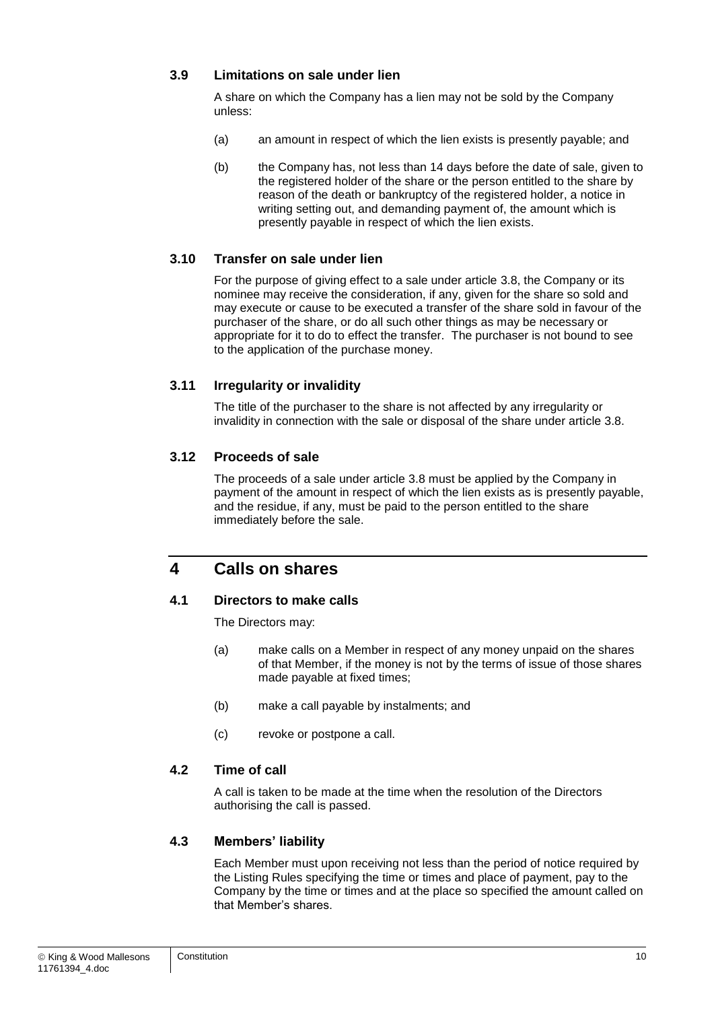#### <span id="page-10-0"></span>**3.9 Limitations on sale under lien**

A share on which the Company has a lien may not be sold by the Company unless:

- (a) an amount in respect of which the lien exists is presently payable; and
- (b) the Company has, not less than 14 days before the date of sale, given to the registered holder of the share or the person entitled to the share by reason of the death or bankruptcy of the registered holder, a notice in writing setting out, and demanding payment of, the amount which is presently payable in respect of which the lien exists.

#### **3.10 Transfer on sale under lien**

For the purpose of giving effect to a sale under article [3.8,](#page-9-1) the Company or its nominee may receive the consideration, if any, given for the share so sold and may execute or cause to be executed a transfer of the share sold in favour of the purchaser of the share, or do all such other things as may be necessary or appropriate for it to do to effect the transfer. The purchaser is not bound to see to the application of the purchase money.

#### **3.11 Irregularity or invalidity**

The title of the purchaser to the share is not affected by any irregularity or invalidity in connection with the sale or disposal of the share under article [3.8.](#page-9-1)

#### **3.12 Proceeds of sale**

The proceeds of a sale under article [3.8](#page-9-1) must be applied by the Company in payment of the amount in respect of which the lien exists as is presently payable, and the residue, if any, must be paid to the person entitled to the share immediately before the sale.

## **4 Calls on shares**

#### **4.1 Directors to make calls**

The Directors may:

- (a) make calls on a Member in respect of any money unpaid on the shares of that Member, if the money is not by the terms of issue of those shares made payable at fixed times;
- (b) make a call payable by instalments; and
- (c) revoke or postpone a call.

#### **4.2 Time of call**

A call is taken to be made at the time when the resolution of the Directors authorising the call is passed.

#### **4.3 Members' liability**

Each Member must upon receiving not less than the period of notice required by the Listing Rules specifying the time or times and place of payment, pay to the Company by the time or times and at the place so specified the amount called on that Member's shares.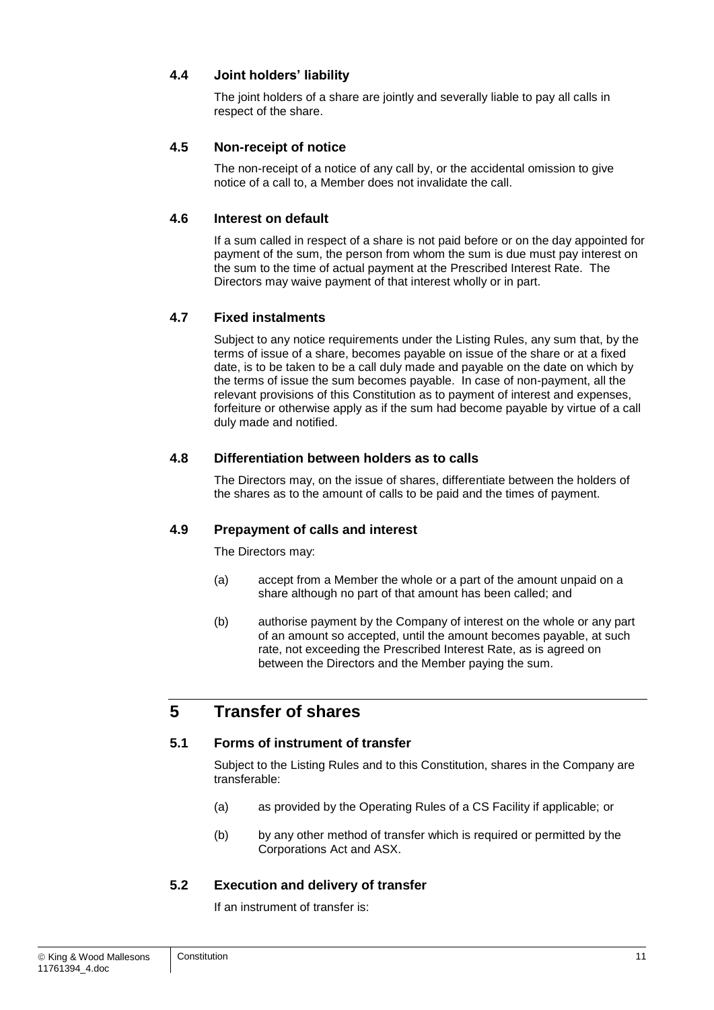#### **4.4 Joint holders' liability**

The joint holders of a share are jointly and severally liable to pay all calls in respect of the share.

#### **4.5 Non-receipt of notice**

The non-receipt of a notice of any call by, or the accidental omission to give notice of a call to, a Member does not invalidate the call.

#### **4.6 Interest on default**

If a sum called in respect of a share is not paid before or on the day appointed for payment of the sum, the person from whom the sum is due must pay interest on the sum to the time of actual payment at the Prescribed Interest Rate. The Directors may waive payment of that interest wholly or in part.

#### **4.7 Fixed instalments**

Subject to any notice requirements under the Listing Rules, any sum that, by the terms of issue of a share, becomes payable on issue of the share or at a fixed date, is to be taken to be a call duly made and payable on the date on which by the terms of issue the sum becomes payable. In case of non-payment, all the relevant provisions of this Constitution as to payment of interest and expenses, forfeiture or otherwise apply as if the sum had become payable by virtue of a call duly made and notified.

#### **4.8 Differentiation between holders as to calls**

The Directors may, on the issue of shares, differentiate between the holders of the shares as to the amount of calls to be paid and the times of payment.

#### **4.9 Prepayment of calls and interest**

The Directors may:

- (a) accept from a Member the whole or a part of the amount unpaid on a share although no part of that amount has been called; and
- (b) authorise payment by the Company of interest on the whole or any part of an amount so accepted, until the amount becomes payable, at such rate, not exceeding the Prescribed Interest Rate, as is agreed on between the Directors and the Member paying the sum.

## **5 Transfer of shares**

#### **5.1 Forms of instrument of transfer**

Subject to the Listing Rules and to this Constitution, shares in the Company are transferable:

- (a) as provided by the Operating Rules of a CS Facility if applicable; or
- <span id="page-11-0"></span>(b) by any other method of transfer which is required or permitted by the Corporations Act and ASX.

#### **5.2 Execution and delivery of transfer**

If an instrument of transfer is: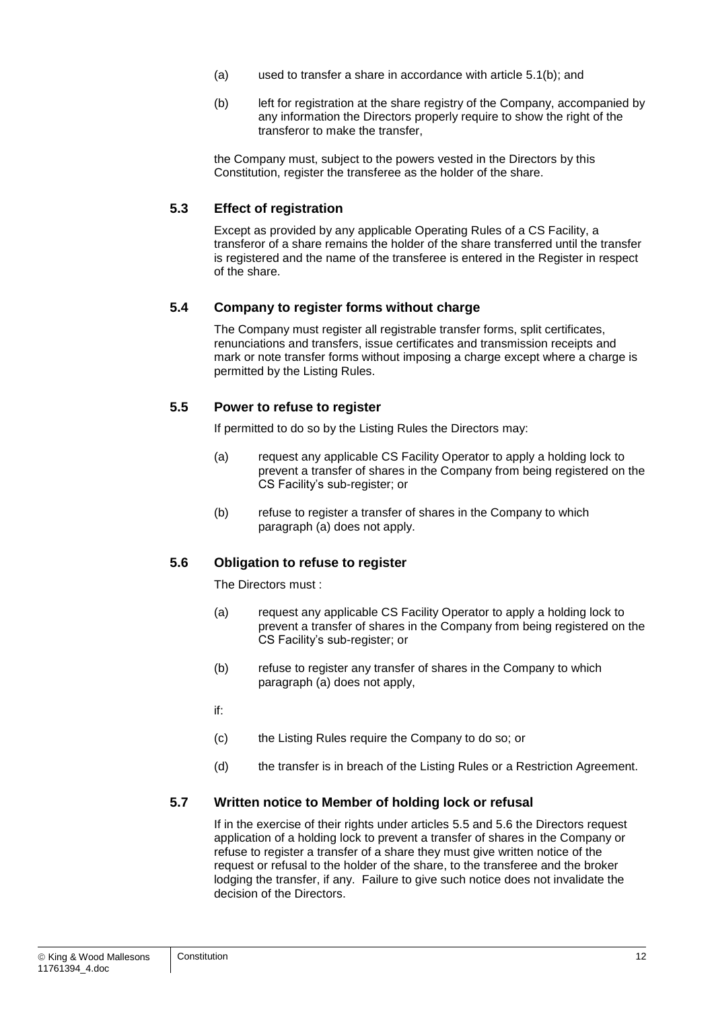- (a) used to transfer a share in accordance with article [5.1\(b\);](#page-11-0) and
- (b) left for registration at the share registry of the Company, accompanied by any information the Directors properly require to show the right of the transferor to make the transfer,

the Company must, subject to the powers vested in the Directors by this Constitution, register the transferee as the holder of the share.

#### **5.3 Effect of registration**

Except as provided by any applicable Operating Rules of a CS Facility, a transferor of a share remains the holder of the share transferred until the transfer is registered and the name of the transferee is entered in the Register in respect of the share.

#### **5.4 Company to register forms without charge**

The Company must register all registrable transfer forms, split certificates, renunciations and transfers, issue certificates and transmission receipts and mark or note transfer forms without imposing a charge except where a charge is permitted by the Listing Rules.

#### <span id="page-12-2"></span>**5.5 Power to refuse to register**

If permitted to do so by the Listing Rules the Directors may:

- <span id="page-12-0"></span>(a) request any applicable CS Facility Operator to apply a holding lock to prevent a transfer of shares in the Company from being registered on the CS Facility's sub-register; or
- (b) refuse to register a transfer of shares in the Company to which paragraph [\(a\)](#page-12-0) does not apply.

#### <span id="page-12-3"></span>**5.6 Obligation to refuse to register**

The Directors must :

- <span id="page-12-1"></span>(a) request any applicable CS Facility Operator to apply a holding lock to prevent a transfer of shares in the Company from being registered on the CS Facility's sub-register; or
- (b) refuse to register any transfer of shares in the Company to which paragraph [\(a\)](#page-12-1) does not apply,

if:

- (c) the Listing Rules require the Company to do so; or
- (d) the transfer is in breach of the Listing Rules or a Restriction Agreement.

#### **5.7 Written notice to Member of holding lock or refusal**

If in the exercise of their rights under articles [5.5](#page-12-2) and [5.6](#page-12-3) the Directors request application of a holding lock to prevent a transfer of shares in the Company or refuse to register a transfer of a share they must give written notice of the request or refusal to the holder of the share, to the transferee and the broker lodging the transfer, if any. Failure to give such notice does not invalidate the decision of the Directors.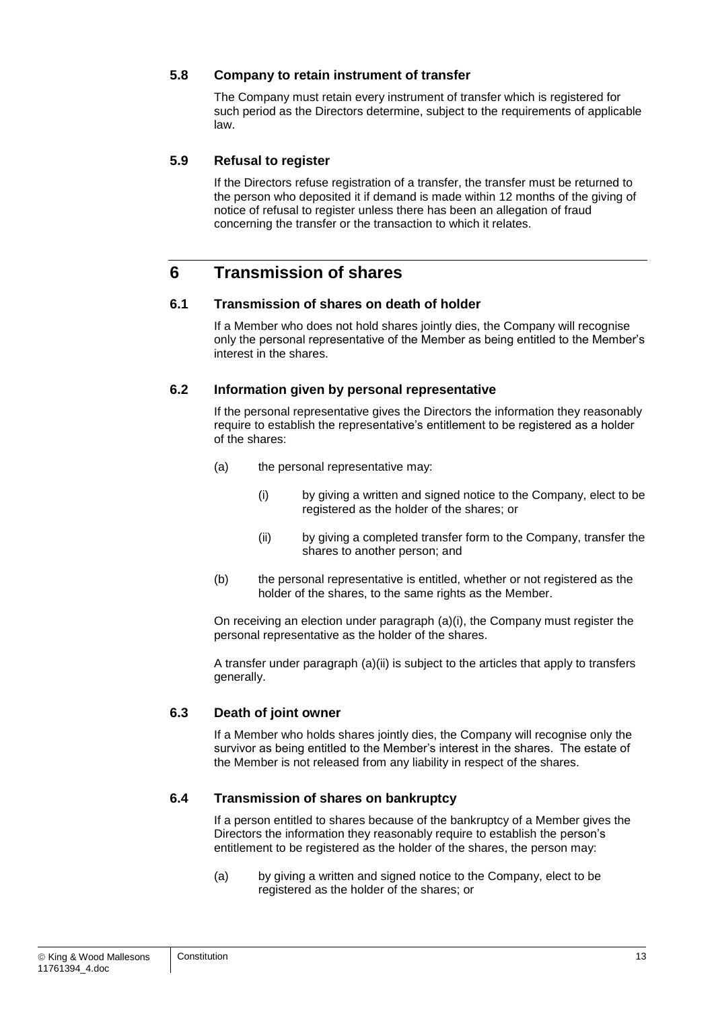#### **5.8 Company to retain instrument of transfer**

The Company must retain every instrument of transfer which is registered for such period as the Directors determine, subject to the requirements of applicable law.

#### **5.9 Refusal to register**

If the Directors refuse registration of a transfer, the transfer must be returned to the person who deposited it if demand is made within 12 months of the giving of notice of refusal to register unless there has been an allegation of fraud concerning the transfer or the transaction to which it relates.

## **6 Transmission of shares**

#### **6.1 Transmission of shares on death of holder**

If a Member who does not hold shares jointly dies, the Company will recognise only the personal representative of the Member as being entitled to the Member's interest in the shares.

#### **6.2 Information given by personal representative**

If the personal representative gives the Directors the information they reasonably require to establish the representative's entitlement to be registered as a holder of the shares:

- <span id="page-13-1"></span><span id="page-13-0"></span>(a) the personal representative may:
	- (i) by giving a written and signed notice to the Company, elect to be registered as the holder of the shares; or
	- (ii) by giving a completed transfer form to the Company, transfer the shares to another person; and
- <span id="page-13-2"></span>(b) the personal representative is entitled, whether or not registered as the holder of the shares, to the same rights as the Member.

On receiving an election under paragraph [\(a\)](#page-13-0)[\(i\),](#page-13-1) the Company must register the personal representative as the holder of the shares.

A transfer under paragraph [\(a\)](#page-13-0)[\(ii\)](#page-13-2) is subject to the articles that apply to transfers generally.

#### **6.3 Death of joint owner**

If a Member who holds shares jointly dies, the Company will recognise only the survivor as being entitled to the Member's interest in the shares. The estate of the Member is not released from any liability in respect of the shares.

#### **6.4 Transmission of shares on bankruptcy**

If a person entitled to shares because of the bankruptcy of a Member gives the Directors the information they reasonably require to establish the person's entitlement to be registered as the holder of the shares, the person may:

<span id="page-13-3"></span>(a) by giving a written and signed notice to the Company, elect to be registered as the holder of the shares; or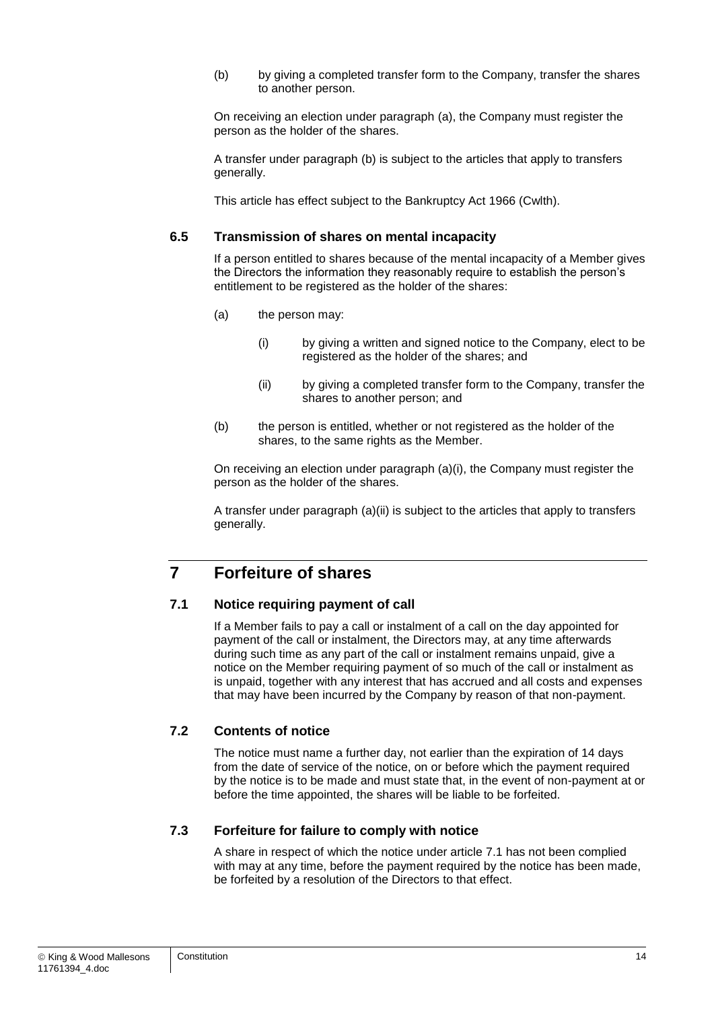<span id="page-14-0"></span>(b) by giving a completed transfer form to the Company, transfer the shares to another person.

On receiving an election under paragraph [\(a\),](#page-13-3) the Company must register the person as the holder of the shares.

A transfer under paragraph [\(b\)](#page-14-0) is subject to the articles that apply to transfers generally.

This article has effect subject to the Bankruptcy Act 1966 (Cwlth).

#### **6.5 Transmission of shares on mental incapacity**

If a person entitled to shares because of the mental incapacity of a Member gives the Directors the information they reasonably require to establish the person's entitlement to be registered as the holder of the shares:

- <span id="page-14-2"></span><span id="page-14-1"></span>(a) the person may:
	- (i) by giving a written and signed notice to the Company, elect to be registered as the holder of the shares; and
	- (ii) by giving a completed transfer form to the Company, transfer the shares to another person; and
- <span id="page-14-3"></span>(b) the person is entitled, whether or not registered as the holder of the shares, to the same rights as the Member.

On receiving an election under paragraph [\(a\)](#page-14-1)[\(i\),](#page-14-2) the Company must register the person as the holder of the shares.

A transfer under paragraph [\(a\)](#page-14-1)[\(ii\)](#page-14-3) is subject to the articles that apply to transfers generally.

## <span id="page-14-6"></span>**7 Forfeiture of shares**

#### <span id="page-14-4"></span>**7.1 Notice requiring payment of call**

If a Member fails to pay a call or instalment of a call on the day appointed for payment of the call or instalment, the Directors may, at any time afterwards during such time as any part of the call or instalment remains unpaid, give a notice on the Member requiring payment of so much of the call or instalment as is unpaid, together with any interest that has accrued and all costs and expenses that may have been incurred by the Company by reason of that non-payment.

#### **7.2 Contents of notice**

The notice must name a further day, not earlier than the expiration of 14 days from the date of service of the notice, on or before which the payment required by the notice is to be made and must state that, in the event of non-payment at or before the time appointed, the shares will be liable to be forfeited.

#### <span id="page-14-5"></span>**7.3 Forfeiture for failure to comply with notice**

A share in respect of which the notice under article [7.1](#page-14-4) has not been complied with may at any time, before the payment required by the notice has been made, be forfeited by a resolution of the Directors to that effect.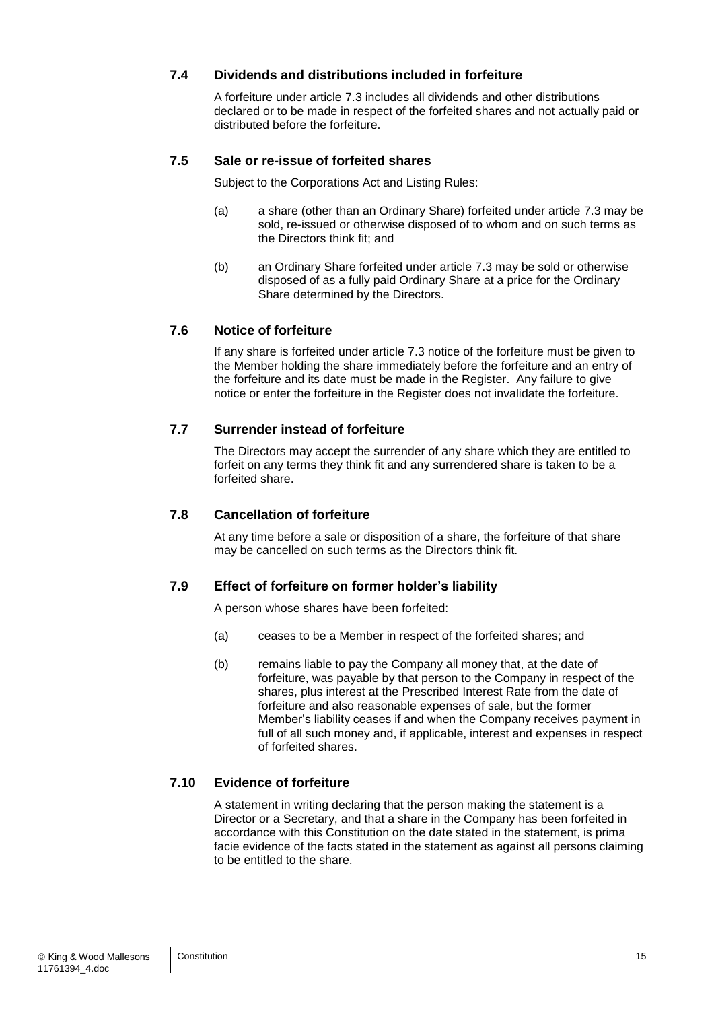#### **7.4 Dividends and distributions included in forfeiture**

A forfeiture under article [7.3](#page-14-5) includes all dividends and other distributions declared or to be made in respect of the forfeited shares and not actually paid or distributed before the forfeiture.

#### **7.5 Sale or re-issue of forfeited shares**

Subject to the Corporations Act and Listing Rules:

- (a) a share (other than an Ordinary Share) forfeited under article [7.3](#page-14-5) may be sold, re-issued or otherwise disposed of to whom and on such terms as the Directors think fit; and
- (b) an Ordinary Share forfeited under article [7.3](#page-14-5) may be sold or otherwise disposed of as a fully paid Ordinary Share at a price for the Ordinary Share determined by the Directors.

#### **7.6 Notice of forfeiture**

If any share is forfeited under article [7.3](#page-14-5) notice of the forfeiture must be given to the Member holding the share immediately before the forfeiture and an entry of the forfeiture and its date must be made in the Register. Any failure to give notice or enter the forfeiture in the Register does not invalidate the forfeiture.

#### **7.7 Surrender instead of forfeiture**

The Directors may accept the surrender of any share which they are entitled to forfeit on any terms they think fit and any surrendered share is taken to be a forfeited share.

#### **7.8 Cancellation of forfeiture**

At any time before a sale or disposition of a share, the forfeiture of that share may be cancelled on such terms as the Directors think fit.

#### **7.9 Effect of forfeiture on former holder's liability**

A person whose shares have been forfeited:

- (a) ceases to be a Member in respect of the forfeited shares; and
- (b) remains liable to pay the Company all money that, at the date of forfeiture, was payable by that person to the Company in respect of the shares, plus interest at the Prescribed Interest Rate from the date of forfeiture and also reasonable expenses of sale, but the former Member's liability ceases if and when the Company receives payment in full of all such money and, if applicable, interest and expenses in respect of forfeited shares.

#### **7.10 Evidence of forfeiture**

A statement in writing declaring that the person making the statement is a Director or a Secretary, and that a share in the Company has been forfeited in accordance with this Constitution on the date stated in the statement, is prima facie evidence of the facts stated in the statement as against all persons claiming to be entitled to the share.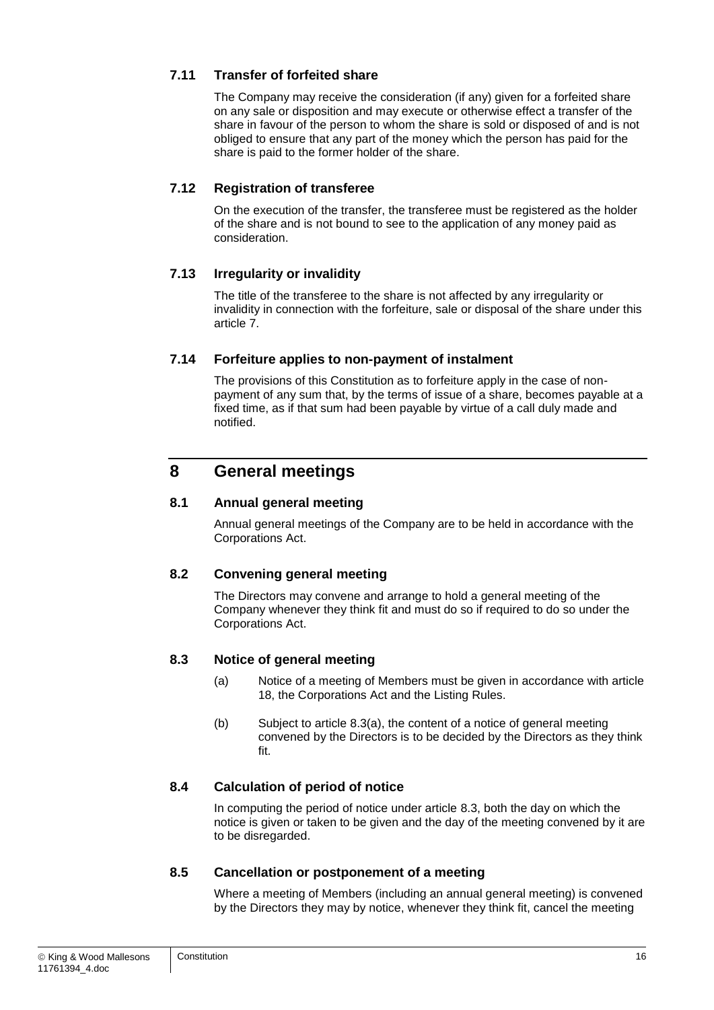#### **7.11 Transfer of forfeited share**

The Company may receive the consideration (if any) given for a forfeited share on any sale or disposition and may execute or otherwise effect a transfer of the share in favour of the person to whom the share is sold or disposed of and is not obliged to ensure that any part of the money which the person has paid for the share is paid to the former holder of the share.

#### **7.12 Registration of transferee**

On the execution of the transfer, the transferee must be registered as the holder of the share and is not bound to see to the application of any money paid as consideration.

#### **7.13 Irregularity or invalidity**

The title of the transferee to the share is not affected by any irregularity or invalidity in connection with the forfeiture, sale or disposal of the share under this article [7.](#page-14-6)

#### **7.14 Forfeiture applies to non-payment of instalment**

The provisions of this Constitution as to forfeiture apply in the case of nonpayment of any sum that, by the terms of issue of a share, becomes payable at a fixed time, as if that sum had been payable by virtue of a call duly made and notified.

## **8 General meetings**

#### **8.1 Annual general meeting**

Annual general meetings of the Company are to be held in accordance with the Corporations Act.

#### **8.2 Convening general meeting**

The Directors may convene and arrange to hold a general meeting of the Company whenever they think fit and must do so if required to do so under the Corporations Act.

#### <span id="page-16-1"></span><span id="page-16-0"></span>**8.3 Notice of general meeting**

- (a) Notice of a meeting of Members must be given in accordance with article [18,](#page-40-0) the Corporations Act and the Listing Rules.
- (b) Subject to article [8.3\(a\),](#page-16-0) the content of a notice of general meeting convened by the Directors is to be decided by the Directors as they think fit.

#### **8.4 Calculation of period of notice**

In computing the period of notice under article [8.3,](#page-16-1) both the day on which the notice is given or taken to be given and the day of the meeting convened by it are to be disregarded.

#### **8.5 Cancellation or postponement of a meeting**

Where a meeting of Members (including an annual general meeting) is convened by the Directors they may by notice, whenever they think fit, cancel the meeting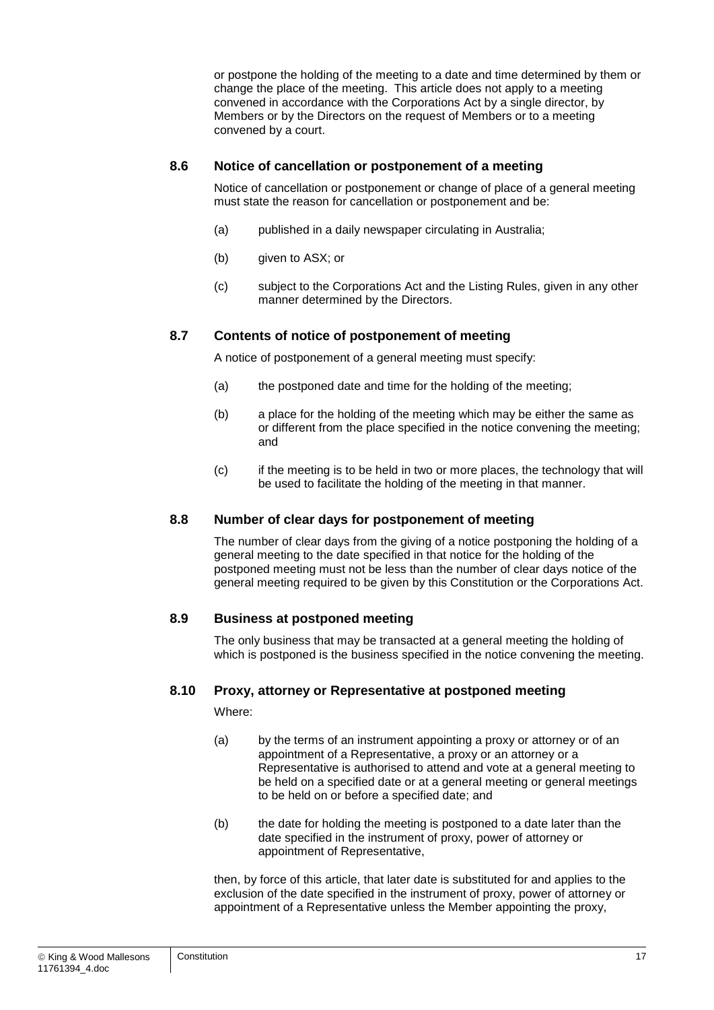or postpone the holding of the meeting to a date and time determined by them or change the place of the meeting. This article does not apply to a meeting convened in accordance with the Corporations Act by a single director, by Members or by the Directors on the request of Members or to a meeting convened by a court.

#### **8.6 Notice of cancellation or postponement of a meeting**

Notice of cancellation or postponement or change of place of a general meeting must state the reason for cancellation or postponement and be:

- (a) published in a daily newspaper circulating in Australia;
- (b) given to ASX; or
- (c) subject to the Corporations Act and the Listing Rules, given in any other manner determined by the Directors.

#### **8.7 Contents of notice of postponement of meeting**

A notice of postponement of a general meeting must specify:

- (a) the postponed date and time for the holding of the meeting;
- (b) a place for the holding of the meeting which may be either the same as or different from the place specified in the notice convening the meeting; and
- (c) if the meeting is to be held in two or more places, the technology that will be used to facilitate the holding of the meeting in that manner.

#### **8.8 Number of clear days for postponement of meeting**

The number of clear days from the giving of a notice postponing the holding of a general meeting to the date specified in that notice for the holding of the postponed meeting must not be less than the number of clear days notice of the general meeting required to be given by this Constitution or the Corporations Act.

#### **8.9 Business at postponed meeting**

The only business that may be transacted at a general meeting the holding of which is postponed is the business specified in the notice convening the meeting.

#### **8.10 Proxy, attorney or Representative at postponed meeting**

Where:

- (a) by the terms of an instrument appointing a proxy or attorney or of an appointment of a Representative, a proxy or an attorney or a Representative is authorised to attend and vote at a general meeting to be held on a specified date or at a general meeting or general meetings to be held on or before a specified date; and
- (b) the date for holding the meeting is postponed to a date later than the date specified in the instrument of proxy, power of attorney or appointment of Representative,

then, by force of this article, that later date is substituted for and applies to the exclusion of the date specified in the instrument of proxy, power of attorney or appointment of a Representative unless the Member appointing the proxy,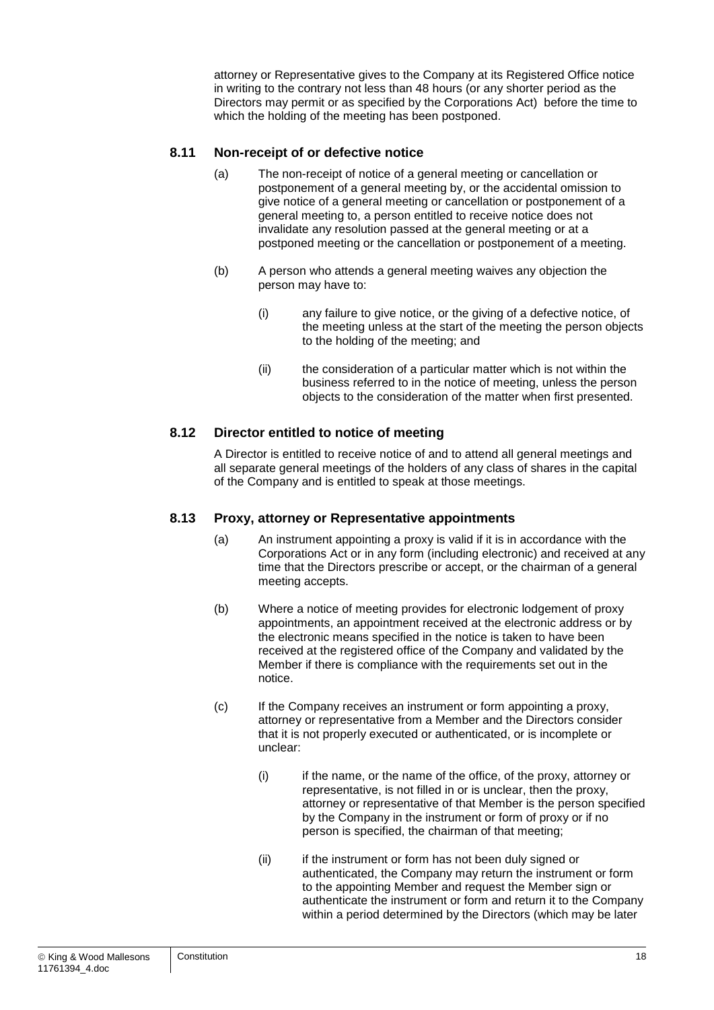attorney or Representative gives to the Company at its Registered Office notice in writing to the contrary not less than 48 hours (or any shorter period as the Directors may permit or as specified by the Corporations Act) before the time to which the holding of the meeting has been postponed.

#### **8.11 Non-receipt of or defective notice**

- (a) The non-receipt of notice of a general meeting or cancellation or postponement of a general meeting by, or the accidental omission to give notice of a general meeting or cancellation or postponement of a general meeting to, a person entitled to receive notice does not invalidate any resolution passed at the general meeting or at a postponed meeting or the cancellation or postponement of a meeting.
- (b) A person who attends a general meeting waives any objection the person may have to:
	- (i) any failure to give notice, or the giving of a defective notice, of the meeting unless at the start of the meeting the person objects to the holding of the meeting; and
	- (ii) the consideration of a particular matter which is not within the business referred to in the notice of meeting, unless the person objects to the consideration of the matter when first presented.

#### **8.12 Director entitled to notice of meeting**

A Director is entitled to receive notice of and to attend all general meetings and all separate general meetings of the holders of any class of shares in the capital of the Company and is entitled to speak at those meetings.

#### **8.13 Proxy, attorney or Representative appointments**

- (a) An instrument appointing a proxy is valid if it is in accordance with the Corporations Act or in any form (including electronic) and received at any time that the Directors prescribe or accept, or the chairman of a general meeting accepts.
- (b) Where a notice of meeting provides for electronic lodgement of proxy appointments, an appointment received at the electronic address or by the electronic means specified in the notice is taken to have been received at the registered office of the Company and validated by the Member if there is compliance with the requirements set out in the notice.
- (c) If the Company receives an instrument or form appointing a proxy, attorney or representative from a Member and the Directors consider that it is not properly executed or authenticated, or is incomplete or unclear:
	- (i) if the name, or the name of the office, of the proxy, attorney or representative, is not filled in or is unclear, then the proxy, attorney or representative of that Member is the person specified by the Company in the instrument or form of proxy or if no person is specified, the chairman of that meeting;
	- (ii) if the instrument or form has not been duly signed or authenticated, the Company may return the instrument or form to the appointing Member and request the Member sign or authenticate the instrument or form and return it to the Company within a period determined by the Directors (which may be later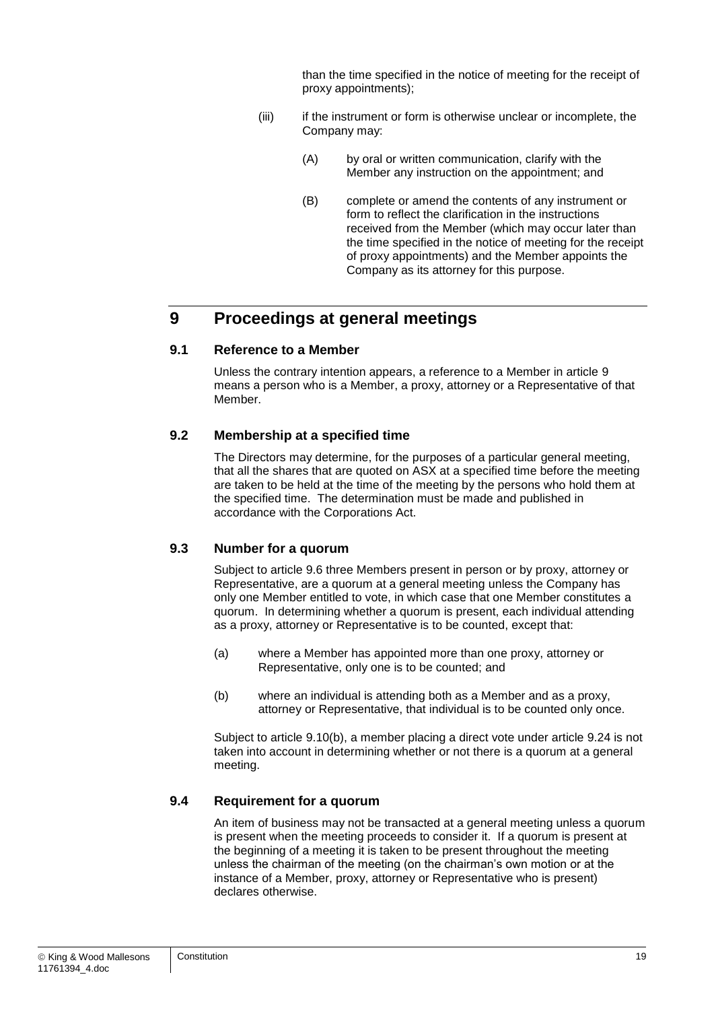than the time specified in the notice of meeting for the receipt of proxy appointments);

- (iii) if the instrument or form is otherwise unclear or incomplete, the Company may:
	- (A) by oral or written communication, clarify with the Member any instruction on the appointment; and
	- (B) complete or amend the contents of any instrument or form to reflect the clarification in the instructions received from the Member (which may occur later than the time specified in the notice of meeting for the receipt of proxy appointments) and the Member appoints the Company as its attorney for this purpose.

## <span id="page-19-0"></span>**9 Proceedings at general meetings**

#### **9.1 Reference to a Member**

Unless the contrary intention appears, a reference to a Member in article [9](#page-19-0) means a person who is a Member, a proxy, attorney or a Representative of that Member.

#### **9.2 Membership at a specified time**

The Directors may determine, for the purposes of a particular general meeting, that all the shares that are quoted on ASX at a specified time before the meeting are taken to be held at the time of the meeting by the persons who hold them at the specified time. The determination must be made and published in accordance with the Corporations Act.

#### **9.3 Number for a quorum**

Subject to article [9.6](#page-20-0) three Members present in person or by proxy, attorney or Representative, are a quorum at a general meeting unless the Company has only one Member entitled to vote, in which case that one Member constitutes a quorum. In determining whether a quorum is present, each individual attending as a proxy, attorney or Representative is to be counted, except that:

- (a) where a Member has appointed more than one proxy, attorney or Representative, only one is to be counted; and
- (b) where an individual is attending both as a Member and as a proxy, attorney or Representative, that individual is to be counted only once.

Subject to article [9.10\(b\),](#page-22-0) a member placing a direct vote under article [9.24](#page-25-0) is not taken into account in determining whether or not there is a quorum at a general meeting.

#### **9.4 Requirement for a quorum**

An item of business may not be transacted at a general meeting unless a quorum is present when the meeting proceeds to consider it. If a quorum is present at the beginning of a meeting it is taken to be present throughout the meeting unless the chairman of the meeting (on the chairman's own motion or at the instance of a Member, proxy, attorney or Representative who is present) declares otherwise.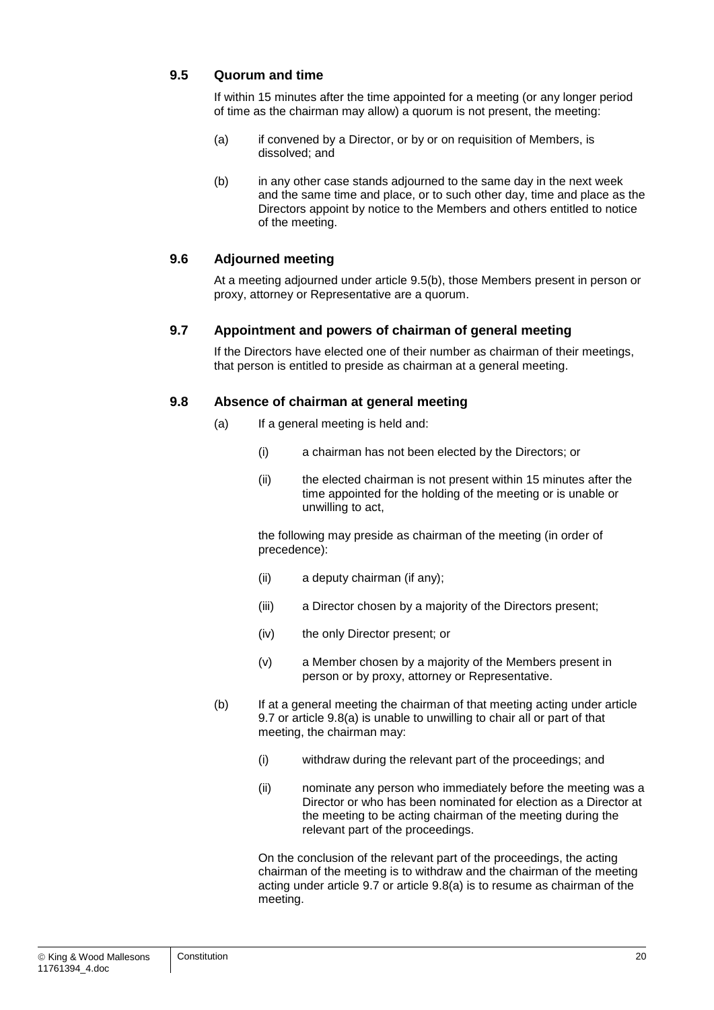#### **9.5 Quorum and time**

If within 15 minutes after the time appointed for a meeting (or any longer period of time as the chairman may allow) a quorum is not present, the meeting:

- (a) if convened by a Director, or by or on requisition of Members, is dissolved; and
- <span id="page-20-1"></span>(b) in any other case stands adjourned to the same day in the next week and the same time and place, or to such other day, time and place as the Directors appoint by notice to the Members and others entitled to notice of the meeting.

#### <span id="page-20-0"></span>**9.6 Adjourned meeting**

At a meeting adjourned under article [9.5\(b\),](#page-20-1) those Members present in person or proxy, attorney or Representative are a quorum.

#### <span id="page-20-2"></span>**9.7 Appointment and powers of chairman of general meeting**

If the Directors have elected one of their number as chairman of their meetings, that person is entitled to preside as chairman at a general meeting.

#### <span id="page-20-3"></span>**9.8 Absence of chairman at general meeting**

- (a) If a general meeting is held and:
	- (i) a chairman has not been elected by the Directors; or
	- (ii) the elected chairman is not present within 15 minutes after the time appointed for the holding of the meeting or is unable or unwilling to act,

the following may preside as chairman of the meeting (in order of precedence):

- (ii) a deputy chairman (if any);
- (iii) a Director chosen by a majority of the Directors present;
- (iv) the only Director present; or
- (v) a Member chosen by a majority of the Members present in person or by proxy, attorney or Representative.
- (b) If at a general meeting the chairman of that meeting acting under article [9.7](#page-20-2) or article [9.8\(a\)](#page-20-3) is unable to unwilling to chair all or part of that meeting, the chairman may:
	- (i) withdraw during the relevant part of the proceedings; and
	- (ii) nominate any person who immediately before the meeting was a Director or who has been nominated for election as a Director at the meeting to be acting chairman of the meeting during the relevant part of the proceedings.

On the conclusion of the relevant part of the proceedings, the acting chairman of the meeting is to withdraw and the chairman of the meeting acting under article [9.7](#page-20-2) or article [9.8\(a\)](#page-20-3) is to resume as chairman of the meeting.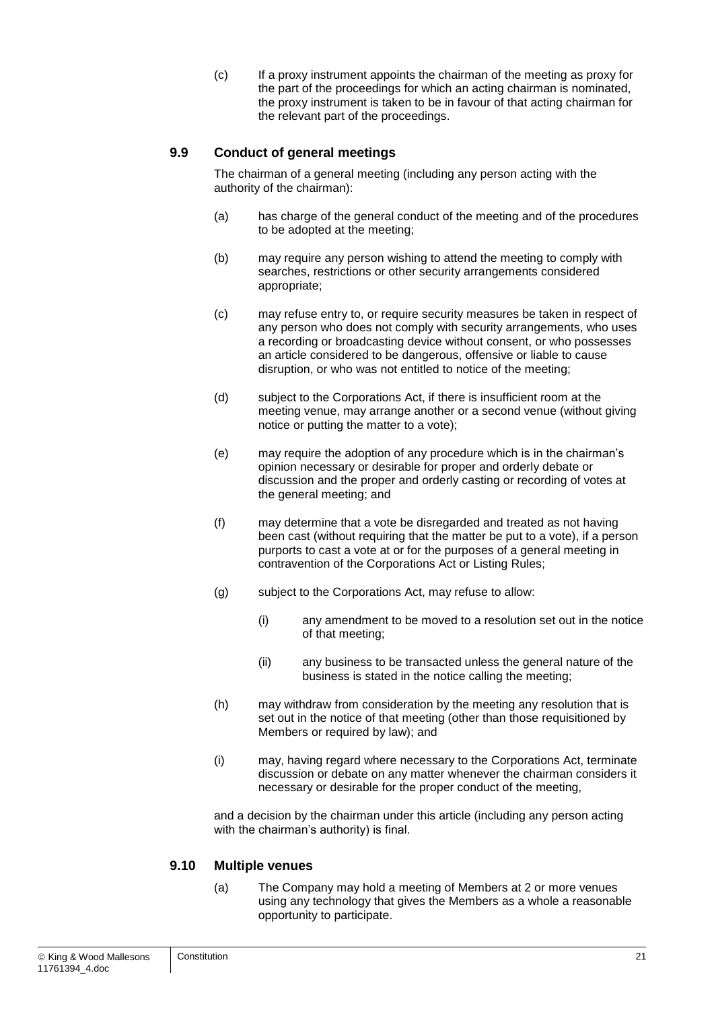(c) If a proxy instrument appoints the chairman of the meeting as proxy for the part of the proceedings for which an acting chairman is nominated, the proxy instrument is taken to be in favour of that acting chairman for the relevant part of the proceedings.

#### **9.9 Conduct of general meetings**

The chairman of a general meeting (including any person acting with the authority of the chairman):

- (a) has charge of the general conduct of the meeting and of the procedures to be adopted at the meeting;
- (b) may require any person wishing to attend the meeting to comply with searches, restrictions or other security arrangements considered appropriate;
- (c) may refuse entry to, or require security measures be taken in respect of any person who does not comply with security arrangements, who uses a recording or broadcasting device without consent, or who possesses an article considered to be dangerous, offensive or liable to cause disruption, or who was not entitled to notice of the meeting;
- (d) subject to the Corporations Act, if there is insufficient room at the meeting venue, may arrange another or a second venue (without giving notice or putting the matter to a vote);
- (e) may require the adoption of any procedure which is in the chairman's opinion necessary or desirable for proper and orderly debate or discussion and the proper and orderly casting or recording of votes at the general meeting; and
- (f) may determine that a vote be disregarded and treated as not having been cast (without requiring that the matter be put to a vote), if a person purports to cast a vote at or for the purposes of a general meeting in contravention of the Corporations Act or Listing Rules;
- (g) subject to the Corporations Act, may refuse to allow:
	- (i) any amendment to be moved to a resolution set out in the notice of that meeting;
	- (ii) any business to be transacted unless the general nature of the business is stated in the notice calling the meeting;
- (h) may withdraw from consideration by the meeting any resolution that is set out in the notice of that meeting (other than those requisitioned by Members or required by law); and
- (i) may, having regard where necessary to the Corporations Act, terminate discussion or debate on any matter whenever the chairman considers it necessary or desirable for the proper conduct of the meeting,

and a decision by the chairman under this article (including any person acting with the chairman's authority) is final.

#### **9.10 Multiple venues**

(a) The Company may hold a meeting of Members at 2 or more venues using any technology that gives the Members as a whole a reasonable opportunity to participate.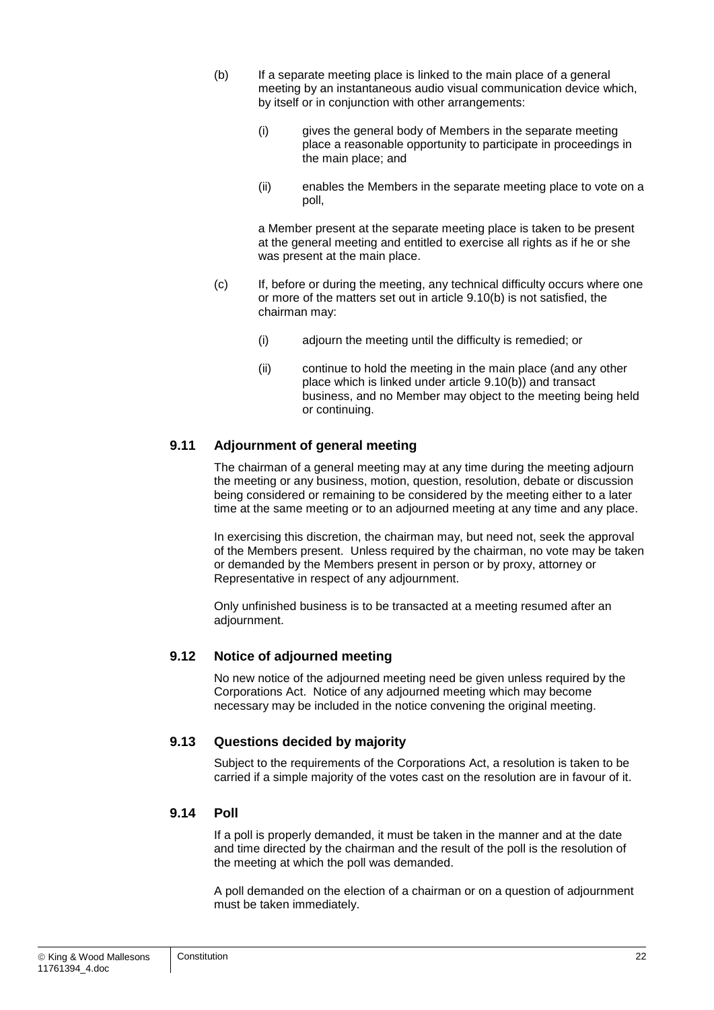- <span id="page-22-0"></span>(b) If a separate meeting place is linked to the main place of a general meeting by an instantaneous audio visual communication device which, by itself or in conjunction with other arrangements:
	- (i) gives the general body of Members in the separate meeting place a reasonable opportunity to participate in proceedings in the main place; and
	- (ii) enables the Members in the separate meeting place to vote on a poll,

a Member present at the separate meeting place is taken to be present at the general meeting and entitled to exercise all rights as if he or she was present at the main place.

- (c) If, before or during the meeting, any technical difficulty occurs where one or more of the matters set out in article [9.10\(b\)](#page-22-0) is not satisfied, the chairman may:
	- (i) adjourn the meeting until the difficulty is remedied; or
	- (ii) continue to hold the meeting in the main place (and any other place which is linked under article [9.10\(b\)\)](#page-22-0) and transact business, and no Member may object to the meeting being held or continuing.

#### **9.11 Adjournment of general meeting**

The chairman of a general meeting may at any time during the meeting adjourn the meeting or any business, motion, question, resolution, debate or discussion being considered or remaining to be considered by the meeting either to a later time at the same meeting or to an adjourned meeting at any time and any place.

In exercising this discretion, the chairman may, but need not, seek the approval of the Members present. Unless required by the chairman, no vote may be taken or demanded by the Members present in person or by proxy, attorney or Representative in respect of any adjournment.

Only unfinished business is to be transacted at a meeting resumed after an adjournment.

#### **9.12 Notice of adjourned meeting**

No new notice of the adjourned meeting need be given unless required by the Corporations Act. Notice of any adjourned meeting which may become necessary may be included in the notice convening the original meeting.

#### **9.13 Questions decided by majority**

Subject to the requirements of the Corporations Act, a resolution is taken to be carried if a simple majority of the votes cast on the resolution are in favour of it.

#### **9.14 Poll**

If a poll is properly demanded, it must be taken in the manner and at the date and time directed by the chairman and the result of the poll is the resolution of the meeting at which the poll was demanded.

A poll demanded on the election of a chairman or on a question of adjournment must be taken immediately.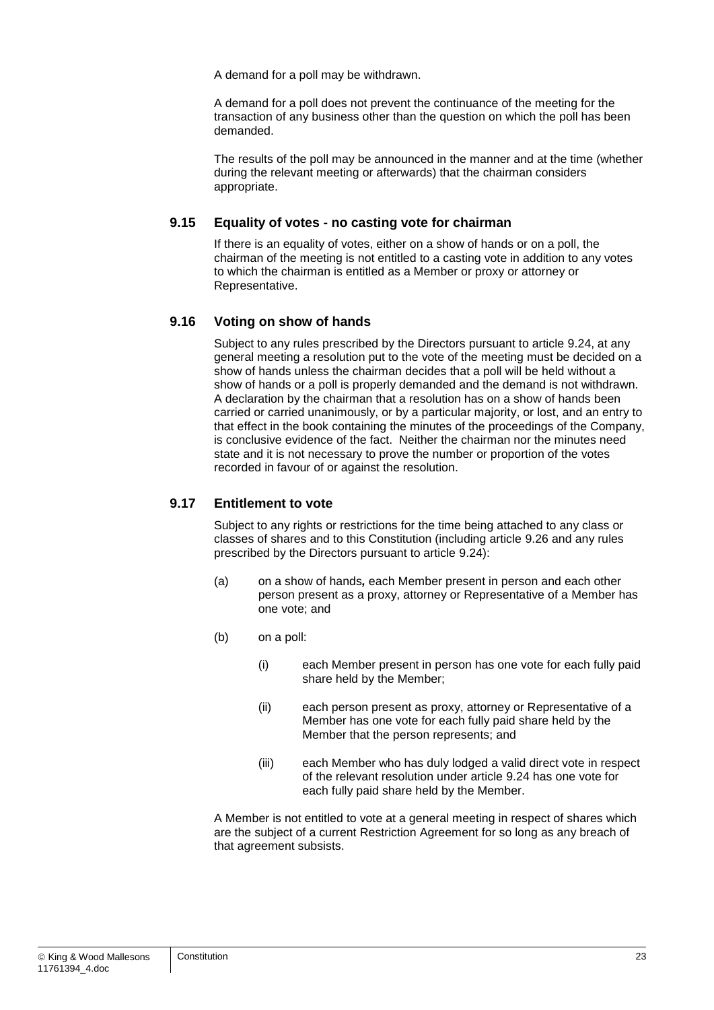A demand for a poll may be withdrawn.

A demand for a poll does not prevent the continuance of the meeting for the transaction of any business other than the question on which the poll has been demanded.

The results of the poll may be announced in the manner and at the time (whether during the relevant meeting or afterwards) that the chairman considers appropriate.

#### **9.15 Equality of votes - no casting vote for chairman**

If there is an equality of votes, either on a show of hands or on a poll, the chairman of the meeting is not entitled to a casting vote in addition to any votes to which the chairman is entitled as a Member or proxy or attorney or Representative.

#### **9.16 Voting on show of hands**

Subject to any rules prescribed by the Directors pursuant to article [9.24,](#page-25-0) at any general meeting a resolution put to the vote of the meeting must be decided on a show of hands unless the chairman decides that a poll will be held without a show of hands or a poll is properly demanded and the demand is not withdrawn. A declaration by the chairman that a resolution has on a show of hands been carried or carried unanimously, or by a particular majority, or lost, and an entry to that effect in the book containing the minutes of the proceedings of the Company, is conclusive evidence of the fact. Neither the chairman nor the minutes need state and it is not necessary to prove the number or proportion of the votes recorded in favour of or against the resolution.

#### <span id="page-23-0"></span>**9.17 Entitlement to vote**

Subject to any rights or restrictions for the time being attached to any class or classes of shares and to this Constitution (including article [9.26](#page-25-1) and any rules prescribed by the Directors pursuant to article [9.24\)](#page-25-0):

- (a) on a show of hands*,* each Member present in person and each other person present as a proxy, attorney or Representative of a Member has one vote; and
- (b) on a poll:
	- (i) each Member present in person has one vote for each fully paid share held by the Member;
	- (ii) each person present as proxy, attorney or Representative of a Member has one vote for each fully paid share held by the Member that the person represents; and
	- (iii) each Member who has duly lodged a valid direct vote in respect of the relevant resolution under article [9.24](#page-25-0) has one vote for each fully paid share held by the Member.

A Member is not entitled to vote at a general meeting in respect of shares which are the subject of a current Restriction Agreement for so long as any breach of that agreement subsists.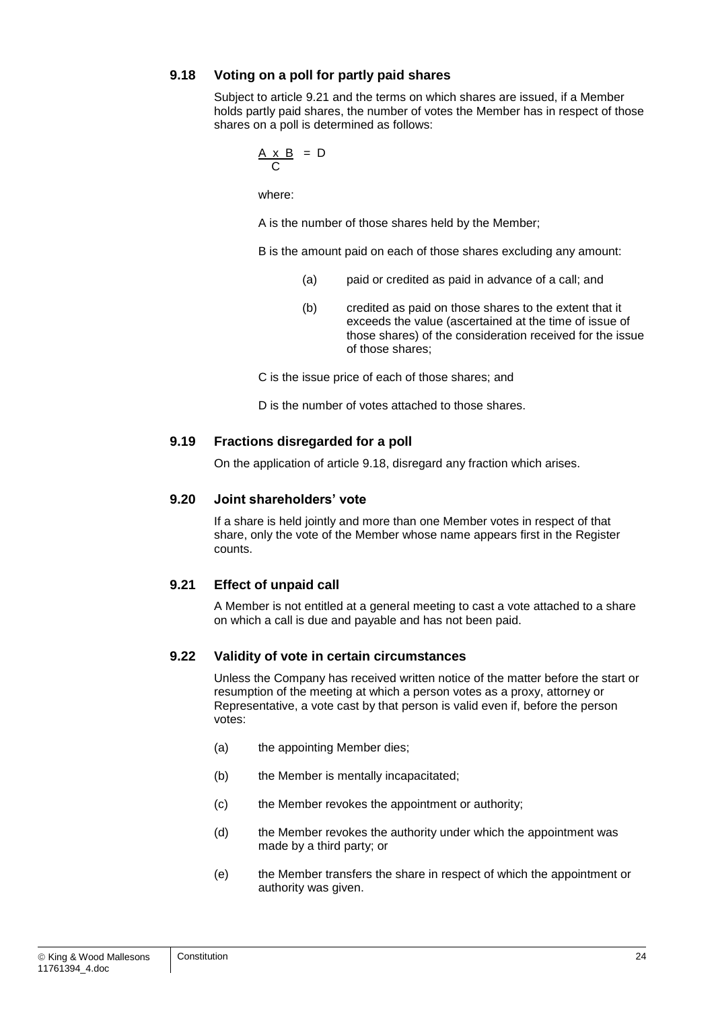#### <span id="page-24-1"></span>**9.18 Voting on a poll for partly paid shares**

Subject to article [9.21](#page-24-0) and the terms on which shares are issued, if a Member holds partly paid shares, the number of votes the Member has in respect of those shares on a poll is determined as follows:

$$
\frac{A \times B}{C} = D
$$

where:

A is the number of those shares held by the Member;

B is the amount paid on each of those shares excluding any amount:

- (a) paid or credited as paid in advance of a call; and
- (b) credited as paid on those shares to the extent that it exceeds the value (ascertained at the time of issue of those shares) of the consideration received for the issue of those shares;

C is the issue price of each of those shares; and

D is the number of votes attached to those shares.

#### **9.19 Fractions disregarded for a poll**

On the application of article [9.18,](#page-24-1) disregard any fraction which arises.

#### **9.20 Joint shareholders' vote**

If a share is held jointly and more than one Member votes in respect of that share, only the vote of the Member whose name appears first in the Register counts.

#### <span id="page-24-0"></span>**9.21 Effect of unpaid call**

A Member is not entitled at a general meeting to cast a vote attached to a share on which a call is due and payable and has not been paid.

#### **9.22 Validity of vote in certain circumstances**

Unless the Company has received written notice of the matter before the start or resumption of the meeting at which a person votes as a proxy, attorney or Representative, a vote cast by that person is valid even if, before the person votes:

- (a) the appointing Member dies;
- (b) the Member is mentally incapacitated;
- (c) the Member revokes the appointment or authority;
- (d) the Member revokes the authority under which the appointment was made by a third party; or
- (e) the Member transfers the share in respect of which the appointment or authority was given.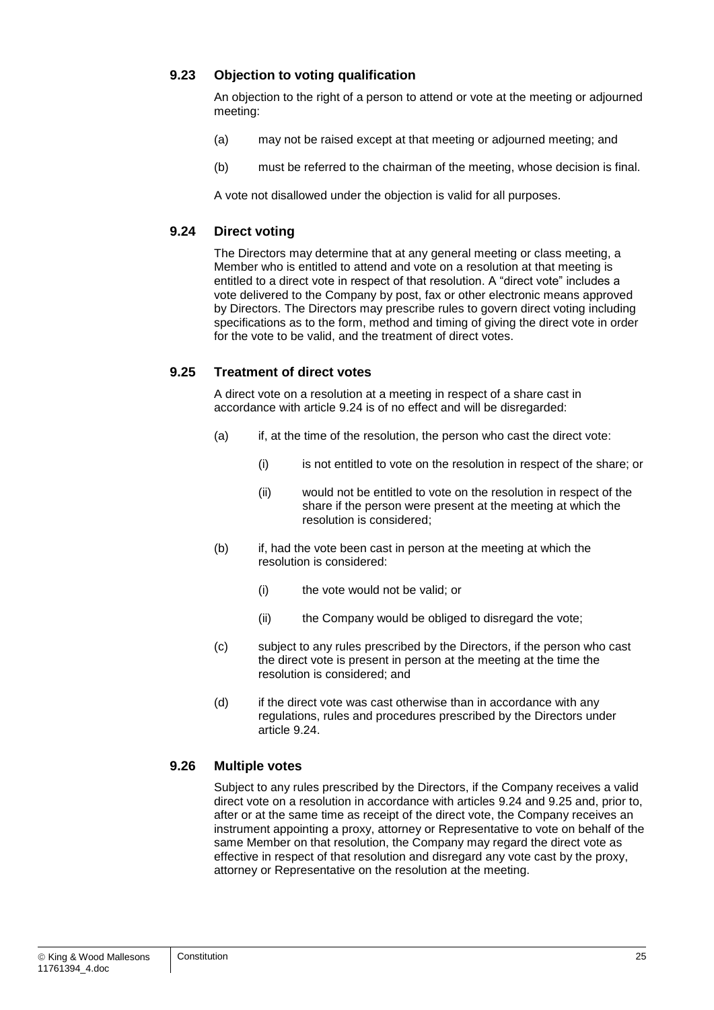#### **9.23 Objection to voting qualification**

An objection to the right of a person to attend or vote at the meeting or adjourned meeting:

- (a) may not be raised except at that meeting or adjourned meeting; and
- (b) must be referred to the chairman of the meeting, whose decision is final.

A vote not disallowed under the objection is valid for all purposes.

#### <span id="page-25-0"></span>**9.24 Direct voting**

The Directors may determine that at any general meeting or class meeting, a Member who is entitled to attend and vote on a resolution at that meeting is entitled to a direct vote in respect of that resolution. A "direct vote" includes a vote delivered to the Company by post, fax or other electronic means approved by Directors. The Directors may prescribe rules to govern direct voting including specifications as to the form, method and timing of giving the direct vote in order for the vote to be valid, and the treatment of direct votes.

#### <span id="page-25-2"></span>**9.25 Treatment of direct votes**

A direct vote on a resolution at a meeting in respect of a share cast in accordance with article [9.24](#page-25-0) is of no effect and will be disregarded:

- (a) if, at the time of the resolution, the person who cast the direct vote:
	- (i) is not entitled to vote on the resolution in respect of the share; or
	- (ii) would not be entitled to vote on the resolution in respect of the share if the person were present at the meeting at which the resolution is considered;
- (b) if, had the vote been cast in person at the meeting at which the resolution is considered:
	- (i) the vote would not be valid; or
	- (ii) the Company would be obliged to disregard the vote;
- (c) subject to any rules prescribed by the Directors, if the person who cast the direct vote is present in person at the meeting at the time the resolution is considered; and
- (d) if the direct vote was cast otherwise than in accordance with any regulations, rules and procedures prescribed by the Directors under article [9.24.](#page-25-0)

#### <span id="page-25-1"></span>**9.26 Multiple votes**

Subject to any rules prescribed by the Directors, if the Company receives a valid direct vote on a resolution in accordance with articles [9.24](#page-25-0) and [9.25](#page-25-2) and, prior to, after or at the same time as receipt of the direct vote, the Company receives an instrument appointing a proxy, attorney or Representative to vote on behalf of the same Member on that resolution, the Company may regard the direct vote as effective in respect of that resolution and disregard any vote cast by the proxy, attorney or Representative on the resolution at the meeting.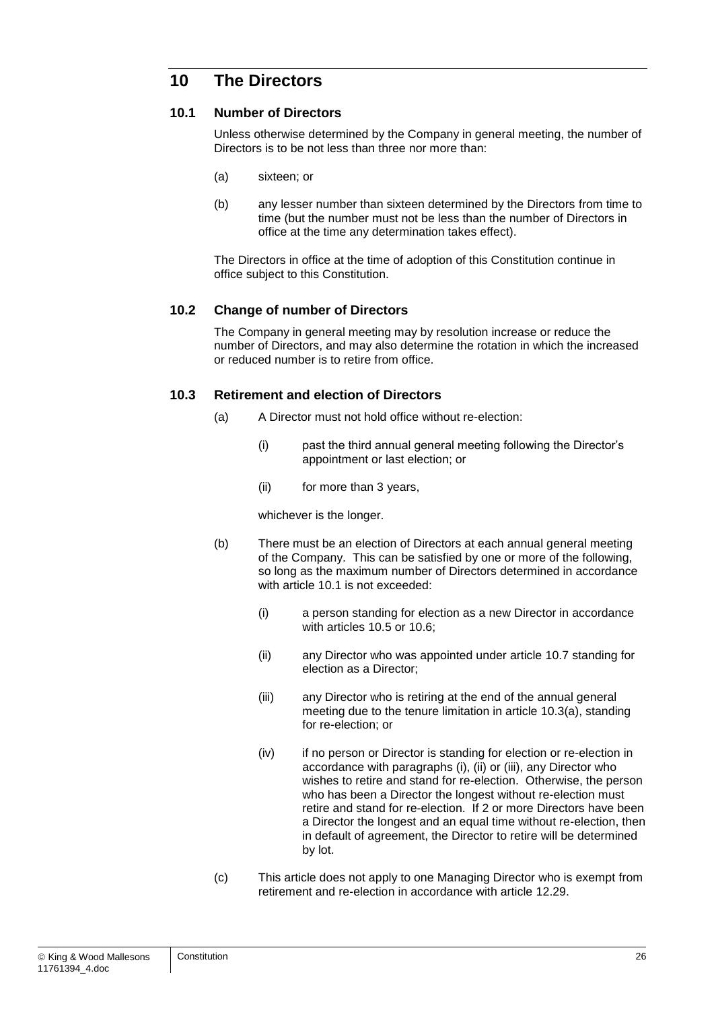## **10 The Directors**

#### <span id="page-26-0"></span>**10.1 Number of Directors**

Unless otherwise determined by the Company in general meeting, the number of Directors is to be not less than three nor more than:

- (a) sixteen; or
- (b) any lesser number than sixteen determined by the Directors from time to time (but the number must not be less than the number of Directors in office at the time any determination takes effect).

The Directors in office at the time of adoption of this Constitution continue in office subject to this Constitution.

#### **10.2 Change of number of Directors**

The Company in general meeting may by resolution increase or reduce the number of Directors, and may also determine the rotation in which the increased or reduced number is to retire from office.

#### <span id="page-26-2"></span><span id="page-26-1"></span>**10.3 Retirement and election of Directors**

- (a) A Director must not hold office without re-election:
	- (i) past the third annual general meeting following the Director's appointment or last election; or
	- (ii) for more than 3 years,

whichever is the longer.

- (b) There must be an election of Directors at each annual general meeting of the Company. This can be satisfied by one or more of the following, so long as the maximum number of Directors determined in accordance with article [10.1](#page-26-0) is not exceeded:
	- (i) a person standing for election as a new Director in accordance with articles [10.5](#page-27-0) or [10.6;](#page-27-1)
	- (ii) any Director who was appointed under article [10.7](#page-27-2) standing for election as a Director;
	- (iii) any Director who is retiring at the end of the annual general meeting due to the tenure limitation in article [10.3\(a\),](#page-26-1) standing for re-election; or
	- (iv) if no person or Director is standing for election or re-election in accordance with paragraphs (i), (ii) or (iii), any Director who wishes to retire and stand for re-election. Otherwise, the person who has been a Director the longest without re-election must retire and stand for re-election. If 2 or more Directors have been a Director the longest and an equal time without re-election, then in default of agreement, the Director to retire will be determined by lot.
- (c) This article does not apply to one Managing Director who is exempt from retirement and re-election in accordance with article [12.29.](#page-35-0)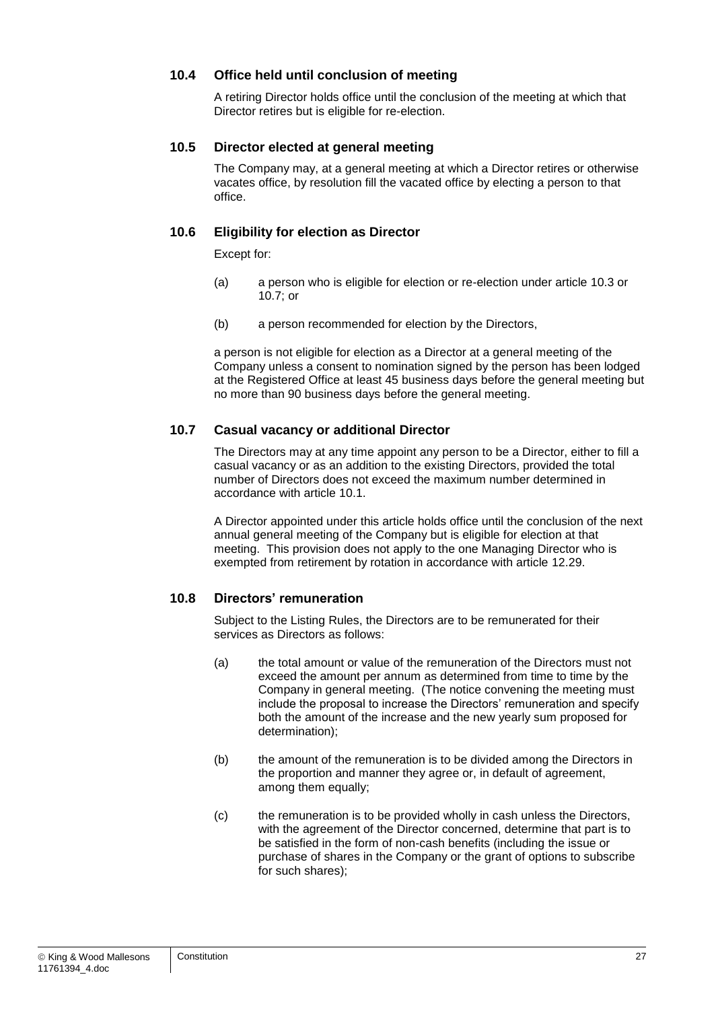#### **10.4 Office held until conclusion of meeting**

A retiring Director holds office until the conclusion of the meeting at which that Director retires but is eligible for re-election.

#### <span id="page-27-0"></span>**10.5 Director elected at general meeting**

The Company may, at a general meeting at which a Director retires or otherwise vacates office, by resolution fill the vacated office by electing a person to that office.

#### <span id="page-27-1"></span>**10.6 Eligibility for election as Director**

Except for:

- (a) a person who is eligible for election or re-election under article [10.3](#page-26-2) or [10.7;](#page-27-2) or
- (b) a person recommended for election by the Directors,

a person is not eligible for election as a Director at a general meeting of the Company unless a consent to nomination signed by the person has been lodged at the Registered Office at least 45 business days before the general meeting but no more than 90 business days before the general meeting.

#### <span id="page-27-2"></span>**10.7 Casual vacancy or additional Director**

The Directors may at any time appoint any person to be a Director, either to fill a casual vacancy or as an addition to the existing Directors, provided the total number of Directors does not exceed the maximum number determined in accordance with article [10.1.](#page-26-0)

A Director appointed under this article holds office until the conclusion of the next annual general meeting of the Company but is eligible for election at that meeting. This provision does not apply to the one Managing Director who is exempted from retirement by rotation in accordance with article [12.29.](#page-35-0)

#### <span id="page-27-5"></span>**10.8 Directors' remuneration**

Subject to the Listing Rules, the Directors are to be remunerated for their services as Directors as follows:

- <span id="page-27-3"></span>(a) the total amount or value of the remuneration of the Directors must not exceed the amount per annum as determined from time to time by the Company in general meeting. (The notice convening the meeting must include the proposal to increase the Directors' remuneration and specify both the amount of the increase and the new yearly sum proposed for determination);
- (b) the amount of the remuneration is to be divided among the Directors in the proportion and manner they agree or, in default of agreement, among them equally;
- <span id="page-27-4"></span>(c) the remuneration is to be provided wholly in cash unless the Directors, with the agreement of the Director concerned, determine that part is to be satisfied in the form of non-cash benefits (including the issue or purchase of shares in the Company or the grant of options to subscribe for such shares);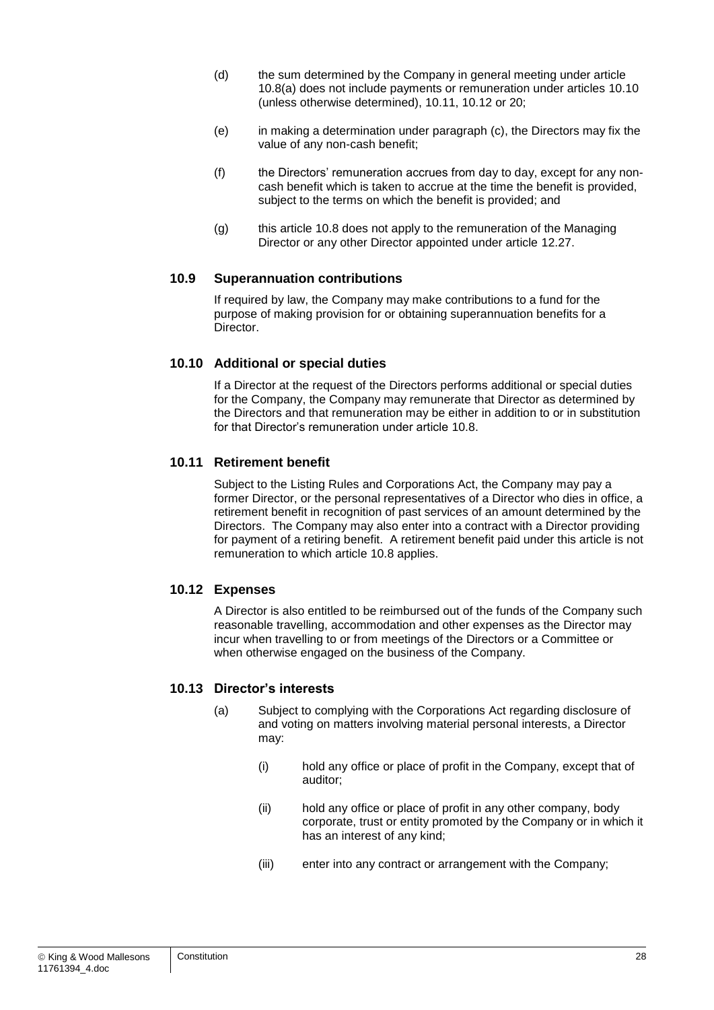- (d) the sum determined by the Company in general meeting under article [10.8\(a\)](#page-27-3) does not include payments or remuneration under articles [10.10](#page-28-0) (unless otherwise determined), [10.11,](#page-28-1) [10.12](#page-28-2) or [20;](#page-42-0)
- (e) in making a determination under paragraph [\(c\),](#page-27-4) the Directors may fix the value of any non-cash benefit;
- (f) the Directors' remuneration accrues from day to day, except for any noncash benefit which is taken to accrue at the time the benefit is provided, subject to the terms on which the benefit is provided; and
- (g) this article [10.8](#page-27-5) does not apply to the remuneration of the Managing Director or any other Director appointed under article [12.27.](#page-34-0)

#### <span id="page-28-3"></span>**10.9 Superannuation contributions**

If required by law, the Company may make contributions to a fund for the purpose of making provision for or obtaining superannuation benefits for a Director.

#### <span id="page-28-0"></span>**10.10 Additional or special duties**

If a Director at the request of the Directors performs additional or special duties for the Company, the Company may remunerate that Director as determined by the Directors and that remuneration may be either in addition to or in substitution for that Director's remuneration under article [10.8.](#page-27-5)

#### <span id="page-28-1"></span>**10.11 Retirement benefit**

Subject to the Listing Rules and Corporations Act, the Company may pay a former Director, or the personal representatives of a Director who dies in office, a retirement benefit in recognition of past services of an amount determined by the Directors. The Company may also enter into a contract with a Director providing for payment of a retiring benefit. A retirement benefit paid under this article is not remuneration to which article [10.8](#page-27-5) applies.

#### <span id="page-28-2"></span>**10.12 Expenses**

A Director is also entitled to be reimbursed out of the funds of the Company such reasonable travelling, accommodation and other expenses as the Director may incur when travelling to or from meetings of the Directors or a Committee or when otherwise engaged on the business of the Company.

#### **10.13 Director's interests**

- (a) Subject to complying with the Corporations Act regarding disclosure of and voting on matters involving material personal interests, a Director may:
	- (i) hold any office or place of profit in the Company, except that of auditor;
	- (ii) hold any office or place of profit in any other company, body corporate, trust or entity promoted by the Company or in which it has an interest of any kind;
	- (iii) enter into any contract or arrangement with the Company;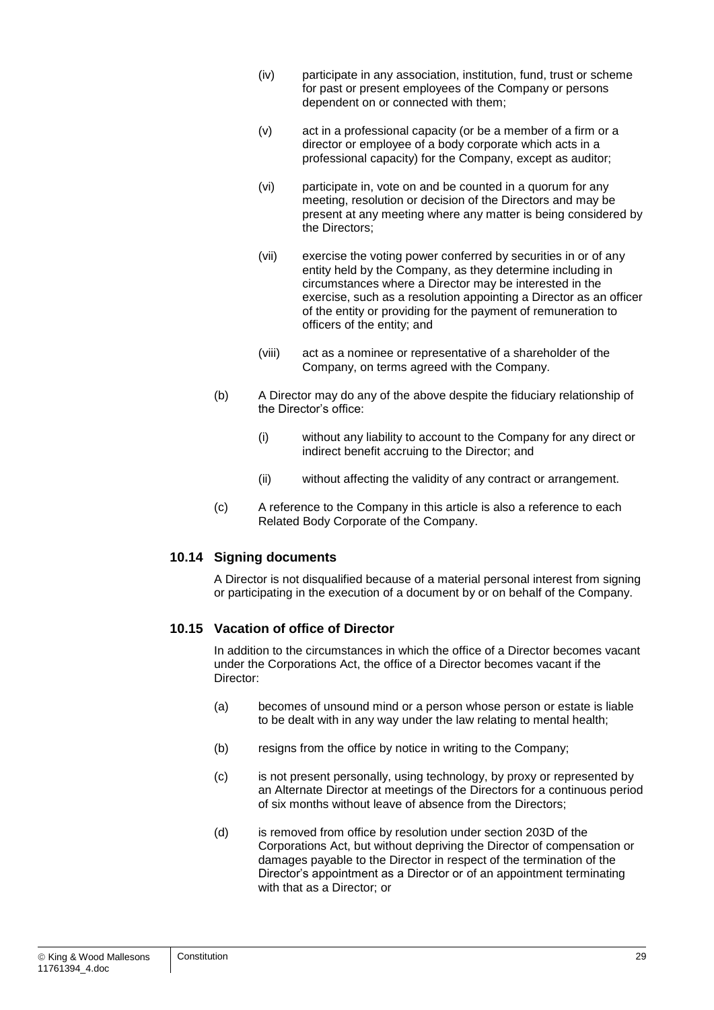- (iv) participate in any association, institution, fund, trust or scheme for past or present employees of the Company or persons dependent on or connected with them;
- (v) act in a professional capacity (or be a member of a firm or a director or employee of a body corporate which acts in a professional capacity) for the Company, except as auditor;
- (vi) participate in, vote on and be counted in a quorum for any meeting, resolution or decision of the Directors and may be present at any meeting where any matter is being considered by the Directors;
- (vii) exercise the voting power conferred by securities in or of any entity held by the Company, as they determine including in circumstances where a Director may be interested in the exercise, such as a resolution appointing a Director as an officer of the entity or providing for the payment of remuneration to officers of the entity; and
- (viii) act as a nominee or representative of a shareholder of the Company, on terms agreed with the Company.
- (b) A Director may do any of the above despite the fiduciary relationship of the Director's office:
	- (i) without any liability to account to the Company for any direct or indirect benefit accruing to the Director; and
	- (ii) without affecting the validity of any contract or arrangement.
- (c) A reference to the Company in this article is also a reference to each Related Body Corporate of the Company.

#### **10.14 Signing documents**

A Director is not disqualified because of a material personal interest from signing or participating in the execution of a document by or on behalf of the Company.

#### **10.15 Vacation of office of Director**

In addition to the circumstances in which the office of a Director becomes vacant under the Corporations Act, the office of a Director becomes vacant if the Director:

- (a) becomes of unsound mind or a person whose person or estate is liable to be dealt with in any way under the law relating to mental health;
- (b) resigns from the office by notice in writing to the Company;
- (c) is not present personally, using technology, by proxy or represented by an Alternate Director at meetings of the Directors for a continuous period of six months without leave of absence from the Directors;
- (d) is removed from office by resolution under section 203D of the Corporations Act, but without depriving the Director of compensation or damages payable to the Director in respect of the termination of the Director's appointment as a Director or of an appointment terminating with that as a Director; or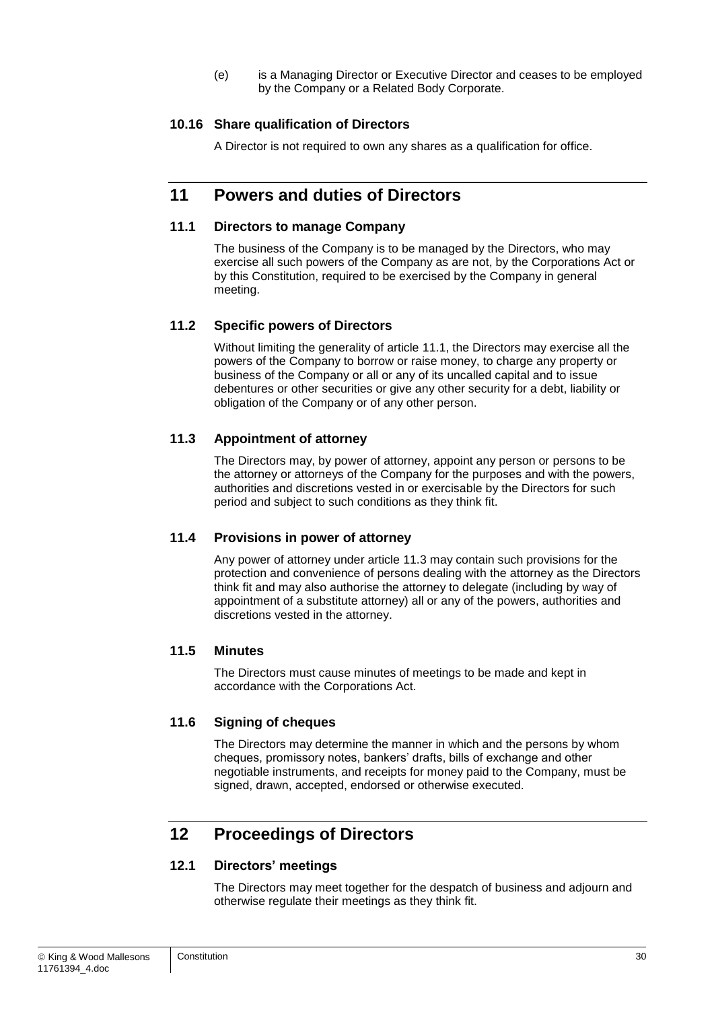(e) is a Managing Director or Executive Director and ceases to be employed by the Company or a Related Body Corporate.

#### **10.16 Share qualification of Directors**

A Director is not required to own any shares as a qualification for office.

## **11 Powers and duties of Directors**

#### <span id="page-30-0"></span>**11.1 Directors to manage Company**

The business of the Company is to be managed by the Directors, who may exercise all such powers of the Company as are not, by the Corporations Act or by this Constitution, required to be exercised by the Company in general meeting.

#### **11.2 Specific powers of Directors**

Without limiting the generality of article [11.1,](#page-30-0) the Directors may exercise all the powers of the Company to borrow or raise money, to charge any property or business of the Company or all or any of its uncalled capital and to issue debentures or other securities or give any other security for a debt, liability or obligation of the Company or of any other person.

#### <span id="page-30-1"></span>**11.3 Appointment of attorney**

The Directors may, by power of attorney, appoint any person or persons to be the attorney or attorneys of the Company for the purposes and with the powers, authorities and discretions vested in or exercisable by the Directors for such period and subject to such conditions as they think fit.

#### **11.4 Provisions in power of attorney**

Any power of attorney under article [11.3](#page-30-1) may contain such provisions for the protection and convenience of persons dealing with the attorney as the Directors think fit and may also authorise the attorney to delegate (including by way of appointment of a substitute attorney) all or any of the powers, authorities and discretions vested in the attorney.

#### **11.5 Minutes**

The Directors must cause minutes of meetings to be made and kept in accordance with the Corporations Act.

#### **11.6 Signing of cheques**

The Directors may determine the manner in which and the persons by whom cheques, promissory notes, bankers' drafts, bills of exchange and other negotiable instruments, and receipts for money paid to the Company, must be signed, drawn, accepted, endorsed or otherwise executed.

## **12 Proceedings of Directors**

#### **12.1 Directors' meetings**

The Directors may meet together for the despatch of business and adjourn and otherwise regulate their meetings as they think fit.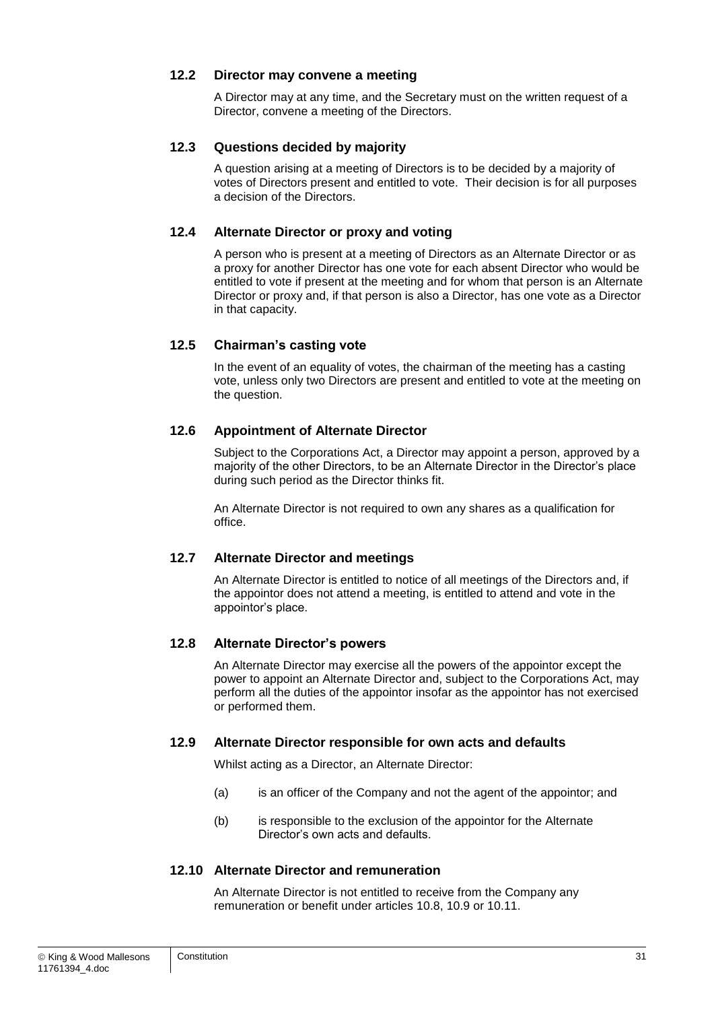#### **12.2 Director may convene a meeting**

A Director may at any time, and the Secretary must on the written request of a Director, convene a meeting of the Directors.

#### **12.3 Questions decided by majority**

A question arising at a meeting of Directors is to be decided by a majority of votes of Directors present and entitled to vote. Their decision is for all purposes a decision of the Directors.

#### **12.4 Alternate Director or proxy and voting**

A person who is present at a meeting of Directors as an Alternate Director or as a proxy for another Director has one vote for each absent Director who would be entitled to vote if present at the meeting and for whom that person is an Alternate Director or proxy and, if that person is also a Director, has one vote as a Director in that capacity.

#### **12.5 Chairman's casting vote**

In the event of an equality of votes, the chairman of the meeting has a casting vote, unless only two Directors are present and entitled to vote at the meeting on the question.

#### <span id="page-31-0"></span>**12.6 Appointment of Alternate Director**

Subject to the Corporations Act, a Director may appoint a person, approved by a majority of the other Directors, to be an Alternate Director in the Director's place during such period as the Director thinks fit.

An Alternate Director is not required to own any shares as a qualification for office.

#### **12.7 Alternate Director and meetings**

An Alternate Director is entitled to notice of all meetings of the Directors and, if the appointor does not attend a meeting, is entitled to attend and vote in the appointor's place.

#### **12.8 Alternate Director's powers**

An Alternate Director may exercise all the powers of the appointor except the power to appoint an Alternate Director and, subject to the Corporations Act, may perform all the duties of the appointor insofar as the appointor has not exercised or performed them.

#### **12.9 Alternate Director responsible for own acts and defaults**

Whilst acting as a Director, an Alternate Director:

- (a) is an officer of the Company and not the agent of the appointor; and
- (b) is responsible to the exclusion of the appointor for the Alternate Director's own acts and defaults.

#### **12.10 Alternate Director and remuneration**

An Alternate Director is not entitled to receive from the Company any remuneration or benefit under articles [10.8,](#page-27-5) [10.9](#page-28-3) or [10.11.](#page-28-1)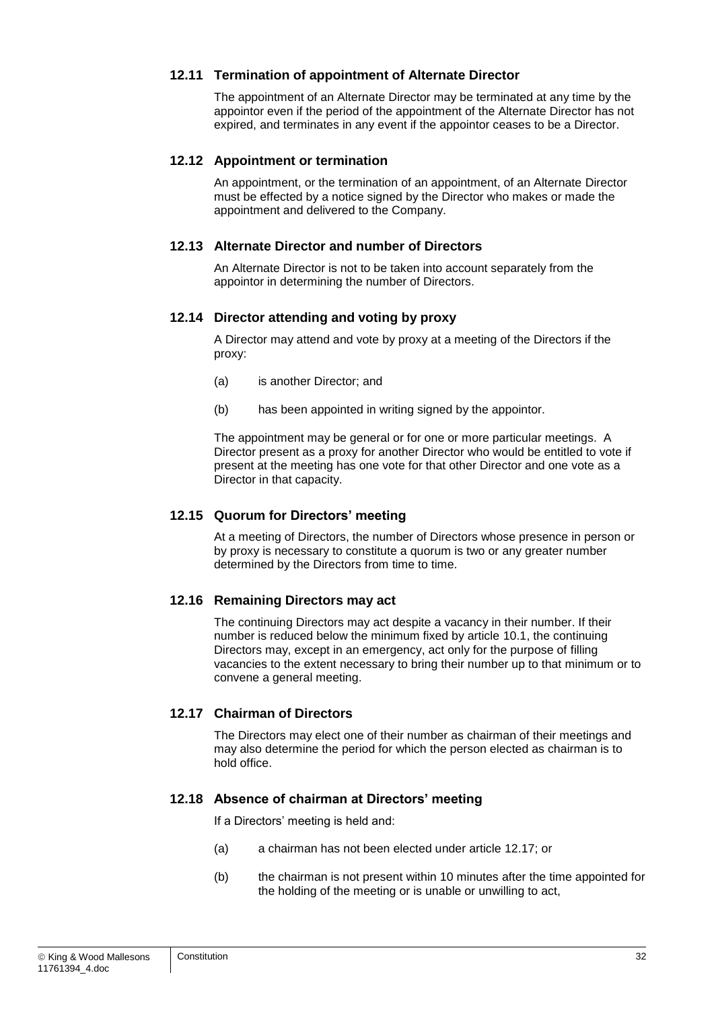#### **12.11 Termination of appointment of Alternate Director**

The appointment of an Alternate Director may be terminated at any time by the appointor even if the period of the appointment of the Alternate Director has not expired, and terminates in any event if the appointor ceases to be a Director.

#### **12.12 Appointment or termination**

An appointment, or the termination of an appointment, of an Alternate Director must be effected by a notice signed by the Director who makes or made the appointment and delivered to the Company.

#### **12.13 Alternate Director and number of Directors**

An Alternate Director is not to be taken into account separately from the appointor in determining the number of Directors.

#### **12.14 Director attending and voting by proxy**

A Director may attend and vote by proxy at a meeting of the Directors if the proxy:

- (a) is another Director; and
- (b) has been appointed in writing signed by the appointor.

The appointment may be general or for one or more particular meetings. A Director present as a proxy for another Director who would be entitled to vote if present at the meeting has one vote for that other Director and one vote as a Director in that capacity.

#### **12.15 Quorum for Directors' meeting**

At a meeting of Directors, the number of Directors whose presence in person or by proxy is necessary to constitute a quorum is two or any greater number determined by the Directors from time to time.

#### **12.16 Remaining Directors may act**

The continuing Directors may act despite a vacancy in their number. If their number is reduced below the minimum fixed by article [10.1,](#page-26-0) the continuing Directors may, except in an emergency, act only for the purpose of filling vacancies to the extent necessary to bring their number up to that minimum or to convene a general meeting.

#### <span id="page-32-0"></span>**12.17 Chairman of Directors**

The Directors may elect one of their number as chairman of their meetings and may also determine the period for which the person elected as chairman is to hold office.

#### **12.18 Absence of chairman at Directors' meeting**

If a Directors' meeting is held and:

- (a) a chairman has not been elected under article [12.17;](#page-32-0) or
- (b) the chairman is not present within 10 minutes after the time appointed for the holding of the meeting or is unable or unwilling to act,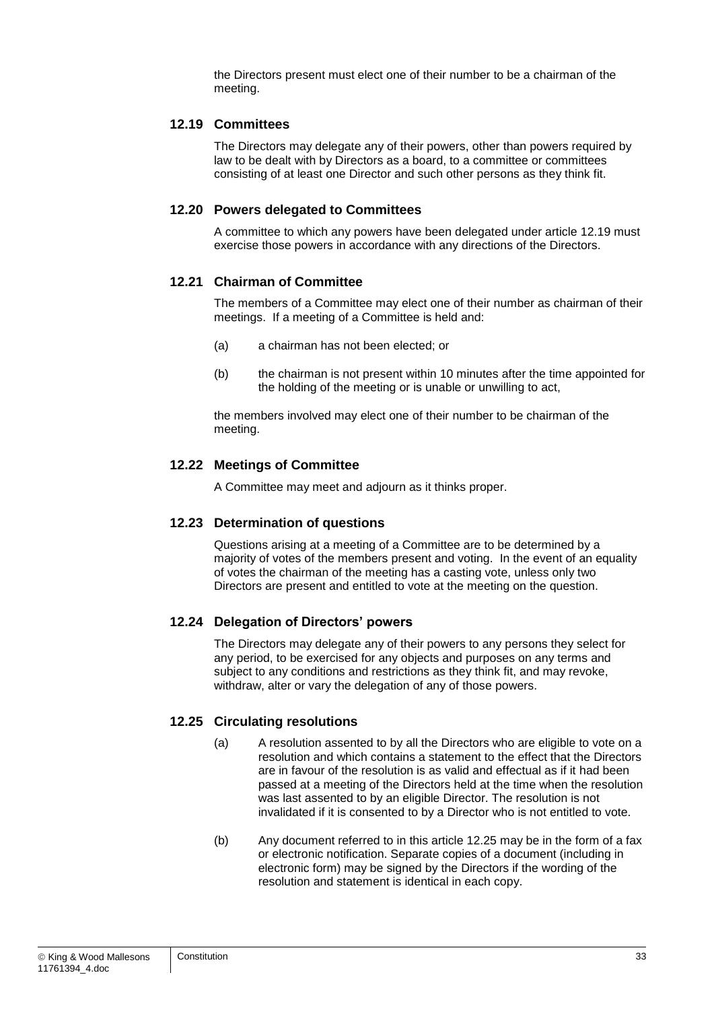the Directors present must elect one of their number to be a chairman of the meeting.

#### <span id="page-33-0"></span>**12.19 Committees**

The Directors may delegate any of their powers, other than powers required by law to be dealt with by Directors as a board, to a committee or committees consisting of at least one Director and such other persons as they think fit.

#### **12.20 Powers delegated to Committees**

A committee to which any powers have been delegated under article [12.19](#page-33-0) must exercise those powers in accordance with any directions of the Directors.

#### **12.21 Chairman of Committee**

The members of a Committee may elect one of their number as chairman of their meetings. If a meeting of a Committee is held and:

- (a) a chairman has not been elected; or
- (b) the chairman is not present within 10 minutes after the time appointed for the holding of the meeting or is unable or unwilling to act,

the members involved may elect one of their number to be chairman of the meeting.

#### **12.22 Meetings of Committee**

A Committee may meet and adjourn as it thinks proper.

#### **12.23 Determination of questions**

Questions arising at a meeting of a Committee are to be determined by a majority of votes of the members present and voting. In the event of an equality of votes the chairman of the meeting has a casting vote, unless only two Directors are present and entitled to vote at the meeting on the question.

#### **12.24 Delegation of Directors' powers**

The Directors may delegate any of their powers to any persons they select for any period, to be exercised for any objects and purposes on any terms and subject to any conditions and restrictions as they think fit, and may revoke, withdraw, alter or vary the delegation of any of those powers.

#### <span id="page-33-1"></span>**12.25 Circulating resolutions**

- (a) A resolution assented to by all the Directors who are eligible to vote on a resolution and which contains a statement to the effect that the Directors are in favour of the resolution is as valid and effectual as if it had been passed at a meeting of the Directors held at the time when the resolution was last assented to by an eligible Director. The resolution is not invalidated if it is consented to by a Director who is not entitled to vote.
- (b) Any document referred to in this article [12.25](#page-33-1) may be in the form of a fax or electronic notification. Separate copies of a document (including in electronic form) may be signed by the Directors if the wording of the resolution and statement is identical in each copy.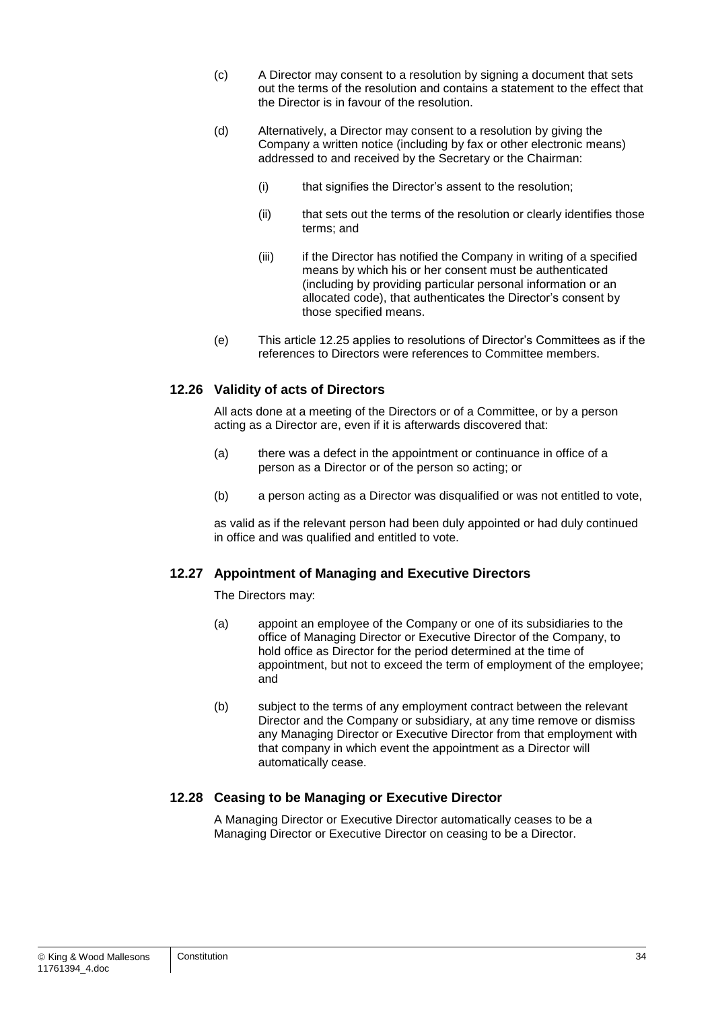- (c) A Director may consent to a resolution by signing a document that sets out the terms of the resolution and contains a statement to the effect that the Director is in favour of the resolution.
- (d) Alternatively, a Director may consent to a resolution by giving the Company a written notice (including by fax or other electronic means) addressed to and received by the Secretary or the Chairman:
	- (i) that signifies the Director's assent to the resolution;
	- (ii) that sets out the terms of the resolution or clearly identifies those terms; and
	- (iii) if the Director has notified the Company in writing of a specified means by which his or her consent must be authenticated (including by providing particular personal information or an allocated code), that authenticates the Director's consent by those specified means.
- (e) This article [12.25](#page-33-1) applies to resolutions of Director's Committees as if the references to Directors were references to Committee members.

#### **12.26 Validity of acts of Directors**

All acts done at a meeting of the Directors or of a Committee, or by a person acting as a Director are, even if it is afterwards discovered that:

- (a) there was a defect in the appointment or continuance in office of a person as a Director or of the person so acting; or
- (b) a person acting as a Director was disqualified or was not entitled to vote,

as valid as if the relevant person had been duly appointed or had duly continued in office and was qualified and entitled to vote.

#### <span id="page-34-0"></span>**12.27 Appointment of Managing and Executive Directors**

The Directors may:

- (a) appoint an employee of the Company or one of its subsidiaries to the office of Managing Director or Executive Director of the Company, to hold office as Director for the period determined at the time of appointment, but not to exceed the term of employment of the employee; and
- (b) subject to the terms of any employment contract between the relevant Director and the Company or subsidiary, at any time remove or dismiss any Managing Director or Executive Director from that employment with that company in which event the appointment as a Director will automatically cease.

#### **12.28 Ceasing to be Managing or Executive Director**

A Managing Director or Executive Director automatically ceases to be a Managing Director or Executive Director on ceasing to be a Director.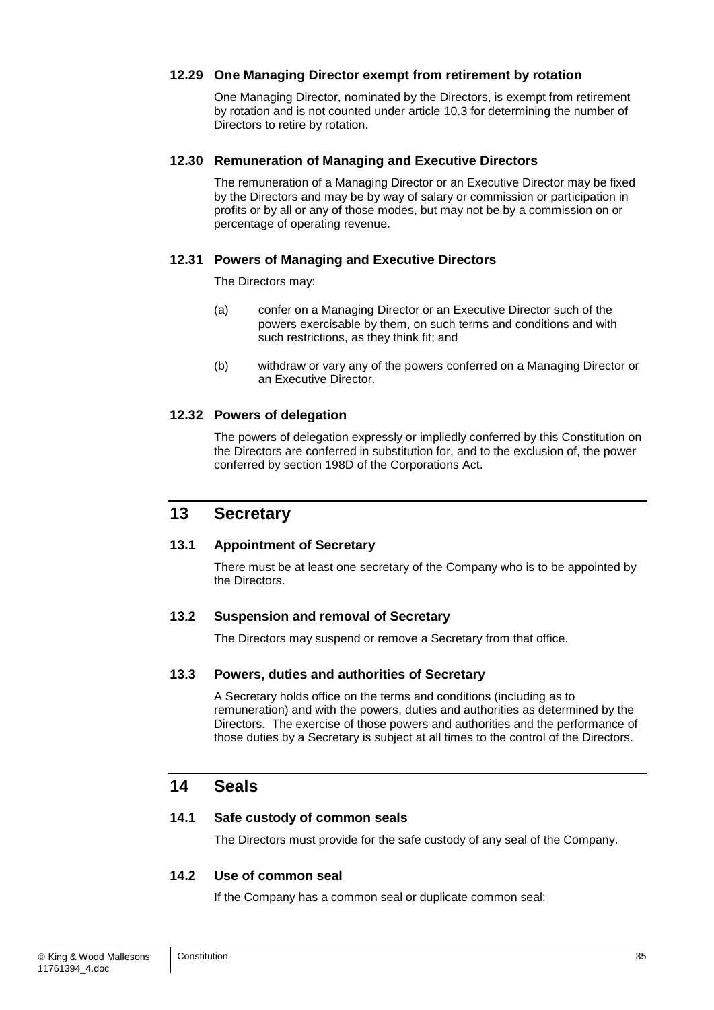#### <span id="page-35-0"></span>**12.29 One Managing Director exempt from retirement by rotation**

One Managing Director, nominated by the Directors, is exempt from retirement by rotation and is not counted under article [10.3](#page-26-2) for determining the number of Directors to retire by rotation.

#### **12.30 Remuneration of Managing and Executive Directors**

The remuneration of a Managing Director or an Executive Director may be fixed by the Directors and may be by way of salary or commission or participation in profits or by all or any of those modes, but may not be by a commission on or percentage of operating revenue.

#### **12.31 Powers of Managing and Executive Directors**

The Directors may:

- (a) confer on a Managing Director or an Executive Director such of the powers exercisable by them, on such terms and conditions and with such restrictions, as they think fit; and
- (b) withdraw or vary any of the powers conferred on a Managing Director or an Executive Director.

#### **12.32 Powers of delegation**

The powers of delegation expressly or impliedly conferred by this Constitution on the Directors are conferred in substitution for, and to the exclusion of, the power conferred by section 198D of the Corporations Act.

### **13 Secretary**

#### <span id="page-35-1"></span>**13.1 Appointment of Secretary**

There must be at least one secretary of the Company who is to be appointed by the Directors.

#### **13.2 Suspension and removal of Secretary**

The Directors may suspend or remove a Secretary from that office.

#### **13.3 Powers, duties and authorities of Secretary**

A Secretary holds office on the terms and conditions (including as to remuneration) and with the powers, duties and authorities as determined by the Directors. The exercise of those powers and authorities and the performance of those duties by a Secretary is subject at all times to the control of the Directors.

## **14 Seals**

#### **14.1 Safe custody of common seals**

The Directors must provide for the safe custody of any seal of the Company.

#### **14.2 Use of common seal**

If the Company has a common seal or duplicate common seal: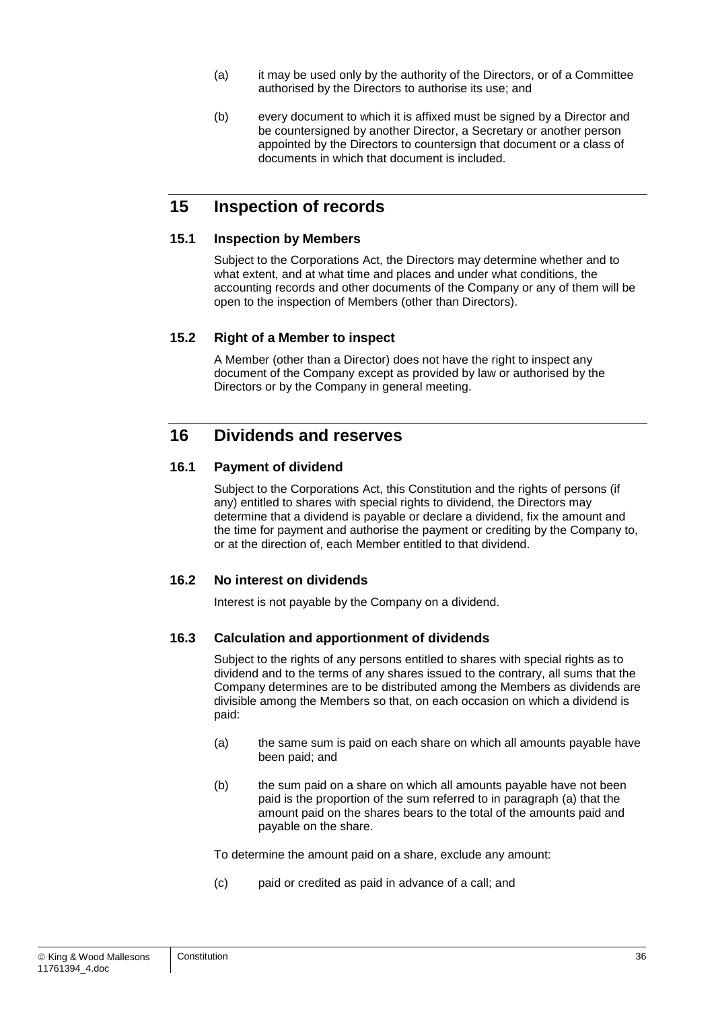- (a) it may be used only by the authority of the Directors, or of a Committee authorised by the Directors to authorise its use; and
- (b) every document to which it is affixed must be signed by a Director and be countersigned by another Director, a Secretary or another person appointed by the Directors to countersign that document or a class of documents in which that document is included.

## **15 Inspection of records**

#### **15.1 Inspection by Members**

Subject to the Corporations Act, the Directors may determine whether and to what extent, and at what time and places and under what conditions, the accounting records and other documents of the Company or any of them will be open to the inspection of Members (other than Directors).

#### **15.2 Right of a Member to inspect**

A Member (other than a Director) does not have the right to inspect any document of the Company except as provided by law or authorised by the Directors or by the Company in general meeting.

## **16 Dividends and reserves**

#### **16.1 Payment of dividend**

Subject to the Corporations Act, this Constitution and the rights of persons (if any) entitled to shares with special rights to dividend, the Directors may determine that a dividend is payable or declare a dividend, fix the amount and the time for payment and authorise the payment or crediting by the Company to, or at the direction of, each Member entitled to that dividend.

#### **16.2 No interest on dividends**

Interest is not payable by the Company on a dividend.

#### **16.3 Calculation and apportionment of dividends**

Subject to the rights of any persons entitled to shares with special rights as to dividend and to the terms of any shares issued to the contrary, all sums that the Company determines are to be distributed among the Members as dividends are divisible among the Members so that, on each occasion on which a dividend is paid:

- (a) the same sum is paid on each share on which all amounts payable have been paid; and
- (b) the sum paid on a share on which all amounts payable have not been paid is the proportion of the sum referred to in paragraph [\(a\)](#page-62-0) that the amount paid on the shares bears to the total of the amounts paid and payable on the share.

To determine the amount paid on a share, exclude any amount:

(c) paid or credited as paid in advance of a call; and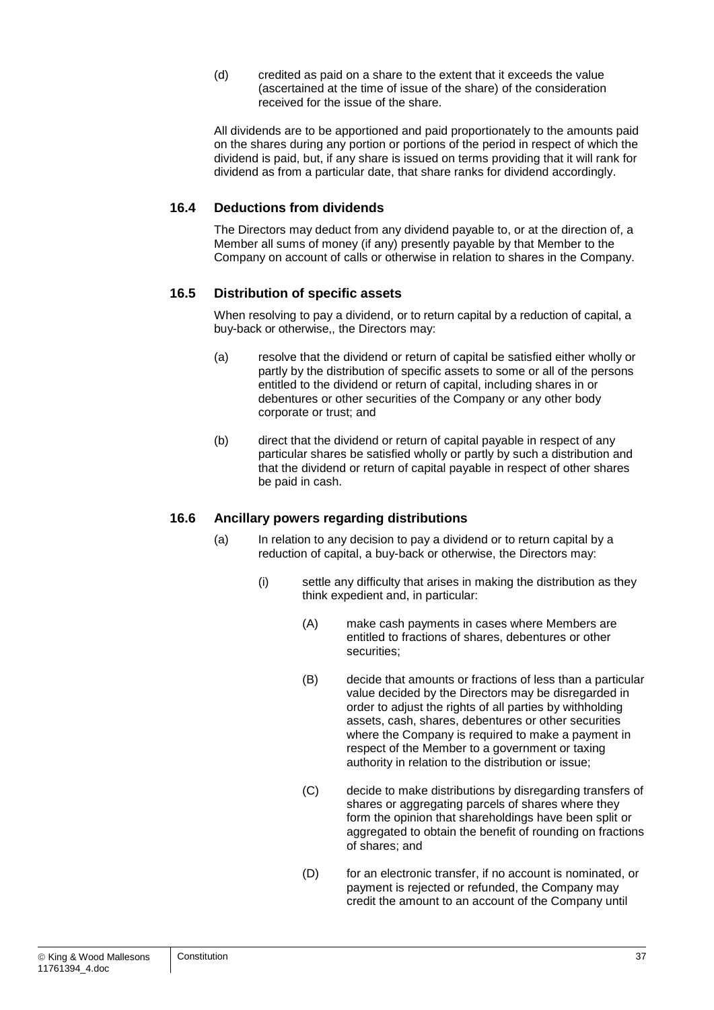(d) credited as paid on a share to the extent that it exceeds the value (ascertained at the time of issue of the share) of the consideration received for the issue of the share.

All dividends are to be apportioned and paid proportionately to the amounts paid on the shares during any portion or portions of the period in respect of which the dividend is paid, but, if any share is issued on terms providing that it will rank for dividend as from a particular date, that share ranks for dividend accordingly.

#### **16.4 Deductions from dividends**

The Directors may deduct from any dividend payable to, or at the direction of, a Member all sums of money (if any) presently payable by that Member to the Company on account of calls or otherwise in relation to shares in the Company.

#### **16.5 Distribution of specific assets**

When resolving to pay a dividend, or to return capital by a reduction of capital, a buy-back or otherwise,, the Directors may:

- (a) resolve that the dividend or return of capital be satisfied either wholly or partly by the distribution of specific assets to some or all of the persons entitled to the dividend or return of capital, including shares in or debentures or other securities of the Company or any other body corporate or trust; and
- (b) direct that the dividend or return of capital payable in respect of any particular shares be satisfied wholly or partly by such a distribution and that the dividend or return of capital payable in respect of other shares be paid in cash.

#### **16.6 Ancillary powers regarding distributions**

- (a) In relation to any decision to pay a dividend or to return capital by a reduction of capital, a buy-back or otherwise, the Directors may:
	- (i) settle any difficulty that arises in making the distribution as they think expedient and, in particular:
		- (A) make cash payments in cases where Members are entitled to fractions of shares, debentures or other securities;
		- (B) decide that amounts or fractions of less than a particular value decided by the Directors may be disregarded in order to adjust the rights of all parties by withholding assets, cash, shares, debentures or other securities where the Company is required to make a payment in respect of the Member to a government or taxing authority in relation to the distribution or issue;
		- (C) decide to make distributions by disregarding transfers of shares or aggregating parcels of shares where they form the opinion that shareholdings have been split or aggregated to obtain the benefit of rounding on fractions of shares; and
		- (D) for an electronic transfer, if no account is nominated, or payment is rejected or refunded, the Company may credit the amount to an account of the Company until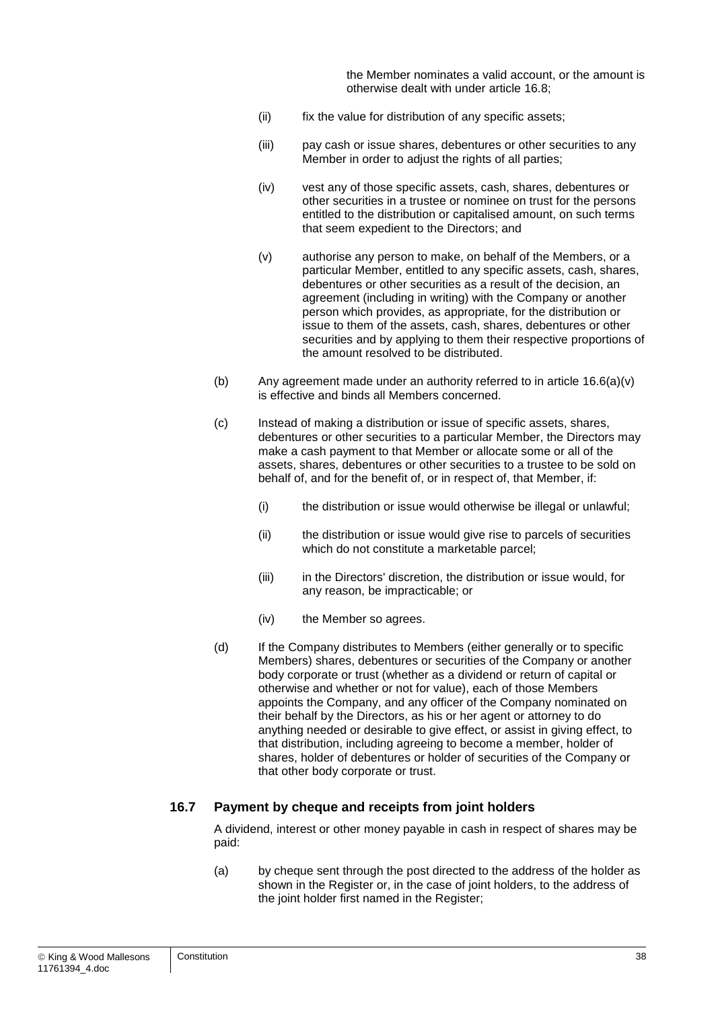the Member nominates a valid account, or the amount is otherwise dealt with under article [16.8;](#page-39-0)

- (ii) fix the value for distribution of any specific assets;
- (iii) pay cash or issue shares, debentures or other securities to any Member in order to adjust the rights of all parties;
- (iv) vest any of those specific assets, cash, shares, debentures or other securities in a trustee or nominee on trust for the persons entitled to the distribution or capitalised amount, on such terms that seem expedient to the Directors; and
- <span id="page-38-0"></span>(v) authorise any person to make, on behalf of the Members, or a particular Member, entitled to any specific assets, cash, shares, debentures or other securities as a result of the decision, an agreement (including in writing) with the Company or another person which provides, as appropriate, for the distribution or issue to them of the assets, cash, shares, debentures or other securities and by applying to them their respective proportions of the amount resolved to be distributed.
- (b) Any agreement made under an authority referred to in article [16.6\(a\)\(v\)](#page-38-0) is effective and binds all Members concerned.
- (c) Instead of making a distribution or issue of specific assets, shares, debentures or other securities to a particular Member, the Directors may make a cash payment to that Member or allocate some or all of the assets, shares, debentures or other securities to a trustee to be sold on behalf of, and for the benefit of, or in respect of, that Member, if:
	- (i) the distribution or issue would otherwise be illegal or unlawful;
	- (ii) the distribution or issue would give rise to parcels of securities which do not constitute a marketable parcel;
	- (iii) in the Directors' discretion, the distribution or issue would, for any reason, be impracticable; or
	- (iv) the Member so agrees.
- (d) If the Company distributes to Members (either generally or to specific Members) shares, debentures or securities of the Company or another body corporate or trust (whether as a dividend or return of capital or otherwise and whether or not for value), each of those Members appoints the Company, and any officer of the Company nominated on their behalf by the Directors, as his or her agent or attorney to do anything needed or desirable to give effect, or assist in giving effect, to that distribution, including agreeing to become a member, holder of shares, holder of debentures or holder of securities of the Company or that other body corporate or trust.

#### **16.7 Payment by cheque and receipts from joint holders**

A dividend, interest or other money payable in cash in respect of shares may be paid:

(a) by cheque sent through the post directed to the address of the holder as shown in the Register or, in the case of joint holders, to the address of the joint holder first named in the Register;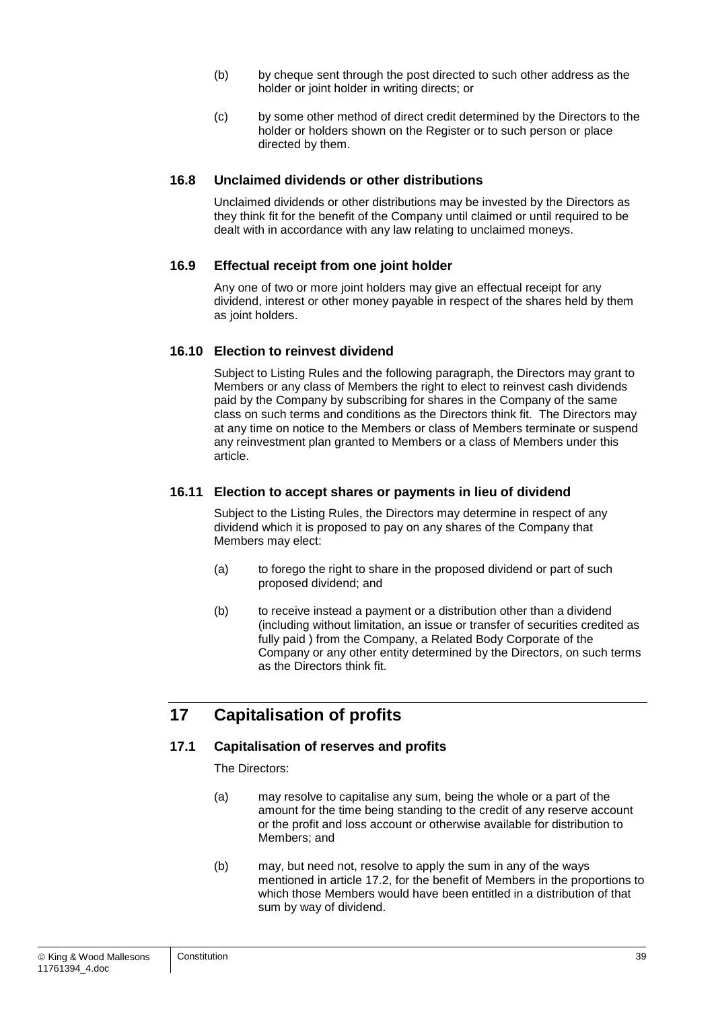- (b) by cheque sent through the post directed to such other address as the holder or joint holder in writing directs; or
- (c) by some other method of direct credit determined by the Directors to the holder or holders shown on the Register or to such person or place directed by them.

#### <span id="page-39-0"></span>**16.8 Unclaimed dividends or other distributions**

Unclaimed dividends or other distributions may be invested by the Directors as they think fit for the benefit of the Company until claimed or until required to be dealt with in accordance with any law relating to unclaimed moneys.

#### **16.9 Effectual receipt from one joint holder**

Any one of two or more joint holders may give an effectual receipt for any dividend, interest or other money payable in respect of the shares held by them as joint holders.

#### **16.10 Election to reinvest dividend**

Subject to Listing Rules and the following paragraph, the Directors may grant to Members or any class of Members the right to elect to reinvest cash dividends paid by the Company by subscribing for shares in the Company of the same class on such terms and conditions as the Directors think fit. The Directors may at any time on notice to the Members or class of Members terminate or suspend any reinvestment plan granted to Members or a class of Members under this article.

#### **16.11 Election to accept shares or payments in lieu of dividend**

Subject to the Listing Rules, the Directors may determine in respect of any dividend which it is proposed to pay on any shares of the Company that Members may elect:

- (a) to forego the right to share in the proposed dividend or part of such proposed dividend; and
- (b) to receive instead a payment or a distribution other than a dividend (including without limitation, an issue or transfer of securities credited as fully paid ) from the Company, a Related Body Corporate of the Company or any other entity determined by the Directors, on such terms as the Directors think fit.

## **17 Capitalisation of profits**

#### <span id="page-39-1"></span>**17.1 Capitalisation of reserves and profits**

The Directors:

- (a) may resolve to capitalise any sum, being the whole or a part of the amount for the time being standing to the credit of any reserve account or the profit and loss account or otherwise available for distribution to Members; and
- (b) may, but need not, resolve to apply the sum in any of the ways mentioned in article [17.2,](#page-40-1) for the benefit of Members in the proportions to which those Members would have been entitled in a distribution of that sum by way of dividend.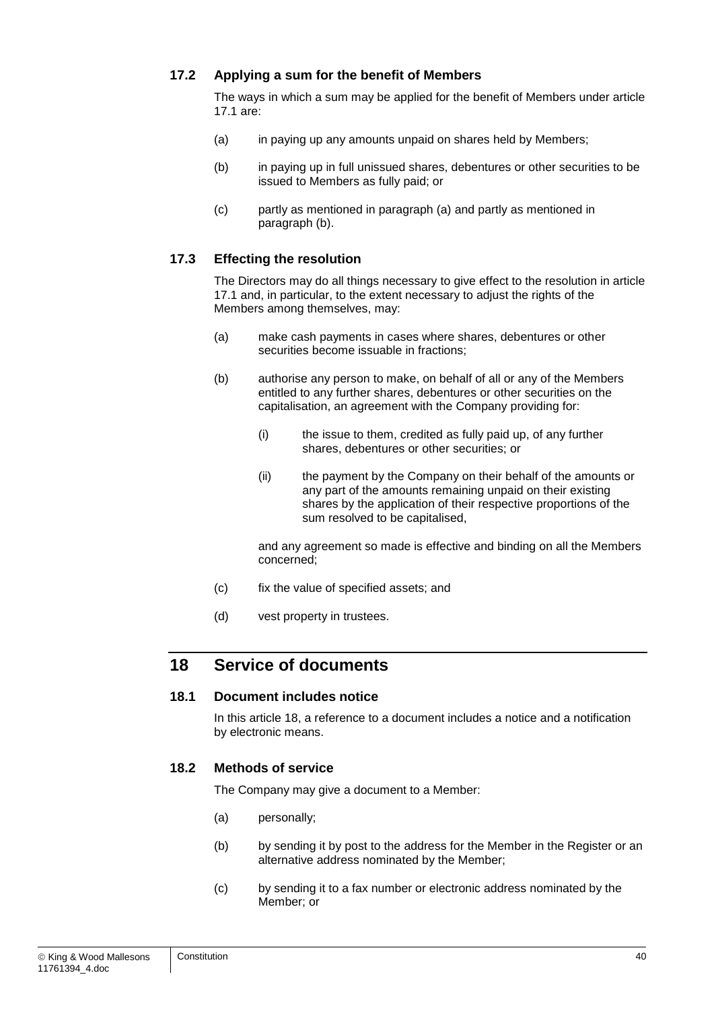#### <span id="page-40-1"></span>**17.2 Applying a sum for the benefit of Members**

The ways in which a sum may be applied for the benefit of Members under article [17.1](#page-39-1) are:

- <span id="page-40-2"></span>(a) in paying up any amounts unpaid on shares held by Members;
- <span id="page-40-3"></span>(b) in paying up in full unissued shares, debentures or other securities to be issued to Members as fully paid; or
- (c) partly as mentioned in paragraph [\(a\)](#page-40-2) and partly as mentioned in paragraph [\(b\).](#page-40-3)

#### **17.3 Effecting the resolution**

The Directors may do all things necessary to give effect to the resolution in article [17.1](#page-39-1) and, in particular, to the extent necessary to adjust the rights of the Members among themselves, may:

- (a) make cash payments in cases where shares, debentures or other securities become issuable in fractions;
- (b) authorise any person to make, on behalf of all or any of the Members entitled to any further shares, debentures or other securities on the capitalisation, an agreement with the Company providing for:
	- (i) the issue to them, credited as fully paid up, of any further shares, debentures or other securities; or
	- (ii) the payment by the Company on their behalf of the amounts or any part of the amounts remaining unpaid on their existing shares by the application of their respective proportions of the sum resolved to be capitalised,

and any agreement so made is effective and binding on all the Members concerned;

- (c) fix the value of specified assets; and
- (d) vest property in trustees.

## <span id="page-40-0"></span>**18 Service of documents**

#### **18.1 Document includes notice**

In this article [18,](#page-40-0) a reference to a document includes a notice and a notification by electronic means.

#### <span id="page-40-4"></span>**18.2 Methods of service**

The Company may give a document to a Member:

- (a) personally;
- (b) by sending it by post to the address for the Member in the Register or an alternative address nominated by the Member;
- (c) by sending it to a fax number or electronic address nominated by the Member; or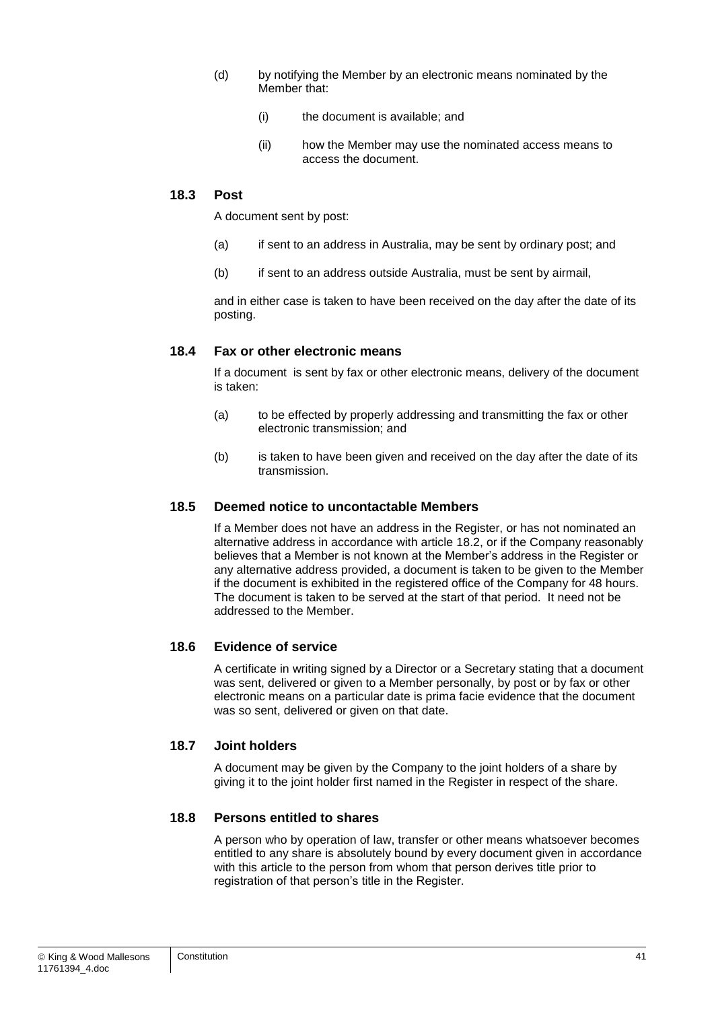- (d) by notifying the Member by an electronic means nominated by the Member that:
	- (i) the document is available; and
	- (ii) how the Member may use the nominated access means to access the document.

#### **18.3 Post**

A document sent by post:

- (a) if sent to an address in Australia, may be sent by ordinary post; and
- (b) if sent to an address outside Australia, must be sent by airmail,

and in either case is taken to have been received on the day after the date of its posting.

#### **18.4 Fax or other electronic means**

If a document is sent by fax or other electronic means, delivery of the document is taken:

- (a) to be effected by properly addressing and transmitting the fax or other electronic transmission; and
- (b) is taken to have been given and received on the day after the date of its transmission.

#### **18.5 Deemed notice to uncontactable Members**

If a Member does not have an address in the Register, or has not nominated an alternative address in accordance with article [18.2,](#page-40-4) or if the Company reasonably believes that a Member is not known at the Member's address in the Register or any alternative address provided, a document is taken to be given to the Member if the document is exhibited in the registered office of the Company for 48 hours. The document is taken to be served at the start of that period. It need not be addressed to the Member.

#### **18.6 Evidence of service**

A certificate in writing signed by a Director or a Secretary stating that a document was sent, delivered or given to a Member personally, by post or by fax or other electronic means on a particular date is prima facie evidence that the document was so sent, delivered or given on that date.

#### **18.7 Joint holders**

A document may be given by the Company to the joint holders of a share by giving it to the joint holder first named in the Register in respect of the share.

#### **18.8 Persons entitled to shares**

A person who by operation of law, transfer or other means whatsoever becomes entitled to any share is absolutely bound by every document given in accordance with this article to the person from whom that person derives title prior to registration of that person's title in the Register.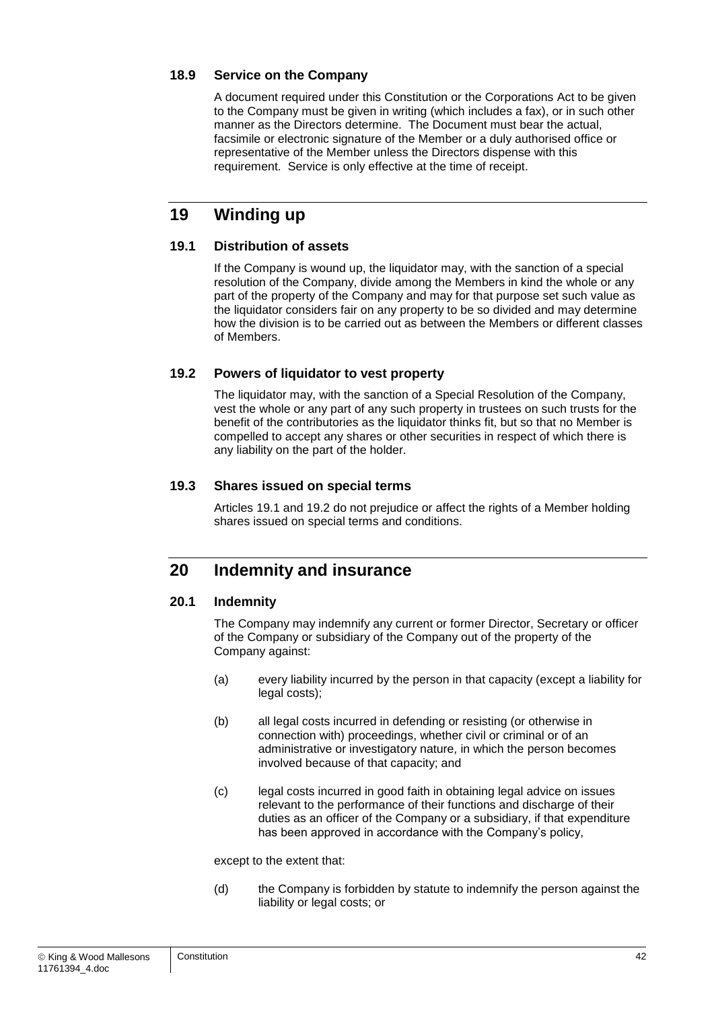#### **18.9 Service on the Company**

A document required under this Constitution or the Corporations Act to be given to the Company must be given in writing (which includes a fax), or in such other manner as the Directors determine. The Document must bear the actual, facsimile or electronic signature of the Member or a duly authorised office or representative of the Member unless the Directors dispense with this requirement. Service is only effective at the time of receipt.

## **19 Winding up**

#### <span id="page-42-1"></span>**19.1 Distribution of assets**

If the Company is wound up, the liquidator may, with the sanction of a special resolution of the Company, divide among the Members in kind the whole or any part of the property of the Company and may for that purpose set such value as the liquidator considers fair on any property to be so divided and may determine how the division is to be carried out as between the Members or different classes of Members.

#### <span id="page-42-2"></span>**19.2 Powers of liquidator to vest property**

The liquidator may, with the sanction of a Special Resolution of the Company, vest the whole or any part of any such property in trustees on such trusts for the benefit of the contributories as the liquidator thinks fit, but so that no Member is compelled to accept any shares or other securities in respect of which there is any liability on the part of the holder.

#### **19.3 Shares issued on special terms**

Articles [19.1](#page-42-1) and [19.2](#page-42-2) do not prejudice or affect the rights of a Member holding shares issued on special terms and conditions.

## <span id="page-42-0"></span>**20 Indemnity and insurance**

#### <span id="page-42-3"></span>**20.1 Indemnity**

The Company may indemnify any current or former Director, Secretary or officer of the Company or subsidiary of the Company out of the property of the Company against:

- (a) every liability incurred by the person in that capacity (except a liability for legal costs);
- (b) all legal costs incurred in defending or resisting (or otherwise in connection with) proceedings, whether civil or criminal or of an administrative or investigatory nature, in which the person becomes involved because of that capacity; and
- (c) legal costs incurred in good faith in obtaining legal advice on issues relevant to the performance of their functions and discharge of their duties as an officer of the Company or a subsidiary, if that expenditure has been approved in accordance with the Company's policy,

except to the extent that:

(d) the Company is forbidden by statute to indemnify the person against the liability or legal costs; or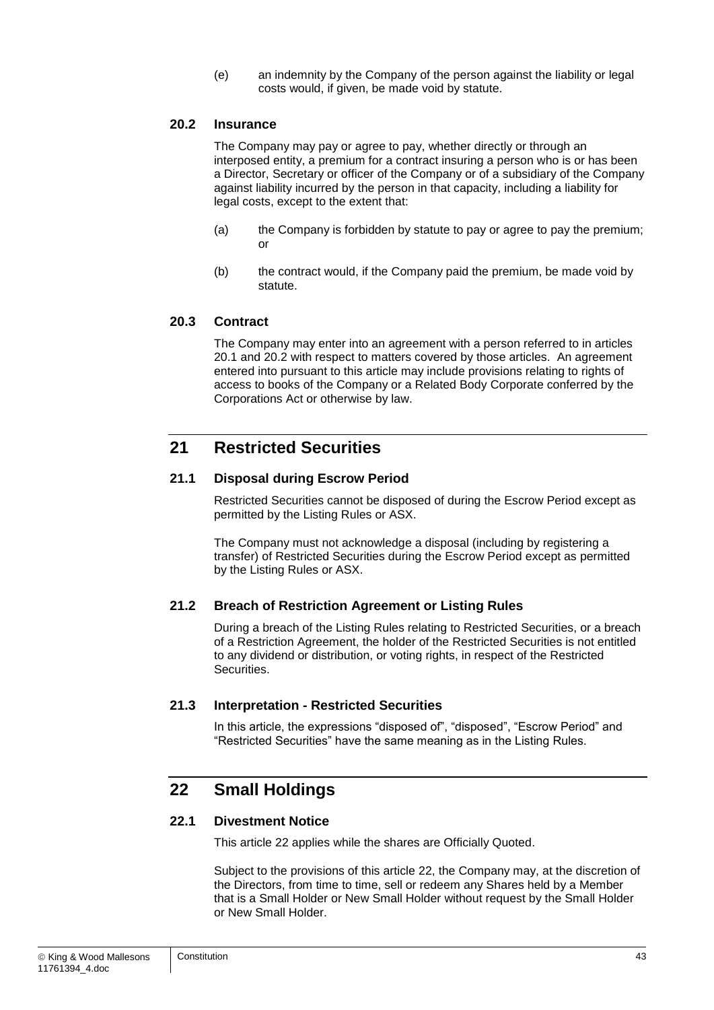(e) an indemnity by the Company of the person against the liability or legal costs would, if given, be made void by statute.

#### <span id="page-43-0"></span>**20.2 Insurance**

The Company may pay or agree to pay, whether directly or through an interposed entity, a premium for a contract insuring a person who is or has been a Director, Secretary or officer of the Company or of a subsidiary of the Company against liability incurred by the person in that capacity, including a liability for legal costs, except to the extent that:

- (a) the Company is forbidden by statute to pay or agree to pay the premium; or
- (b) the contract would, if the Company paid the premium, be made void by statute.

#### **20.3 Contract**

The Company may enter into an agreement with a person referred to in articles [20.1](#page-42-3) and [20.2](#page-43-0) with respect to matters covered by those articles. An agreement entered into pursuant to this article may include provisions relating to rights of access to books of the Company or a Related Body Corporate conferred by the Corporations Act or otherwise by law.

## **21 Restricted Securities**

#### **21.1 Disposal during Escrow Period**

Restricted Securities cannot be disposed of during the Escrow Period except as permitted by the Listing Rules or ASX.

The Company must not acknowledge a disposal (including by registering a transfer) of Restricted Securities during the Escrow Period except as permitted by the Listing Rules or ASX.

#### **21.2 Breach of Restriction Agreement or Listing Rules**

During a breach of the Listing Rules relating to Restricted Securities, or a breach of a Restriction Agreement, the holder of the Restricted Securities is not entitled to any dividend or distribution, or voting rights, in respect of the Restricted Securities.

#### **21.3 Interpretation - Restricted Securities**

In this article, the expressions "disposed of", "disposed", "Escrow Period" and "Restricted Securities" have the same meaning as in the Listing Rules.

## <span id="page-43-1"></span>**22 Small Holdings**

#### <span id="page-43-2"></span>**22.1 Divestment Notice**

This article [22](#page-43-1) applies while the shares are Officially Quoted.

Subject to the provisions of this article [22,](#page-43-1) the Company may, at the discretion of the Directors, from time to time, sell or redeem any Shares held by a Member that is a Small Holder or New Small Holder without request by the Small Holder or New Small Holder.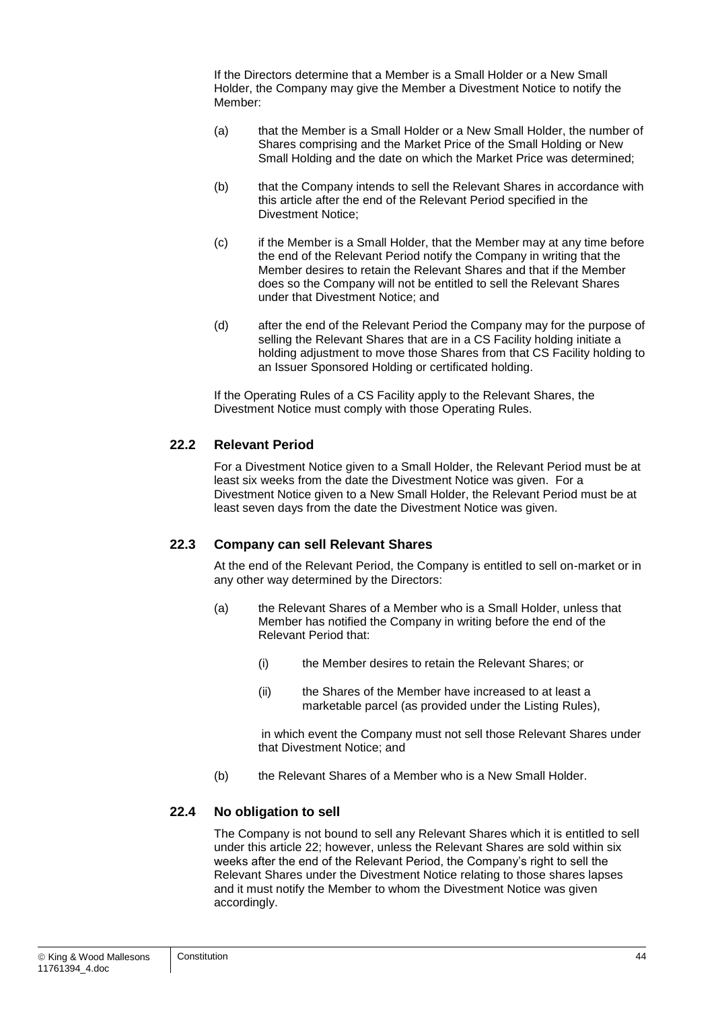If the Directors determine that a Member is a Small Holder or a New Small Holder, the Company may give the Member a Divestment Notice to notify the Member:

- (a) that the Member is a Small Holder or a New Small Holder, the number of Shares comprising and the Market Price of the Small Holding or New Small Holding and the date on which the Market Price was determined;
- (b) that the Company intends to sell the Relevant Shares in accordance with this article after the end of the Relevant Period specified in the Divestment Notice;
- (c) if the Member is a Small Holder, that the Member may at any time before the end of the Relevant Period notify the Company in writing that the Member desires to retain the Relevant Shares and that if the Member does so the Company will not be entitled to sell the Relevant Shares under that Divestment Notice; and
- (d) after the end of the Relevant Period the Company may for the purpose of selling the Relevant Shares that are in a CS Facility holding initiate a holding adjustment to move those Shares from that CS Facility holding to an Issuer Sponsored Holding or certificated holding.

If the Operating Rules of a CS Facility apply to the Relevant Shares, the Divestment Notice must comply with those Operating Rules.

#### <span id="page-44-0"></span>**22.2 Relevant Period**

For a Divestment Notice given to a Small Holder, the Relevant Period must be at least six weeks from the date the Divestment Notice was given. For a Divestment Notice given to a New Small Holder, the Relevant Period must be at least seven days from the date the Divestment Notice was given.

#### **22.3 Company can sell Relevant Shares**

At the end of the Relevant Period, the Company is entitled to sell on-market or in any other way determined by the Directors:

- (a) the Relevant Shares of a Member who is a Small Holder, unless that Member has notified the Company in writing before the end of the Relevant Period that:
	- (i) the Member desires to retain the Relevant Shares; or
	- (ii) the Shares of the Member have increased to at least a marketable parcel (as provided under the Listing Rules),

in which event the Company must not sell those Relevant Shares under that Divestment Notice; and

(b) the Relevant Shares of a Member who is a New Small Holder.

#### **22.4 No obligation to sell**

The Company is not bound to sell any Relevant Shares which it is entitled to sell under this article [22;](#page-43-1) however, unless the Relevant Shares are sold within six weeks after the end of the Relevant Period, the Company's right to sell the Relevant Shares under the Divestment Notice relating to those shares lapses and it must notify the Member to whom the Divestment Notice was given accordingly.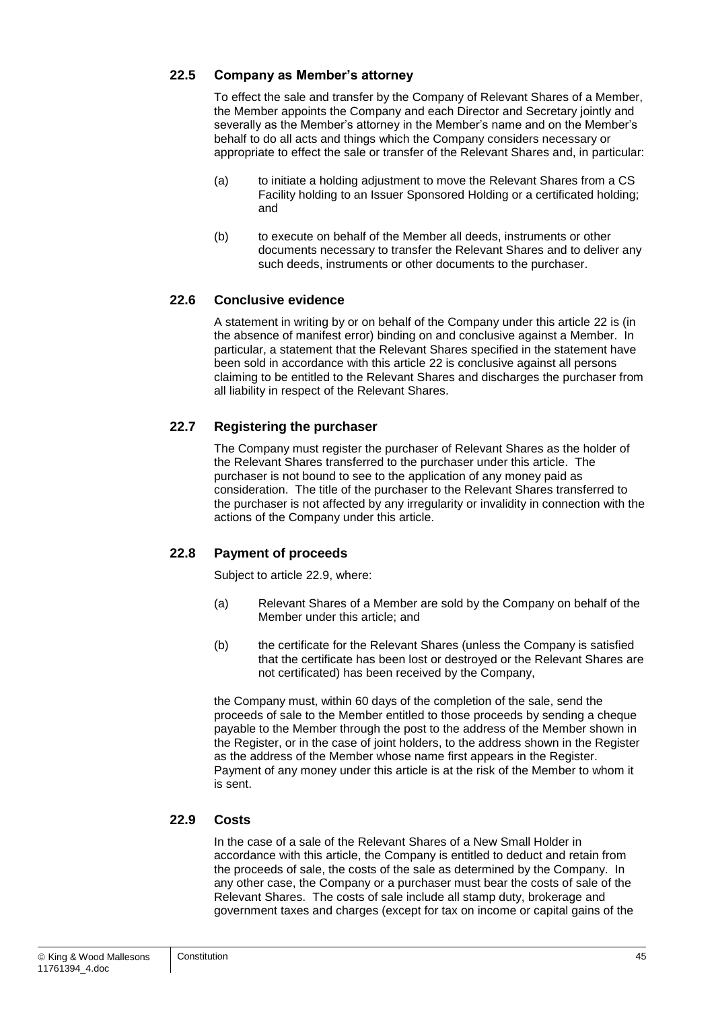#### **22.5 Company as Member's attorney**

To effect the sale and transfer by the Company of Relevant Shares of a Member, the Member appoints the Company and each Director and Secretary jointly and severally as the Member's attorney in the Member's name and on the Member's behalf to do all acts and things which the Company considers necessary or appropriate to effect the sale or transfer of the Relevant Shares and, in particular:

- (a) to initiate a holding adjustment to move the Relevant Shares from a CS Facility holding to an Issuer Sponsored Holding or a certificated holding; and
- (b) to execute on behalf of the Member all deeds, instruments or other documents necessary to transfer the Relevant Shares and to deliver any such deeds, instruments or other documents to the purchaser.

#### **22.6 Conclusive evidence**

A statement in writing by or on behalf of the Company under this article [22](#page-43-1) is (in the absence of manifest error) binding on and conclusive against a Member. In particular, a statement that the Relevant Shares specified in the statement have been sold in accordance with this article [22](#page-43-1) is conclusive against all persons claiming to be entitled to the Relevant Shares and discharges the purchaser from all liability in respect of the Relevant Shares.

#### **22.7 Registering the purchaser**

The Company must register the purchaser of Relevant Shares as the holder of the Relevant Shares transferred to the purchaser under this article. The purchaser is not bound to see to the application of any money paid as consideration. The title of the purchaser to the Relevant Shares transferred to the purchaser is not affected by any irregularity or invalidity in connection with the actions of the Company under this article.

#### **22.8 Payment of proceeds**

Subject to article [22.9,](#page-45-0) where:

- (a) Relevant Shares of a Member are sold by the Company on behalf of the Member under this article; and
- (b) the certificate for the Relevant Shares (unless the Company is satisfied that the certificate has been lost or destroyed or the Relevant Shares are not certificated) has been received by the Company,

the Company must, within 60 days of the completion of the sale, send the proceeds of sale to the Member entitled to those proceeds by sending a cheque payable to the Member through the post to the address of the Member shown in the Register, or in the case of joint holders, to the address shown in the Register as the address of the Member whose name first appears in the Register. Payment of any money under this article is at the risk of the Member to whom it is sent.

#### <span id="page-45-0"></span>**22.9 Costs**

In the case of a sale of the Relevant Shares of a New Small Holder in accordance with this article, the Company is entitled to deduct and retain from the proceeds of sale, the costs of the sale as determined by the Company. In any other case, the Company or a purchaser must bear the costs of sale of the Relevant Shares. The costs of sale include all stamp duty, brokerage and government taxes and charges (except for tax on income or capital gains of the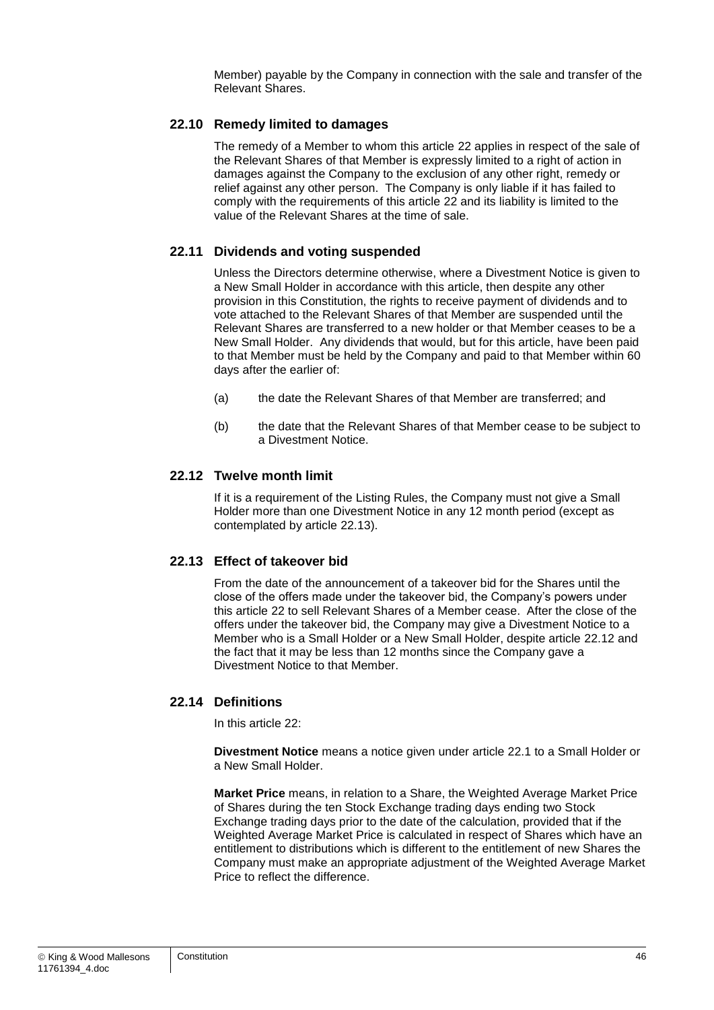Member) payable by the Company in connection with the sale and transfer of the Relevant Shares.

#### **22.10 Remedy limited to damages**

The remedy of a Member to whom this article [22](#page-43-1) applies in respect of the sale of the Relevant Shares of that Member is expressly limited to a right of action in damages against the Company to the exclusion of any other right, remedy or relief against any other person. The Company is only liable if it has failed to comply with the requirements of this article [22](#page-43-1) and its liability is limited to the value of the Relevant Shares at the time of sale.

#### **22.11 Dividends and voting suspended**

Unless the Directors determine otherwise, where a Divestment Notice is given to a New Small Holder in accordance with this article, then despite any other provision in this Constitution, the rights to receive payment of dividends and to vote attached to the Relevant Shares of that Member are suspended until the Relevant Shares are transferred to a new holder or that Member ceases to be a New Small Holder. Any dividends that would, but for this article, have been paid to that Member must be held by the Company and paid to that Member within 60 days after the earlier of:

- (a) the date the Relevant Shares of that Member are transferred; and
- (b) the date that the Relevant Shares of that Member cease to be subject to a Divestment Notice.

#### <span id="page-46-1"></span>**22.12 Twelve month limit**

If it is a requirement of the Listing Rules, the Company must not give a Small Holder more than one Divestment Notice in any 12 month period (except as contemplated by article [22.13\)](#page-46-0).

#### <span id="page-46-0"></span>**22.13 Effect of takeover bid**

From the date of the announcement of a takeover bid for the Shares until the close of the offers made under the takeover bid, the Company's powers under this article [22](#page-43-1) to sell Relevant Shares of a Member cease. After the close of the offers under the takeover bid, the Company may give a Divestment Notice to a Member who is a Small Holder or a New Small Holder, despite article [22.12](#page-46-1) and the fact that it may be less than 12 months since the Company gave a Divestment Notice to that Member.

#### **22.14 Definitions**

In this article [22:](#page-43-1)

**Divestment Notice** means a notice given under article [22.1](#page-43-2) to a Small Holder or a New Small Holder.

**Market Price** means, in relation to a Share, the Weighted Average Market Price of Shares during the ten Stock Exchange trading days ending two Stock Exchange trading days prior to the date of the calculation, provided that if the Weighted Average Market Price is calculated in respect of Shares which have an entitlement to distributions which is different to the entitlement of new Shares the Company must make an appropriate adjustment of the Weighted Average Market Price to reflect the difference.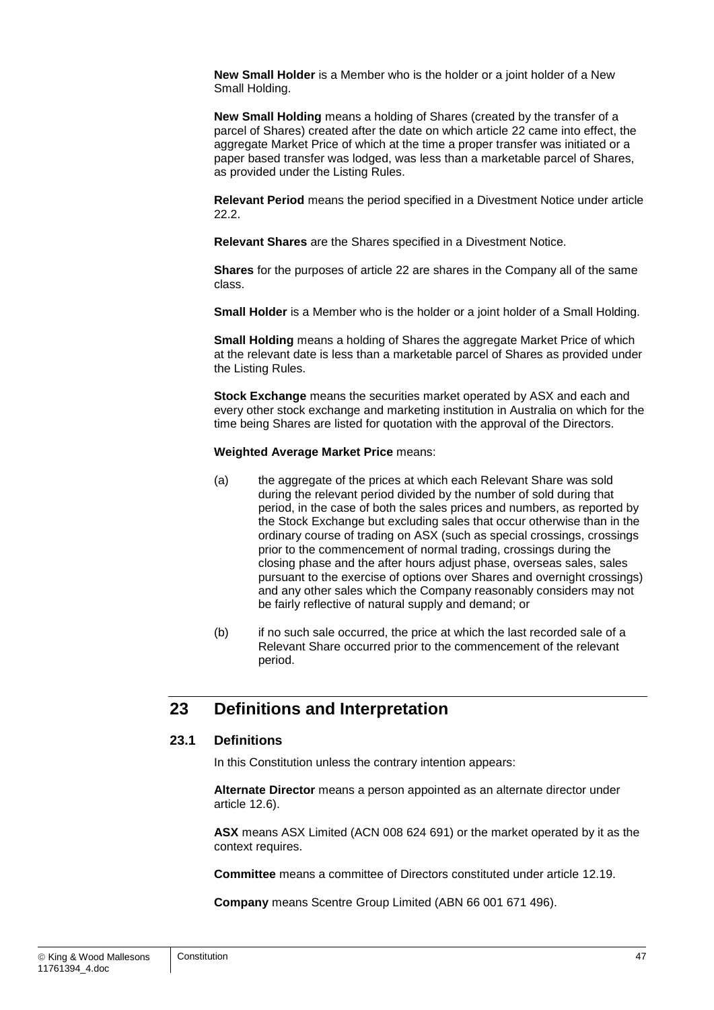**New Small Holder** is a Member who is the holder or a joint holder of a New Small Holding.

**New Small Holding** means a holding of Shares (created by the transfer of a parcel of Shares) created after the date on which article [22](#page-43-1) came into effect, the aggregate Market Price of which at the time a proper transfer was initiated or a paper based transfer was lodged, was less than a marketable parcel of Shares, as provided under the Listing Rules.

**Relevant Period** means the period specified in a Divestment Notice under article [22.2.](#page-44-0)

**Relevant Shares** are the Shares specified in a Divestment Notice.

**Shares** for the purposes of article [22](#page-43-1) are shares in the Company all of the same class.

**Small Holder** is a Member who is the holder or a joint holder of a Small Holding.

**Small Holding** means a holding of Shares the aggregate Market Price of which at the relevant date is less than a marketable parcel of Shares as provided under the Listing Rules.

**Stock Exchange** means the securities market operated by ASX and each and every other stock exchange and marketing institution in Australia on which for the time being Shares are listed for quotation with the approval of the Directors.

#### **Weighted Average Market Price** means:

- (a) the aggregate of the prices at which each Relevant Share was sold during the relevant period divided by the number of sold during that period, in the case of both the sales prices and numbers, as reported by the Stock Exchange but excluding sales that occur otherwise than in the ordinary course of trading on ASX (such as special crossings, crossings prior to the commencement of normal trading, crossings during the closing phase and the after hours adjust phase, overseas sales, sales pursuant to the exercise of options over Shares and overnight crossings) and any other sales which the Company reasonably considers may not be fairly reflective of natural supply and demand; or
- (b) if no such sale occurred, the price at which the last recorded sale of a Relevant Share occurred prior to the commencement of the relevant period.

## **23 Definitions and Interpretation**

#### <span id="page-47-0"></span>**23.1 Definitions**

In this Constitution unless the contrary intention appears:

**Alternate Director** means a person appointed as an alternate director under article [12.6\)](#page-31-0).

**ASX** means ASX Limited (ACN 008 624 691) or the market operated by it as the context requires.

**Committee** means a committee of Directors constituted under article [12.19.](#page-33-0)

**Company** means Scentre Group Limited (ABN 66 001 671 496).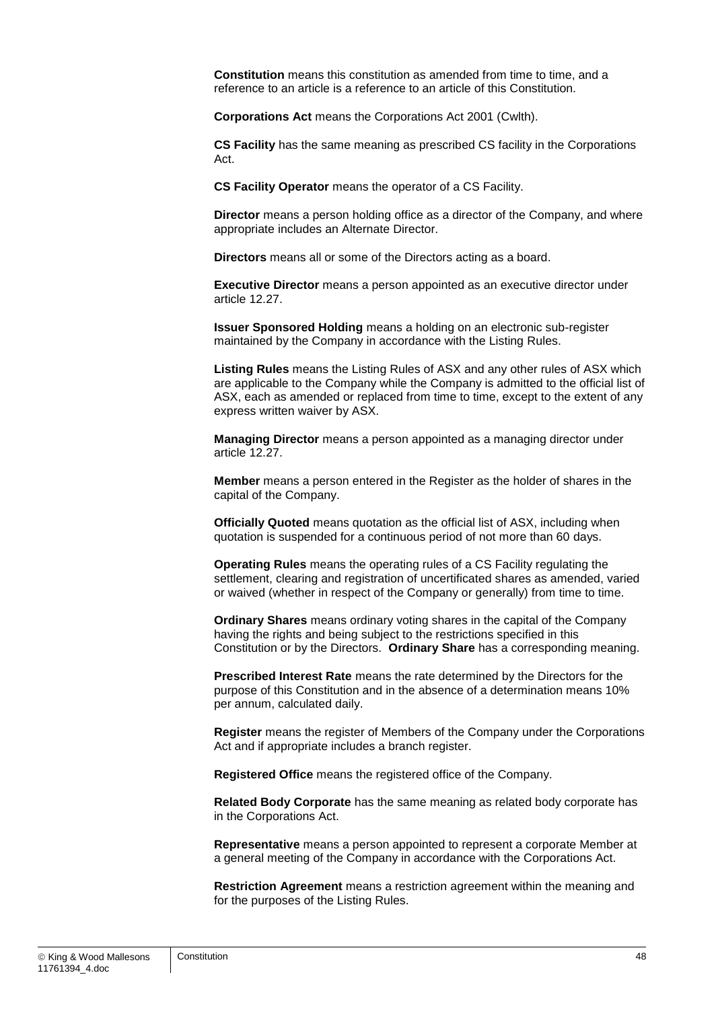**Constitution** means this constitution as amended from time to time, and a reference to an article is a reference to an article of this Constitution.

**Corporations Act** means the Corporations Act 2001 (Cwlth).

**CS Facility** has the same meaning as prescribed CS facility in the Corporations Act.

**CS Facility Operator** means the operator of a CS Facility.

**Director** means a person holding office as a director of the Company, and where appropriate includes an Alternate Director.

**Directors** means all or some of the Directors acting as a board.

**Executive Director** means a person appointed as an executive director under article [12.27.](#page-34-0)

**Issuer Sponsored Holding** means a holding on an electronic sub-register maintained by the Company in accordance with the Listing Rules.

**Listing Rules** means the Listing Rules of ASX and any other rules of ASX which are applicable to the Company while the Company is admitted to the official list of ASX, each as amended or replaced from time to time, except to the extent of any express written waiver by ASX.

**Managing Director** means a person appointed as a managing director under article [12.27.](#page-34-0)

**Member** means a person entered in the Register as the holder of shares in the capital of the Company.

**Officially Quoted** means quotation as the official list of ASX, including when quotation is suspended for a continuous period of not more than 60 days.

**Operating Rules** means the operating rules of a CS Facility regulating the settlement, clearing and registration of uncertificated shares as amended, varied or waived (whether in respect of the Company or generally) from time to time.

**Ordinary Shares** means ordinary voting shares in the capital of the Company having the rights and being subject to the restrictions specified in this Constitution or by the Directors. **Ordinary Share** has a corresponding meaning.

**Prescribed Interest Rate** means the rate determined by the Directors for the purpose of this Constitution and in the absence of a determination means 10% per annum, calculated daily.

**Register** means the register of Members of the Company under the Corporations Act and if appropriate includes a branch register.

**Registered Office** means the registered office of the Company.

**Related Body Corporate** has the same meaning as related body corporate has in the Corporations Act.

**Representative** means a person appointed to represent a corporate Member at a general meeting of the Company in accordance with the Corporations Act.

**Restriction Agreement** means a restriction agreement within the meaning and for the purposes of the Listing Rules.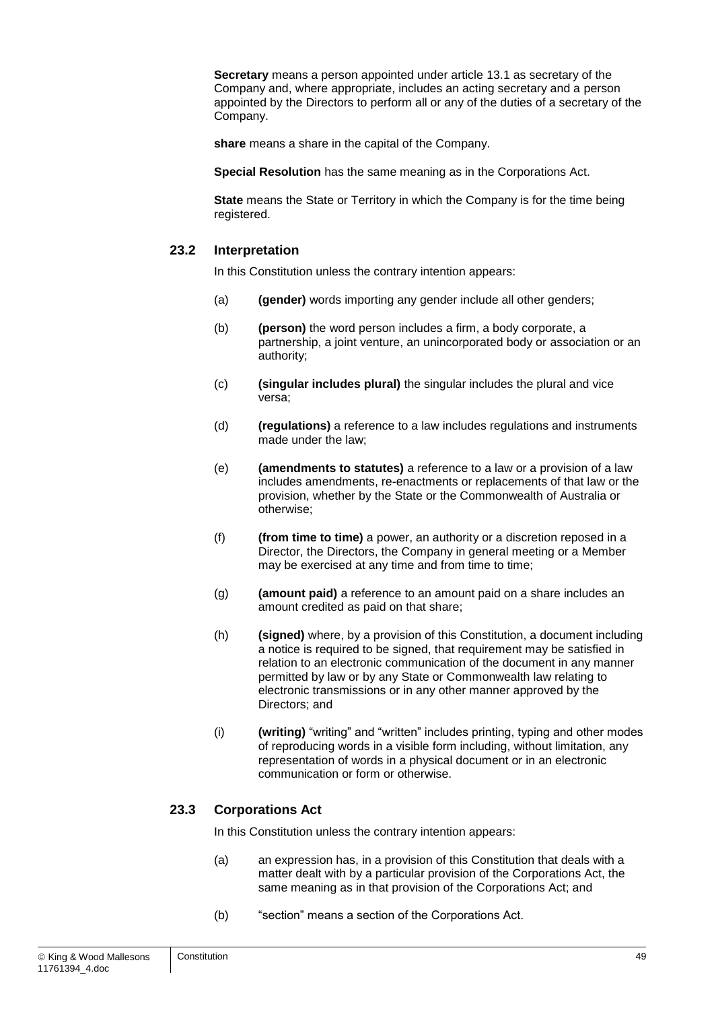**Secretary** means a person appointed under article [13.1](#page-35-1) as secretary of the Company and, where appropriate, includes an acting secretary and a person appointed by the Directors to perform all or any of the duties of a secretary of the Company.

**share** means a share in the capital of the Company.

**Special Resolution** has the same meaning as in the Corporations Act.

**State** means the State or Territory in which the Company is for the time being registered.

#### **23.2 Interpretation**

In this Constitution unless the contrary intention appears:

- (a) **(gender)** words importing any gender include all other genders;
- (b) **(person)** the word person includes a firm, a body corporate, a partnership, a joint venture, an unincorporated body or association or an authority;
- (c) **(singular includes plural)** the singular includes the plural and vice versa;
- (d) **(regulations)** a reference to a law includes regulations and instruments made under the law;
- (e) **(amendments to statutes)** a reference to a law or a provision of a law includes amendments, re-enactments or replacements of that law or the provision, whether by the State or the Commonwealth of Australia or otherwise;
- (f) **(from time to time)** a power, an authority or a discretion reposed in a Director, the Directors, the Company in general meeting or a Member may be exercised at any time and from time to time;
- (g) **(amount paid)** a reference to an amount paid on a share includes an amount credited as paid on that share;
- (h) **(signed)** where, by a provision of this Constitution, a document including a notice is required to be signed, that requirement may be satisfied in relation to an electronic communication of the document in any manner permitted by law or by any State or Commonwealth law relating to electronic transmissions or in any other manner approved by the Directors; and
- (i) **(writing)** "writing" and "written" includes printing, typing and other modes of reproducing words in a visible form including, without limitation, any representation of words in a physical document or in an electronic communication or form or otherwise.

#### **23.3 Corporations Act**

In this Constitution unless the contrary intention appears:

- (a) an expression has, in a provision of this Constitution that deals with a matter dealt with by a particular provision of the Corporations Act, the same meaning as in that provision of the Corporations Act; and
- (b) "section" means a section of the Corporations Act.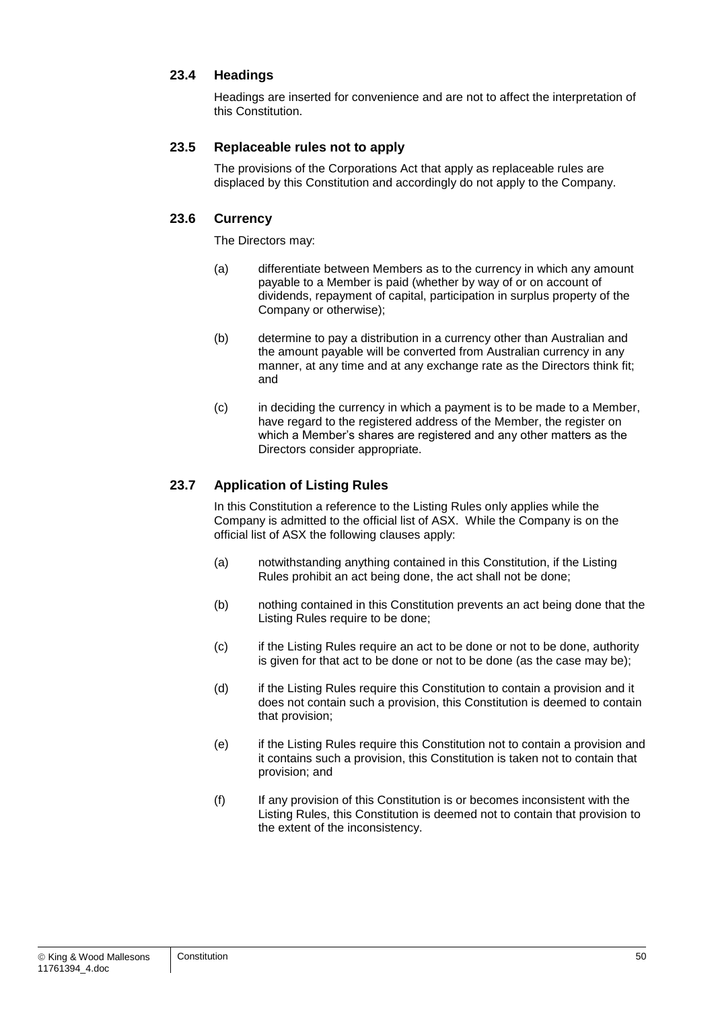#### **23.4 Headings**

Headings are inserted for convenience and are not to affect the interpretation of this Constitution.

#### <span id="page-50-0"></span>**23.5 Replaceable rules not to apply**

The provisions of the Corporations Act that apply as replaceable rules are displaced by this Constitution and accordingly do not apply to the Company.

#### **23.6 Currency**

The Directors may:

- (a) differentiate between Members as to the currency in which any amount payable to a Member is paid (whether by way of or on account of dividends, repayment of capital, participation in surplus property of the Company or otherwise);
- (b) determine to pay a distribution in a currency other than Australian and the amount payable will be converted from Australian currency in any manner, at any time and at any exchange rate as the Directors think fit; and
- (c) in deciding the currency in which a payment is to be made to a Member, have regard to the registered address of the Member, the register on which a Member's shares are registered and any other matters as the Directors consider appropriate.

#### <span id="page-50-1"></span>**23.7 Application of Listing Rules**

In this Constitution a reference to the Listing Rules only applies while the Company is admitted to the official list of ASX. While the Company is on the official list of ASX the following clauses apply:

- (a) notwithstanding anything contained in this Constitution, if the Listing Rules prohibit an act being done, the act shall not be done;
- (b) nothing contained in this Constitution prevents an act being done that the Listing Rules require to be done;
- (c) if the Listing Rules require an act to be done or not to be done, authority is given for that act to be done or not to be done (as the case may be);
- (d) if the Listing Rules require this Constitution to contain a provision and it does not contain such a provision, this Constitution is deemed to contain that provision;
- (e) if the Listing Rules require this Constitution not to contain a provision and it contains such a provision, this Constitution is taken not to contain that provision; and
- (f) If any provision of this Constitution is or becomes inconsistent with the Listing Rules, this Constitution is deemed not to contain that provision to the extent of the inconsistency.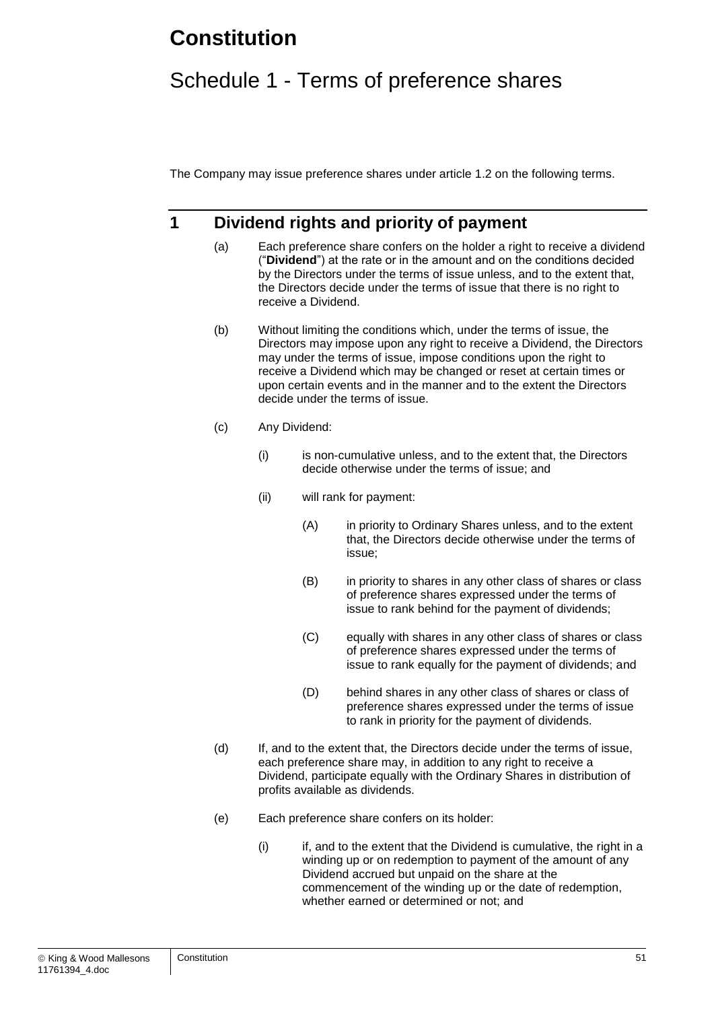## **Constitution**

## Schedule 1 - Terms of preference shares

The Company may issue preference shares under article [1.2](#page-6-0) on the following terms.

## **1 Dividend rights and priority of payment**

- (a) Each preference share confers on the holder a right to receive a dividend ("**Dividend**") at the rate or in the amount and on the conditions decided by the Directors under the terms of issue unless, and to the extent that, the Directors decide under the terms of issue that there is no right to receive a Dividend.
- (b) Without limiting the conditions which, under the terms of issue, the Directors may impose upon any right to receive a Dividend, the Directors may under the terms of issue, impose conditions upon the right to receive a Dividend which may be changed or reset at certain times or upon certain events and in the manner and to the extent the Directors decide under the terms of issue.
- (c) Any Dividend:
	- (i) is non-cumulative unless, and to the extent that, the Directors decide otherwise under the terms of issue; and
	- (ii) will rank for payment:
		- (A) in priority to Ordinary Shares unless, and to the extent that, the Directors decide otherwise under the terms of issue;
		- (B) in priority to shares in any other class of shares or class of preference shares expressed under the terms of issue to rank behind for the payment of dividends;
		- (C) equally with shares in any other class of shares or class of preference shares expressed under the terms of issue to rank equally for the payment of dividends; and
		- (D) behind shares in any other class of shares or class of preference shares expressed under the terms of issue to rank in priority for the payment of dividends.
- (d) If, and to the extent that, the Directors decide under the terms of issue, each preference share may, in addition to any right to receive a Dividend, participate equally with the Ordinary Shares in distribution of profits available as dividends.
- (e) Each preference share confers on its holder:
	- $(i)$  if, and to the extent that the Dividend is cumulative, the right in a winding up or on redemption to payment of the amount of any Dividend accrued but unpaid on the share at the commencement of the winding up or the date of redemption, whether earned or determined or not; and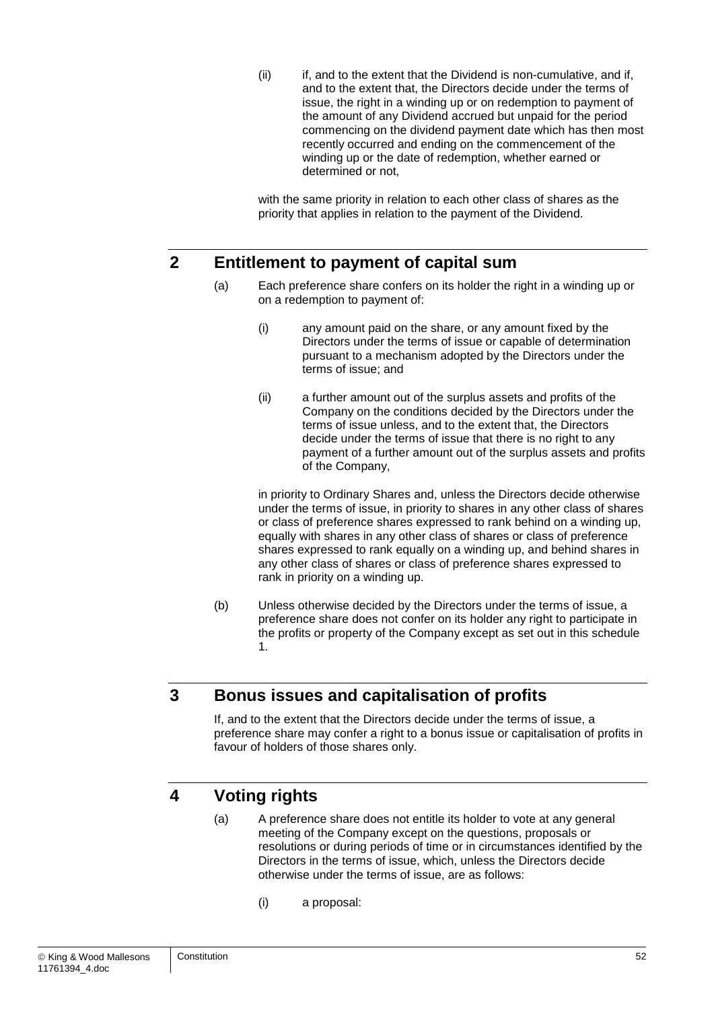(ii) if, and to the extent that the Dividend is non-cumulative, and if, and to the extent that, the Directors decide under the terms of issue, the right in a winding up or on redemption to payment of the amount of any Dividend accrued but unpaid for the period commencing on the dividend payment date which has then most recently occurred and ending on the commencement of the winding up or the date of redemption, whether earned or determined or not,

with the same priority in relation to each other class of shares as the priority that applies in relation to the payment of the Dividend.

## **2 Entitlement to payment of capital sum**

- (a) Each preference share confers on its holder the right in a winding up or on a redemption to payment of:
	- (i) any amount paid on the share, or any amount fixed by the Directors under the terms of issue or capable of determination pursuant to a mechanism adopted by the Directors under the terms of issue; and
	- (ii) a further amount out of the surplus assets and profits of the Company on the conditions decided by the Directors under the terms of issue unless, and to the extent that, the Directors decide under the terms of issue that there is no right to any payment of a further amount out of the surplus assets and profits of the Company,

in priority to Ordinary Shares and, unless the Directors decide otherwise under the terms of issue, in priority to shares in any other class of shares or class of preference shares expressed to rank behind on a winding up, equally with shares in any other class of shares or class of preference shares expressed to rank equally on a winding up, and behind shares in any other class of shares or class of preference shares expressed to rank in priority on a winding up.

(b) Unless otherwise decided by the Directors under the terms of issue, a preference share does not confer on its holder any right to participate in the profits or property of the Company except as set out in this schedule 1.

## **3 Bonus issues and capitalisation of profits**

If, and to the extent that the Directors decide under the terms of issue, a preference share may confer a right to a bonus issue or capitalisation of profits in favour of holders of those shares only.

## **4 Voting rights**

- (a) A preference share does not entitle its holder to vote at any general meeting of the Company except on the questions, proposals or resolutions or during periods of time or in circumstances identified by the Directors in the terms of issue, which, unless the Directors decide otherwise under the terms of issue, are as follows:
	- (i) a proposal: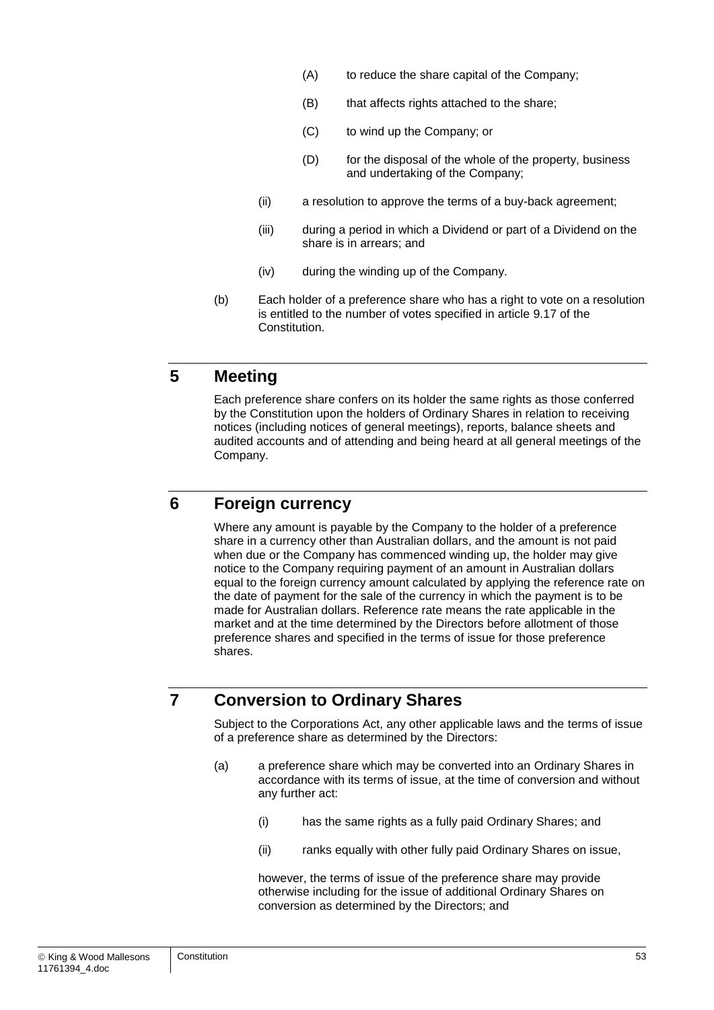- (A) to reduce the share capital of the Company;
- (B) that affects rights attached to the share;
- (C) to wind up the Company; or
- (D) for the disposal of the whole of the property, business and undertaking of the Company;
- (ii) a resolution to approve the terms of a buy-back agreement;
- (iii) during a period in which a Dividend or part of a Dividend on the share is in arrears; and
- (iv) during the winding up of the Company.
- (b) Each holder of a preference share who has a right to vote on a resolution is entitled to the number of votes specified in article [9.17](#page-23-0) of the Constitution.

## **5 Meeting**

Each preference share confers on its holder the same rights as those conferred by the Constitution upon the holders of Ordinary Shares in relation to receiving notices (including notices of general meetings), reports, balance sheets and audited accounts and of attending and being heard at all general meetings of the Company.

## **6 Foreign currency**

Where any amount is payable by the Company to the holder of a preference share in a currency other than Australian dollars, and the amount is not paid when due or the Company has commenced winding up, the holder may give notice to the Company requiring payment of an amount in Australian dollars equal to the foreign currency amount calculated by applying the reference rate on the date of payment for the sale of the currency in which the payment is to be made for Australian dollars. Reference rate means the rate applicable in the market and at the time determined by the Directors before allotment of those preference shares and specified in the terms of issue for those preference shares.

## **7 Conversion to Ordinary Shares**

Subject to the Corporations Act, any other applicable laws and the terms of issue of a preference share as determined by the Directors:

- (a) a preference share which may be converted into an Ordinary Shares in accordance with its terms of issue, at the time of conversion and without any further act:
	- (i) has the same rights as a fully paid Ordinary Shares; and
	- (ii) ranks equally with other fully paid Ordinary Shares on issue,

however, the terms of issue of the preference share may provide otherwise including for the issue of additional Ordinary Shares on conversion as determined by the Directors; and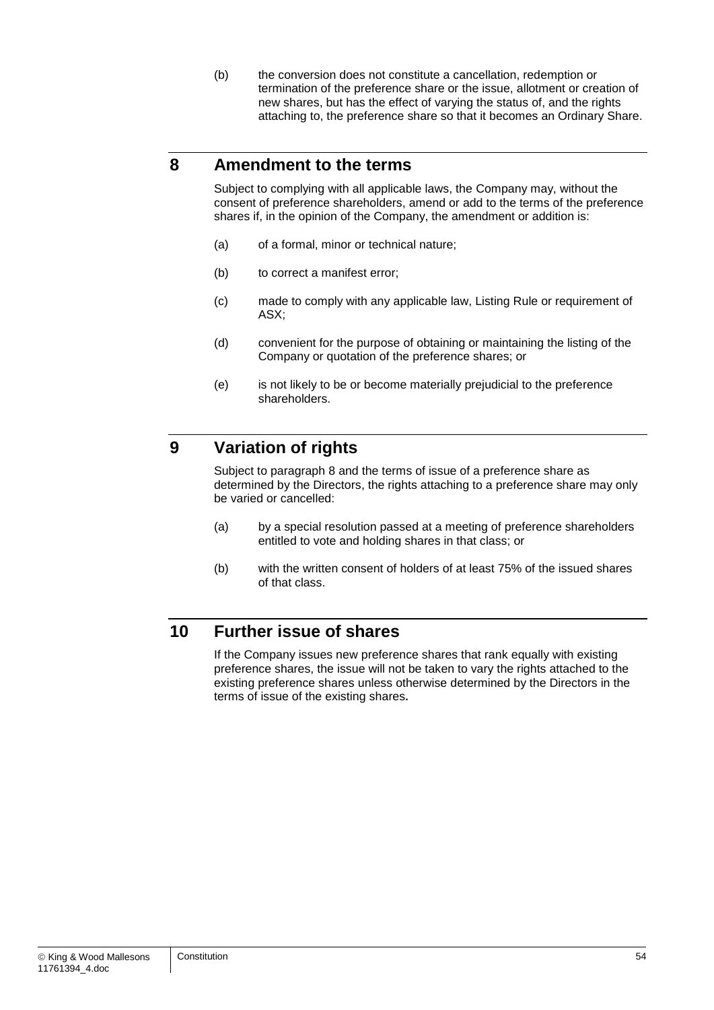(b) the conversion does not constitute a cancellation, redemption or termination of the preference share or the issue, allotment or creation of new shares, but has the effect of varying the status of, and the rights attaching to, the preference share so that it becomes an Ordinary Share.

## <span id="page-54-0"></span>**8 Amendment to the terms**

Subject to complying with all applicable laws, the Company may, without the consent of preference shareholders, amend or add to the terms of the preference shares if, in the opinion of the Company, the amendment or addition is:

- (a) of a formal, minor or technical nature;
- (b) to correct a manifest error;
- (c) made to comply with any applicable law, Listing Rule or requirement of ASX;
- (d) convenient for the purpose of obtaining or maintaining the listing of the Company or quotation of the preference shares; or
- (e) is not likely to be or become materially prejudicial to the preference shareholders.

## **9 Variation of rights**

Subject to paragraph [8](#page-54-0) and the terms of issue of a preference share as determined by the Directors, the rights attaching to a preference share may only be varied or cancelled:

- (a) by a special resolution passed at a meeting of preference shareholders entitled to vote and holding shares in that class; or
- (b) with the written consent of holders of at least 75% of the issued shares of that class.

## **10 Further issue of shares**

If the Company issues new preference shares that rank equally with existing preference shares, the issue will not be taken to vary the rights attached to the existing preference shares unless otherwise determined by the Directors in the terms of issue of the existing shares**.**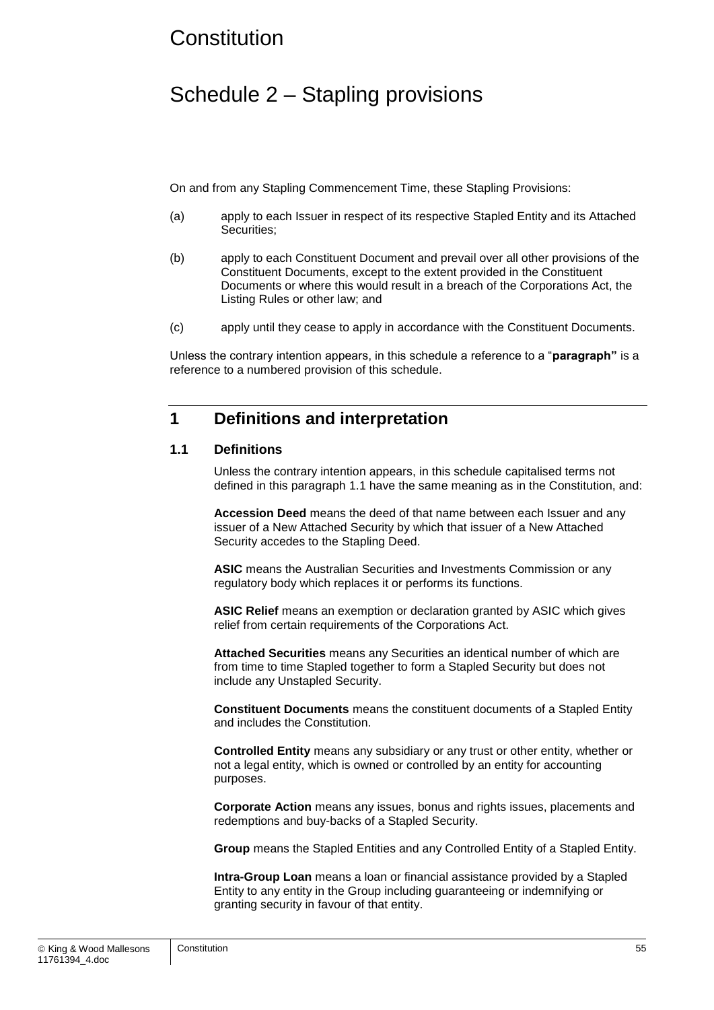## **Constitution**

## Schedule 2 – Stapling provisions

On and from any Stapling Commencement Time, these Stapling Provisions:

- (a) apply to each Issuer in respect of its respective Stapled Entity and its Attached Securities:
- (b) apply to each Constituent Document and prevail over all other provisions of the Constituent Documents, except to the extent provided in the Constituent Documents or where this would result in a breach of the Corporations Act, the Listing Rules or other law; and
- (c) apply until they cease to apply in accordance with the Constituent Documents.

Unless the contrary intention appears, in this schedule a reference to a "**paragraph"** is a reference to a numbered provision of this schedule.

### **1 Definitions and interpretation**

#### <span id="page-55-0"></span>**1.1 Definitions**

Unless the contrary intention appears, in this schedule capitalised terms not defined in this paragraph [1.1](#page-55-0) have the same meaning as in the Constitution, and:

**Accession Deed** means the deed of that name between each Issuer and any issuer of a New Attached Security by which that issuer of a New Attached Security accedes to the Stapling Deed.

**ASIC** means the Australian Securities and Investments Commission or any regulatory body which replaces it or performs its functions.

**ASIC Relief** means an exemption or declaration granted by ASIC which gives relief from certain requirements of the Corporations Act.

**Attached Securities** means any Securities an identical number of which are from time to time Stapled together to form a Stapled Security but does not include any Unstapled Security.

**Constituent Documents** means the constituent documents of a Stapled Entity and includes the Constitution.

**Controlled Entity** means any subsidiary or any trust or other entity, whether or not a legal entity, which is owned or controlled by an entity for accounting purposes.

**Corporate Action** means any issues, bonus and rights issues, placements and redemptions and buy-backs of a Stapled Security.

**Group** means the Stapled Entities and any Controlled Entity of a Stapled Entity.

**Intra-Group Loan** means a loan or financial assistance provided by a Stapled Entity to any entity in the Group including guaranteeing or indemnifying or granting security in favour of that entity.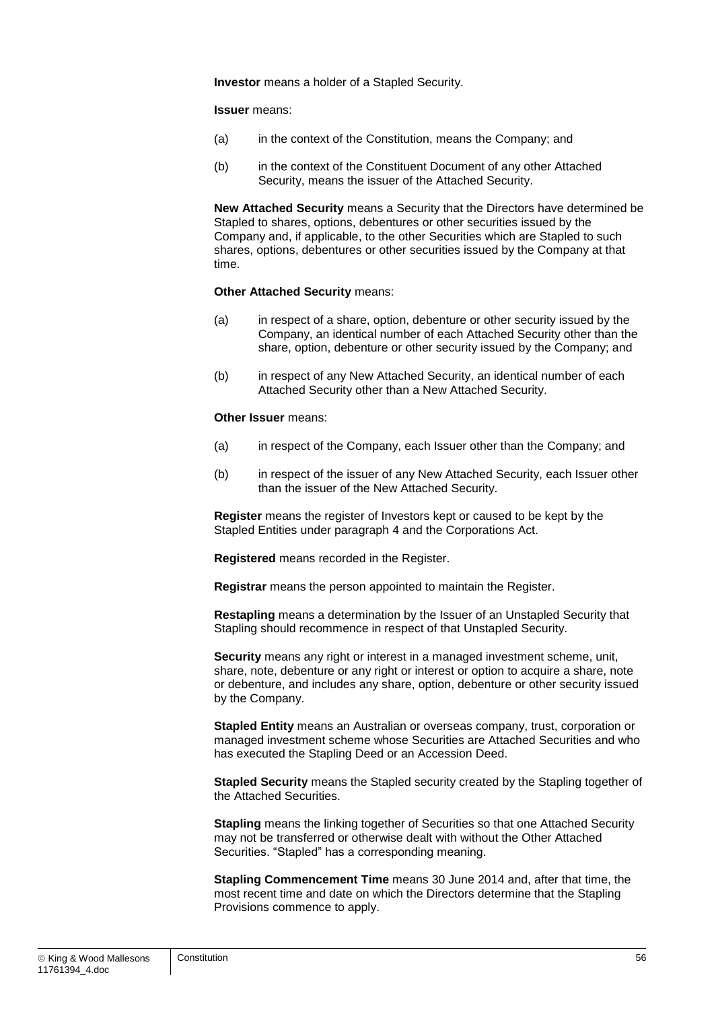**Investor** means a holder of a Stapled Security.

**Issuer** means:

- (a) in the context of the Constitution, means the Company; and
- (b) in the context of the Constituent Document of any other Attached Security, means the issuer of the Attached Security.

**New Attached Security** means a Security that the Directors have determined be Stapled to shares, options, debentures or other securities issued by the Company and, if applicable, to the other Securities which are Stapled to such shares, options, debentures or other securities issued by the Company at that time.

#### **Other Attached Security** means:

- (a) in respect of a share, option, debenture or other security issued by the Company, an identical number of each Attached Security other than the share, option, debenture or other security issued by the Company; and
- (b) in respect of any New Attached Security, an identical number of each Attached Security other than a New Attached Security.

#### **Other Issuer** means:

- (a) in respect of the Company, each Issuer other than the Company; and
- (b) in respect of the issuer of any New Attached Security, each Issuer other than the issuer of the New Attached Security.

**Register** means the register of Investors kept or caused to be kept by the Stapled Entities under paragraph [4](#page-60-1) and the Corporations Act.

**Registered** means recorded in the Register.

**Registrar** means the person appointed to maintain the Register.

**Restapling** means a determination by the Issuer of an Unstapled Security that Stapling should recommence in respect of that Unstapled Security.

**Security** means any right or interest in a managed investment scheme, unit, share, note, debenture or any right or interest or option to acquire a share, note or debenture, and includes any share, option, debenture or other security issued by the Company.

**Stapled Entity** means an Australian or overseas company, trust, corporation or managed investment scheme whose Securities are Attached Securities and who has executed the Stapling Deed or an Accession Deed.

**Stapled Security** means the Stapled security created by the Stapling together of the Attached Securities.

**Stapling** means the linking together of Securities so that one Attached Security may not be transferred or otherwise dealt with without the Other Attached Securities. "Stapled" has a corresponding meaning.

**Stapling Commencement Time** means 30 June 2014 and, after that time, the most recent time and date on which the Directors determine that the Stapling Provisions commence to apply.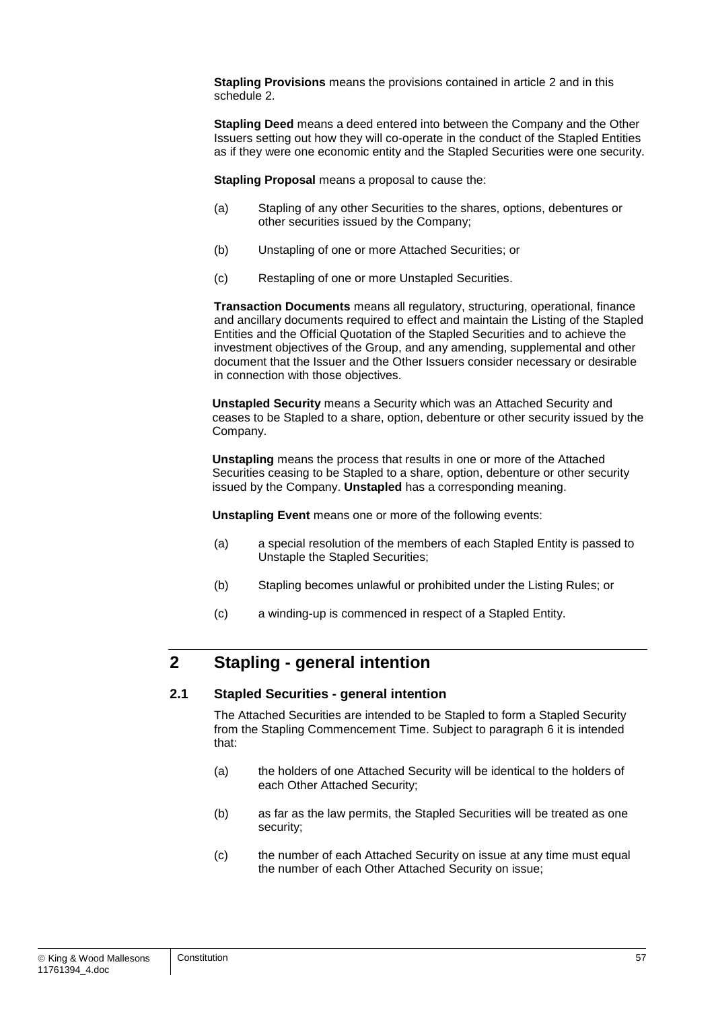**Stapling Provisions** means the provisions contained in article [2](#page-7-0) and in this schedule 2.

**Stapling Deed** means a deed entered into between the Company and the Other Issuers setting out how they will co-operate in the conduct of the Stapled Entities as if they were one economic entity and the Stapled Securities were one security.

**Stapling Proposal** means a proposal to cause the:

- (a) Stapling of any other Securities to the shares, options, debentures or other securities issued by the Company;
- (b) Unstapling of one or more Attached Securities; or
- (c) Restapling of one or more Unstapled Securities.

**Transaction Documents** means all regulatory, structuring, operational, finance and ancillary documents required to effect and maintain the Listing of the Stapled Entities and the Official Quotation of the Stapled Securities and to achieve the investment objectives of the Group, and any amending, supplemental and other document that the Issuer and the Other Issuers consider necessary or desirable in connection with those objectives.

**Unstapled Security** means a Security which was an Attached Security and ceases to be Stapled to a share, option, debenture or other security issued by the Company.

**Unstapling** means the process that results in one or more of the Attached Securities ceasing to be Stapled to a share, option, debenture or other security issued by the Company. **Unstapled** has a corresponding meaning.

**Unstapling Event** means one or more of the following events:

- (a) a special resolution of the members of each Stapled Entity is passed to Unstaple the Stapled Securities;
- (b) Stapling becomes unlawful or prohibited under the Listing Rules; or
- (c) a winding-up is commenced in respect of a Stapled Entity.

## **2 Stapling - general intention**

#### **2.1 Stapled Securities - general intention**

The Attached Securities are intended to be Stapled to form a Stapled Security from the Stapling Commencement Time. Subject to paragraph [6](#page-61-0) it is intended that:

- (a) the holders of one Attached Security will be identical to the holders of each Other Attached Security;
- (b) as far as the law permits, the Stapled Securities will be treated as one security;
- (c) the number of each Attached Security on issue at any time must equal the number of each Other Attached Security on issue;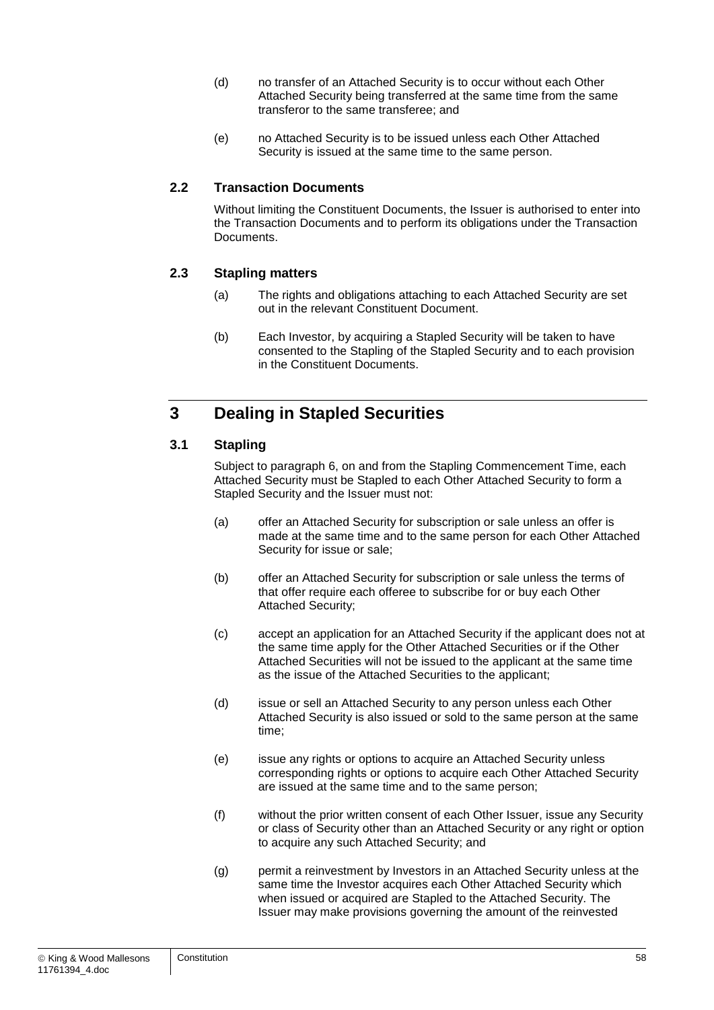- (d) no transfer of an Attached Security is to occur without each Other Attached Security being transferred at the same time from the same transferor to the same transferee; and
- (e) no Attached Security is to be issued unless each Other Attached Security is issued at the same time to the same person.

#### **2.2 Transaction Documents**

Without limiting the Constituent Documents, the Issuer is authorised to enter into the Transaction Documents and to perform its obligations under the Transaction **Documents** 

#### **2.3 Stapling matters**

- (a) The rights and obligations attaching to each Attached Security are set out in the relevant Constituent Document.
- (b) Each Investor, by acquiring a Stapled Security will be taken to have consented to the Stapling of the Stapled Security and to each provision in the Constituent Documents.

## **3 Dealing in Stapled Securities**

#### **3.1 Stapling**

Subject to paragraph [6,](#page-61-0) on and from the Stapling Commencement Time, each Attached Security must be Stapled to each Other Attached Security to form a Stapled Security and the Issuer must not:

- (a) offer an Attached Security for subscription or sale unless an offer is made at the same time and to the same person for each Other Attached Security for issue or sale;
- (b) offer an Attached Security for subscription or sale unless the terms of that offer require each offeree to subscribe for or buy each Other Attached Security;
- (c) accept an application for an Attached Security if the applicant does not at the same time apply for the Other Attached Securities or if the Other Attached Securities will not be issued to the applicant at the same time as the issue of the Attached Securities to the applicant;
- (d) issue or sell an Attached Security to any person unless each Other Attached Security is also issued or sold to the same person at the same time;
- (e) issue any rights or options to acquire an Attached Security unless corresponding rights or options to acquire each Other Attached Security are issued at the same time and to the same person;
- (f) without the prior written consent of each Other Issuer, issue any Security or class of Security other than an Attached Security or any right or option to acquire any such Attached Security; and
- (g) permit a reinvestment by Investors in an Attached Security unless at the same time the Investor acquires each Other Attached Security which when issued or acquired are Stapled to the Attached Security. The Issuer may make provisions governing the amount of the reinvested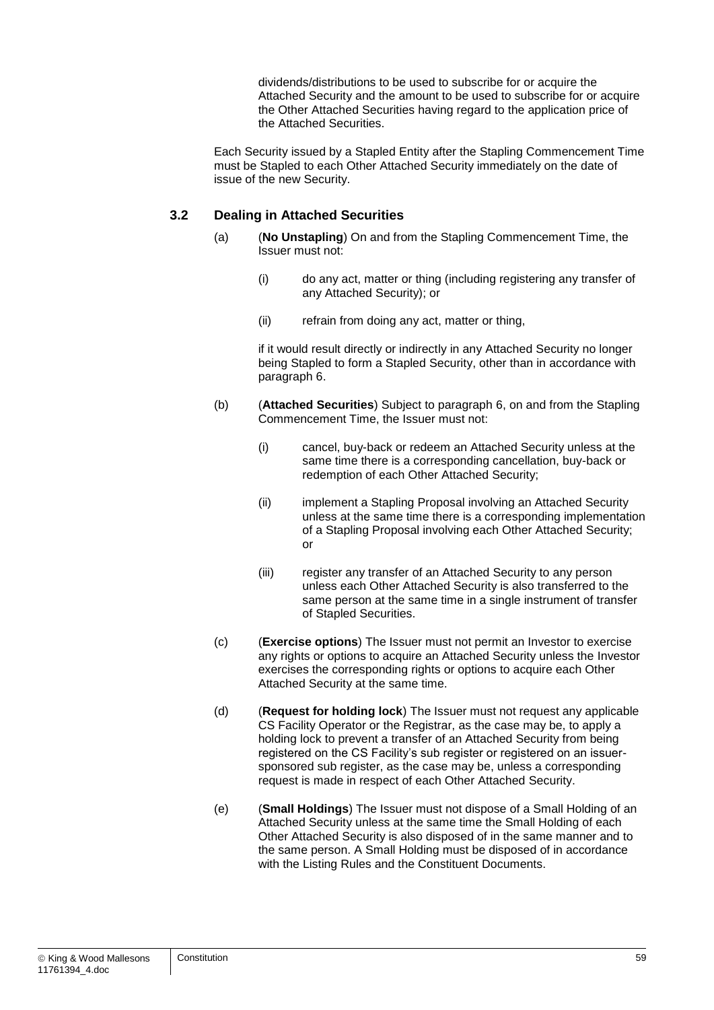dividends/distributions to be used to subscribe for or acquire the Attached Security and the amount to be used to subscribe for or acquire the Other Attached Securities having regard to the application price of the Attached Securities.

Each Security issued by a Stapled Entity after the Stapling Commencement Time must be Stapled to each Other Attached Security immediately on the date of issue of the new Security.

#### **3.2 Dealing in Attached Securities**

- (a) (**No Unstapling**) On and from the Stapling Commencement Time, the Issuer must not:
	- (i) do any act, matter or thing (including registering any transfer of any Attached Security); or
	- (ii) refrain from doing any act, matter or thing,

if it would result directly or indirectly in any Attached Security no longer being Stapled to form a Stapled Security, other than in accordance with paragraph [6.](#page-61-0)

- (b) (**Attached Securities**) Subject to paragraph [6,](#page-61-0) on and from the Stapling Commencement Time, the Issuer must not:
	- (i) cancel, buy-back or redeem an Attached Security unless at the same time there is a corresponding cancellation, buy-back or redemption of each Other Attached Security;
	- (ii) implement a Stapling Proposal involving an Attached Security unless at the same time there is a corresponding implementation of a Stapling Proposal involving each Other Attached Security; or
	- (iii) register any transfer of an Attached Security to any person unless each Other Attached Security is also transferred to the same person at the same time in a single instrument of transfer of Stapled Securities.
- (c) (**Exercise options**) The Issuer must not permit an Investor to exercise any rights or options to acquire an Attached Security unless the Investor exercises the corresponding rights or options to acquire each Other Attached Security at the same time.
- (d) (**Request for holding lock**) The Issuer must not request any applicable CS Facility Operator or the Registrar, as the case may be, to apply a holding lock to prevent a transfer of an Attached Security from being registered on the CS Facility's sub register or registered on an issuersponsored sub register, as the case may be, unless a corresponding request is made in respect of each Other Attached Security.
- (e) (**Small Holdings**) The Issuer must not dispose of a Small Holding of an Attached Security unless at the same time the Small Holding of each Other Attached Security is also disposed of in the same manner and to the same person. A Small Holding must be disposed of in accordance with the Listing Rules and the Constituent Documents.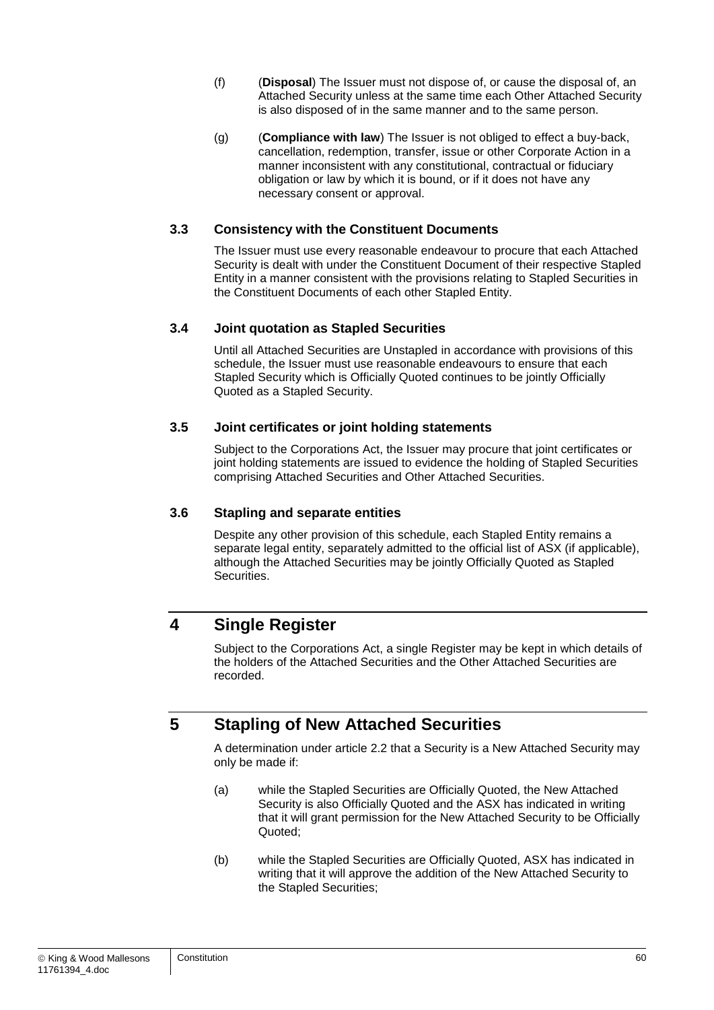- (f) (**Disposal**) The Issuer must not dispose of, or cause the disposal of, an Attached Security unless at the same time each Other Attached Security is also disposed of in the same manner and to the same person.
- (g) (**Compliance with law**) The Issuer is not obliged to effect a buy-back, cancellation, redemption, transfer, issue or other Corporate Action in a manner inconsistent with any constitutional, contractual or fiduciary obligation or law by which it is bound, or if it does not have any necessary consent or approval.

#### **3.3 Consistency with the Constituent Documents**

The Issuer must use every reasonable endeavour to procure that each Attached Security is dealt with under the Constituent Document of their respective Stapled Entity in a manner consistent with the provisions relating to Stapled Securities in the Constituent Documents of each other Stapled Entity.

#### **3.4 Joint quotation as Stapled Securities**

Until all Attached Securities are Unstapled in accordance with provisions of this schedule, the Issuer must use reasonable endeavours to ensure that each Stapled Security which is Officially Quoted continues to be jointly Officially Quoted as a Stapled Security.

#### **3.5 Joint certificates or joint holding statements**

Subject to the Corporations Act, the Issuer may procure that joint certificates or joint holding statements are issued to evidence the holding of Stapled Securities comprising Attached Securities and Other Attached Securities.

#### **3.6 Stapling and separate entities**

Despite any other provision of this schedule, each Stapled Entity remains a separate legal entity, separately admitted to the official list of ASX (if applicable), although the Attached Securities may be jointly Officially Quoted as Stapled Securities.

### <span id="page-60-1"></span>**4 Single Register**

Subject to the Corporations Act, a single Register may be kept in which details of the holders of the Attached Securities and the Other Attached Securities are recorded.

## <span id="page-60-0"></span>**5 Stapling of New Attached Securities**

A determination under article [2.2](#page-7-1) that a Security is a New Attached Security may only be made if:

- (a) while the Stapled Securities are Officially Quoted, the New Attached Security is also Officially Quoted and the ASX has indicated in writing that it will grant permission for the New Attached Security to be Officially Quoted;
- (b) while the Stapled Securities are Officially Quoted, ASX has indicated in writing that it will approve the addition of the New Attached Security to the Stapled Securities;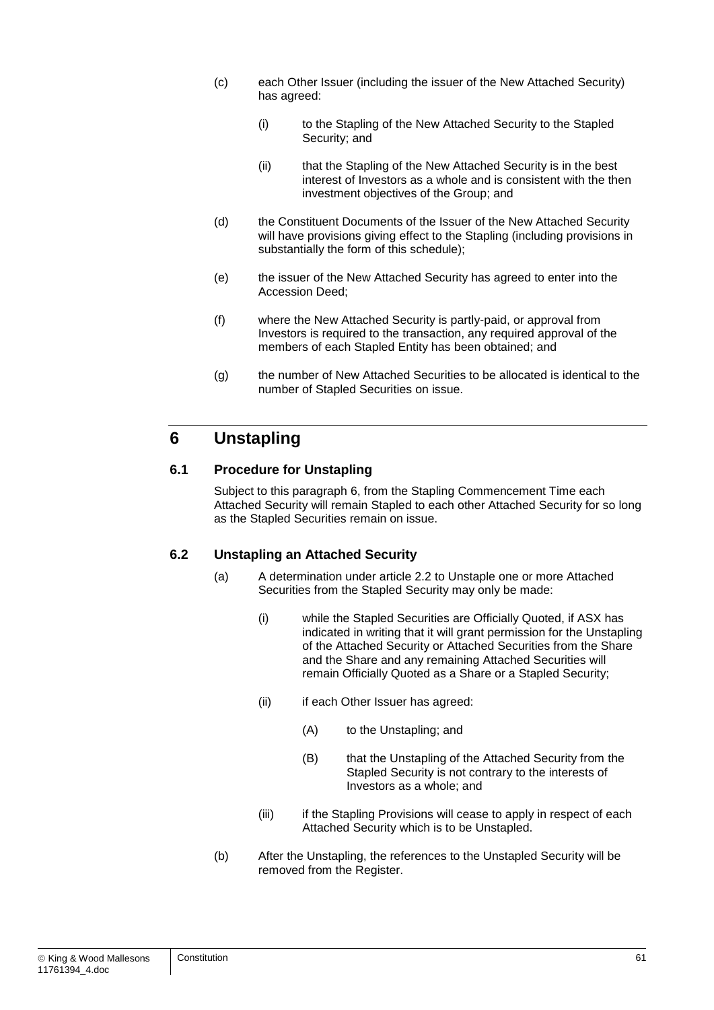- (c) each Other Issuer (including the issuer of the New Attached Security) has agreed:
	- (i) to the Stapling of the New Attached Security to the Stapled Security; and
	- (ii) that the Stapling of the New Attached Security is in the best interest of Investors as a whole and is consistent with the then investment objectives of the Group; and
- (d) the Constituent Documents of the Issuer of the New Attached Security will have provisions giving effect to the Stapling (including provisions in substantially the form of this schedule);
- (e) the issuer of the New Attached Security has agreed to enter into the Accession Deed;
- (f) where the New Attached Security is partly-paid, or approval from Investors is required to the transaction, any required approval of the members of each Stapled Entity has been obtained; and
- (g) the number of New Attached Securities to be allocated is identical to the number of Stapled Securities on issue.

## <span id="page-61-0"></span>**6 Unstapling**

#### **6.1 Procedure for Unstapling**

Subject to this paragraph [6,](#page-61-0) from the Stapling Commencement Time each Attached Security will remain Stapled to each other Attached Security for so long as the Stapled Securities remain on issue.

#### **6.2 Unstapling an Attached Security**

- (a) A determination under article [2.2](#page-7-1) to Unstaple one or more Attached Securities from the Stapled Security may only be made:
	- (i) while the Stapled Securities are Officially Quoted, if ASX has indicated in writing that it will grant permission for the Unstapling of the Attached Security or Attached Securities from the Share and the Share and any remaining Attached Securities will remain Officially Quoted as a Share or a Stapled Security;
	- (ii) if each Other Issuer has agreed:
		- (A) to the Unstapling; and
		- (B) that the Unstapling of the Attached Security from the Stapled Security is not contrary to the interests of Investors as a whole; and
	- (iii) if the Stapling Provisions will cease to apply in respect of each Attached Security which is to be Unstapled.
- (b) After the Unstapling, the references to the Unstapled Security will be removed from the Register.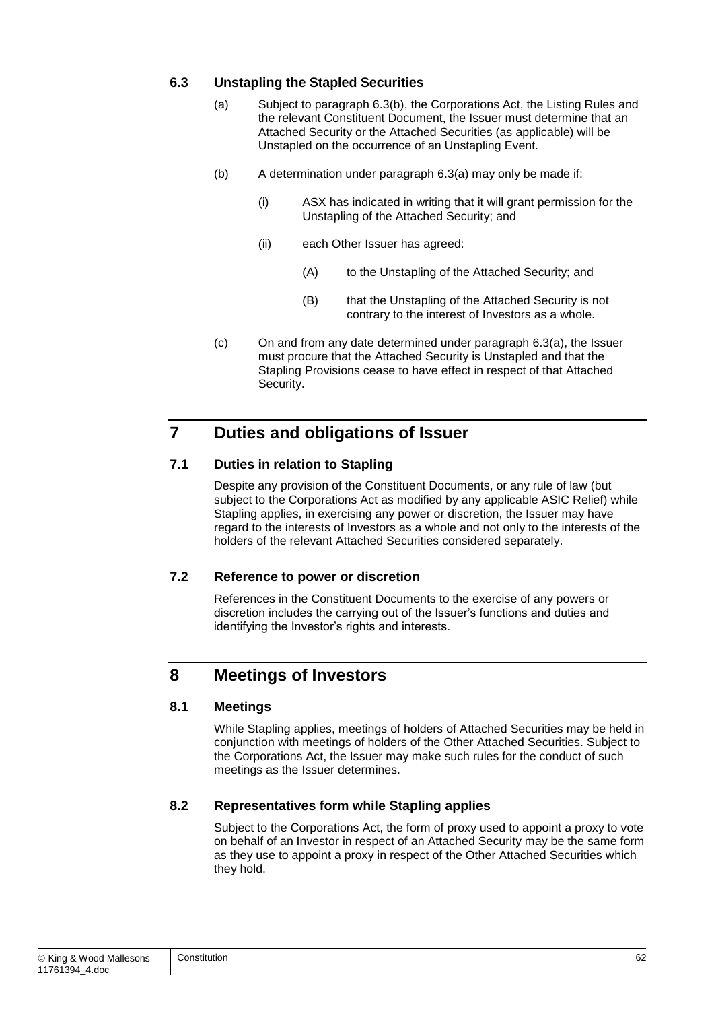#### <span id="page-62-0"></span>**6.3 Unstapling the Stapled Securities**

- (a) Subject to paragraph [6.3\(b\),](#page-62-1) the Corporations Act, the Listing Rules and the relevant Constituent Document, the Issuer must determine that an Attached Security or the Attached Securities (as applicable) will be Unstapled on the occurrence of an Unstapling Event.
- <span id="page-62-1"></span>(b) A determination under paragraph [6.3\(a\)](#page-62-0) may only be made if:
	- (i) ASX has indicated in writing that it will grant permission for the Unstapling of the Attached Security; and
	- (ii) each Other Issuer has agreed:
		- (A) to the Unstapling of the Attached Security; and
		- (B) that the Unstapling of the Attached Security is not contrary to the interest of Investors as a whole.
- (c) On and from any date determined under paragraph [6.3\(a\),](#page-62-0) the Issuer must procure that the Attached Security is Unstapled and that the Stapling Provisions cease to have effect in respect of that Attached Security.

## **7 Duties and obligations of Issuer**

#### **7.1 Duties in relation to Stapling**

Despite any provision of the Constituent Documents, or any rule of law (but subject to the Corporations Act as modified by any applicable ASIC Relief) while Stapling applies, in exercising any power or discretion, the Issuer may have regard to the interests of Investors as a whole and not only to the interests of the holders of the relevant Attached Securities considered separately.

#### **7.2 Reference to power or discretion**

References in the Constituent Documents to the exercise of any powers or discretion includes the carrying out of the Issuer's functions and duties and identifying the Investor's rights and interests.

## **8 Meetings of Investors**

#### **8.1 Meetings**

While Stapling applies, meetings of holders of Attached Securities may be held in conjunction with meetings of holders of the Other Attached Securities. Subject to the Corporations Act, the Issuer may make such rules for the conduct of such meetings as the Issuer determines.

#### **8.2 Representatives form while Stapling applies**

Subject to the Corporations Act, the form of proxy used to appoint a proxy to vote on behalf of an Investor in respect of an Attached Security may be the same form as they use to appoint a proxy in respect of the Other Attached Securities which they hold.